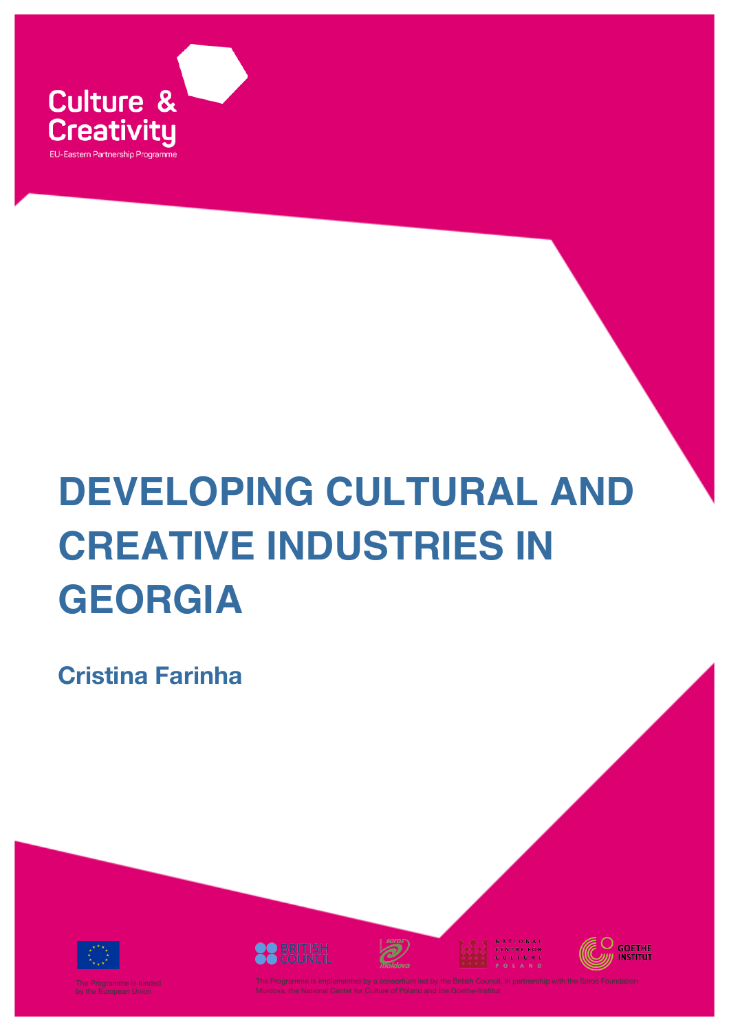

# **DEVELOPING CULTURAL AND CREATIVE INDUSTRIES IN GEORGIA**

**Cristina Farinha**









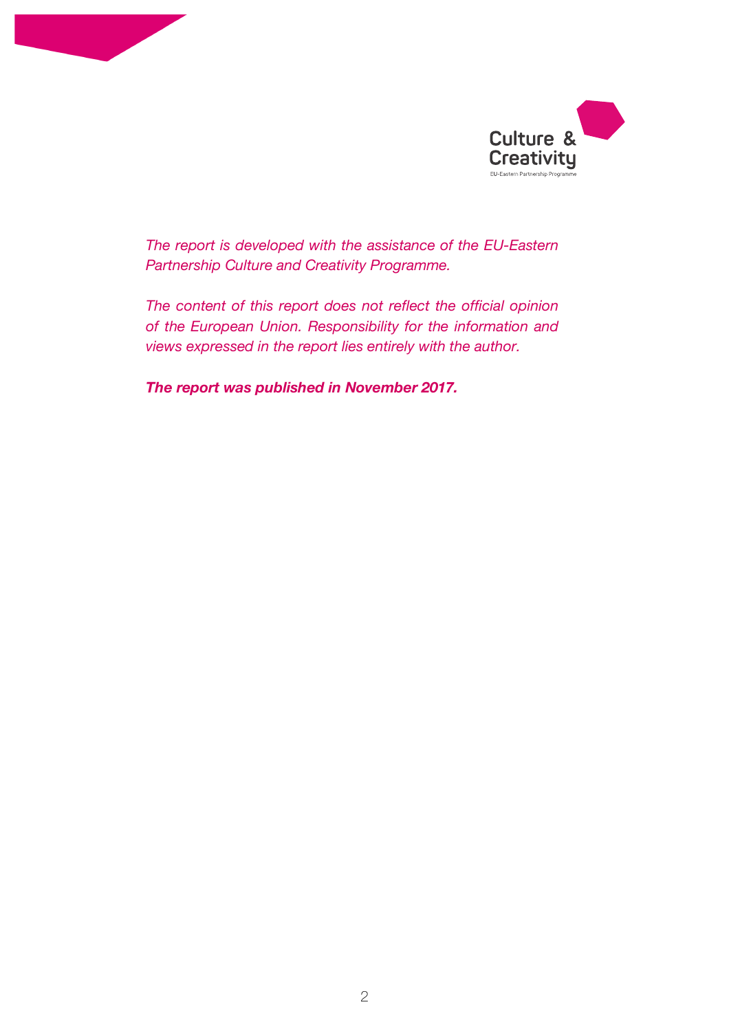



*The report is developed with the assistance of the EU-Eastern Partnership Culture and Creativity Programme.*

*The content of this report does not reflect the official opinion of the European Union. Responsibility for the information and views expressed in the report lies entirely with the author.*

*The report was published in November 2017.*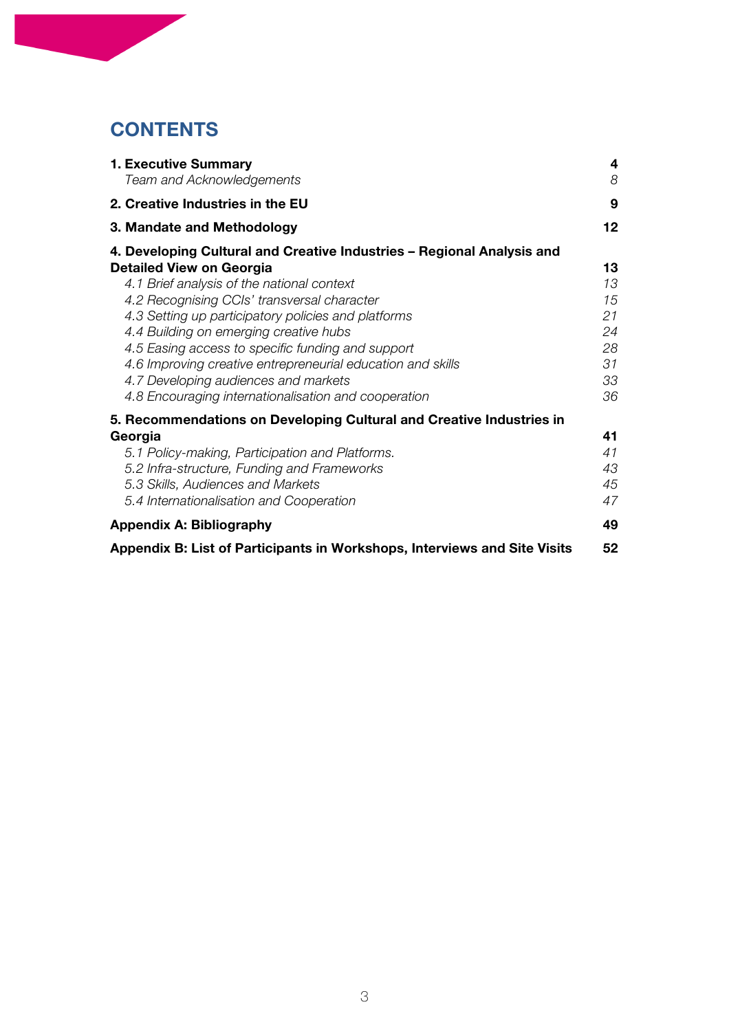# **CONTENTS**

| 1. Executive Summary                                                      | 4  |
|---------------------------------------------------------------------------|----|
| Team and Acknowledgements                                                 | 8  |
| 2. Creative Industries in the EU                                          | 9  |
| 3. Mandate and Methodology                                                | 12 |
| 4. Developing Cultural and Creative Industries – Regional Analysis and    |    |
| <b>Detailed View on Georgia</b>                                           | 13 |
| 4.1 Brief analysis of the national context                                | 13 |
| 4.2 Recognising CCIs' transversal character                               | 15 |
| 4.3 Setting up participatory policies and platforms                       | 21 |
| 4.4 Building on emerging creative hubs                                    | 24 |
| 4.5 Easing access to specific funding and support                         | 28 |
| 4.6 Improving creative entrepreneurial education and skills               | 31 |
| 4.7 Developing audiences and markets                                      | 33 |
| 4.8 Encouraging internationalisation and cooperation                      | 36 |
| 5. Recommendations on Developing Cultural and Creative Industries in      |    |
| Georgia                                                                   | 41 |
| 5.1 Policy-making, Participation and Platforms.                           | 41 |
| 5.2 Infra-structure, Funding and Frameworks                               | 43 |
| 5.3 Skills, Audiences and Markets                                         | 45 |
| 5.4 Internationalisation and Cooperation                                  | 47 |
| <b>Appendix A: Bibliography</b>                                           | 49 |
| Appendix B: List of Participants in Workshops, Interviews and Site Visits | 52 |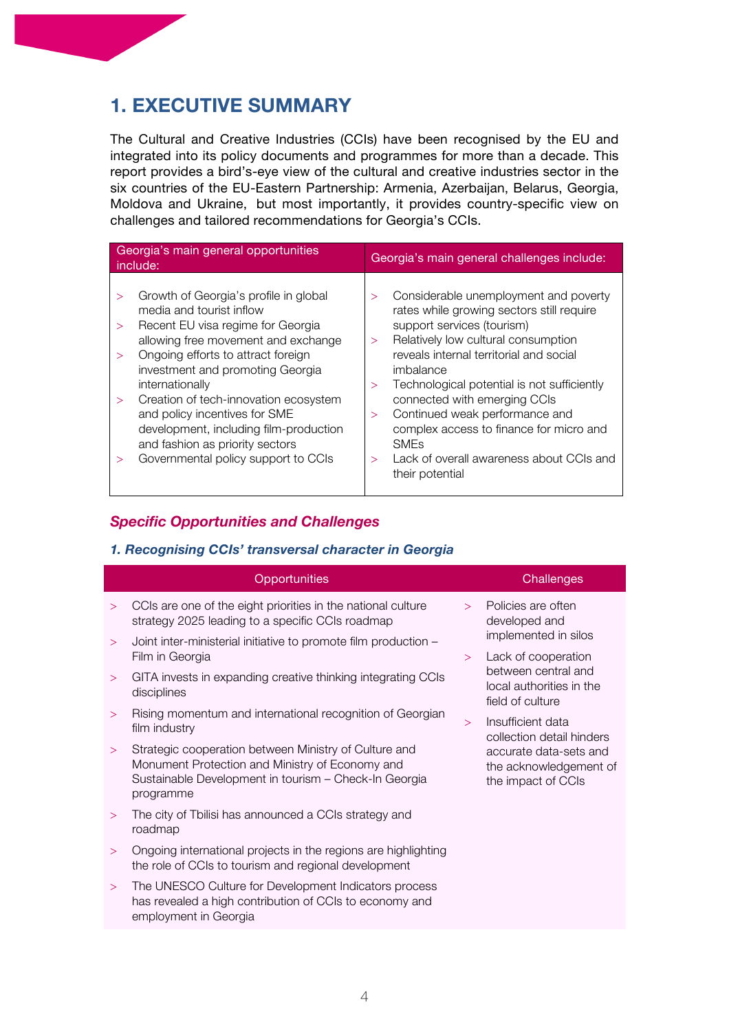# **1. EXECUTIVE SUMMARY**

The Cultural and Creative Industries (CCIs) have been recognised by the EU and integrated into its policy documents and programmes for more than a decade. This report provides a bird's-eye view of the cultural and creative industries sector in the six countries of the EU-Eastern Partnership: Armenia, Azerbaijan, Belarus, Georgia, Moldova and Ukraine, but most importantly, it provides country-specific view on challenges and tailored recommendations for Georgia's CCIs.

| Georgia's main general opportunities<br>include: |                                                                                                                                                                                                                                                   |                                  | Georgia's main general challenges include:                                                                                                                                                                                                                     |  |  |
|--------------------------------------------------|---------------------------------------------------------------------------------------------------------------------------------------------------------------------------------------------------------------------------------------------------|----------------------------------|----------------------------------------------------------------------------------------------------------------------------------------------------------------------------------------------------------------------------------------------------------------|--|--|
| $\geq$<br>$\geq$<br>$\geq$                       | Growth of Georgia's profile in global<br>media and tourist inflow<br>Recent EU visa regime for Georgia<br>allowing free movement and exchange<br>Ongoing efforts to attract foreign                                                               | $\geq$<br>$\geq$                 | Considerable unemployment and poverty<br>rates while growing sectors still require<br>support services (tourism)<br>Relatively low cultural consumption<br>reveals internal territorial and social                                                             |  |  |
| $\geq$<br>>                                      | investment and promoting Georgia<br>internationally<br>Creation of tech-innovation ecosystem<br>and policy incentives for SME<br>development, including film-production<br>and fashion as priority sectors<br>Governmental policy support to CCIs | $\mathbf{I}$<br>$\geq$<br>$\geq$ | imbalance<br>Technological potential is not sufficiently<br>connected with emerging CCIs<br>Continued weak performance and<br>complex access to finance for micro and<br><b>SME<sub>s</sub></b><br>Lack of overall awareness about CCIs and<br>their potential |  |  |

# *Specific Opportunities and Challenges*

# *1. Recognising CCIs' transversal character in Georgia*

|        | Opportunities                                                                                                                                                                  |        | Challenges                                                             |
|--------|--------------------------------------------------------------------------------------------------------------------------------------------------------------------------------|--------|------------------------------------------------------------------------|
| $\geq$ | CCIs are one of the eight priorities in the national culture<br>strategy 2025 leading to a specific CCIs roadmap                                                               | $\geq$ | Policies are often<br>developed and                                    |
| $\geq$ | Joint inter-ministerial initiative to promote film production -<br>Film in Georgia                                                                                             | $\geq$ | implemented in silos<br>Lack of cooperation                            |
| $\geq$ | GITA invests in expanding creative thinking integrating CCIs<br>disciplines                                                                                                    |        | between central and<br>local authorities in the<br>field of culture    |
| $\geq$ | Rising momentum and international recognition of Georgian<br>film industry                                                                                                     | $\geq$ | Insufficient data<br>collection detail hinders                         |
| $\geq$ | Strategic cooperation between Ministry of Culture and<br>Monument Protection and Ministry of Economy and<br>Sustainable Development in tourism - Check-In Georgia<br>programme |        | accurate data-sets and<br>the acknowledgement of<br>the impact of CCIs |
| $\geq$ | The city of Tbilisi has announced a CCIs strategy and<br>roadmap                                                                                                               |        |                                                                        |
| $\geq$ | Ongoing international projects in the regions are highlighting<br>the role of CCIs to tourism and regional development                                                         |        |                                                                        |
| $\geq$ | The UNESCO Culture for Development Indicators process<br>has revealed a high contribution of CCIs to economy and<br>employment in Georgia                                      |        |                                                                        |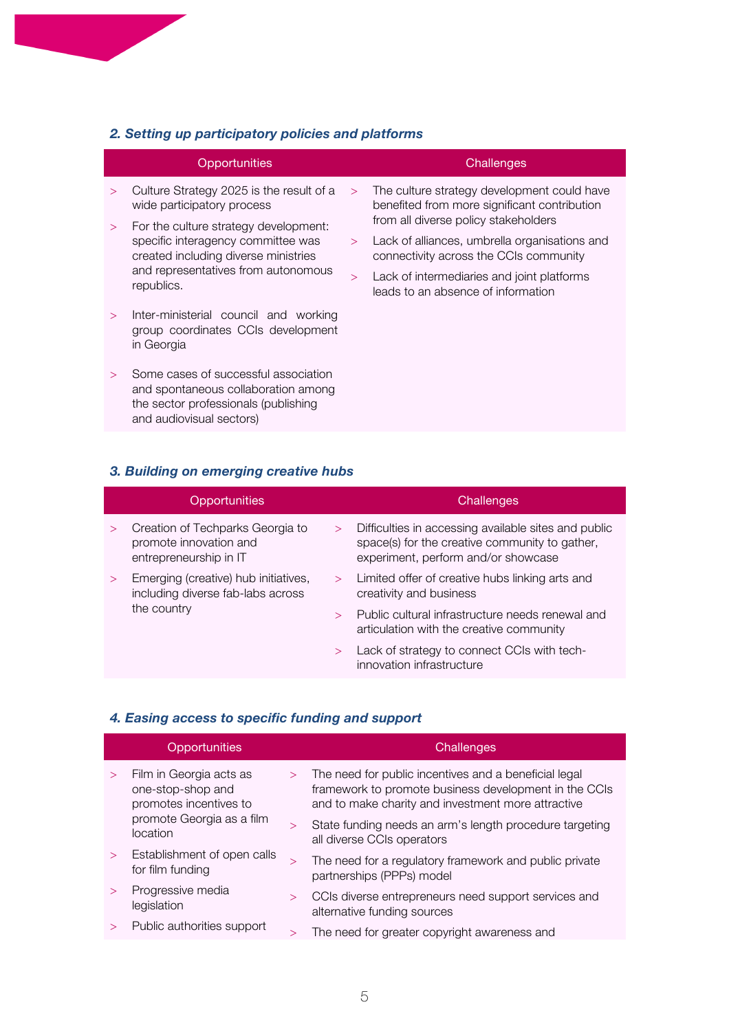# *2. Setting up participatory policies and platforms*

|        | Opportunities                                                                                                                                   |        | Challenges                                                                                  |
|--------|-------------------------------------------------------------------------------------------------------------------------------------------------|--------|---------------------------------------------------------------------------------------------|
| $\geq$ | Culture Strategy 2025 is the result of a<br>wide participatory process                                                                          | $\geq$ | The culture strategy development could have<br>benefited from more significant contribution |
| $\geq$ | For the culture strategy development:                                                                                                           |        | from all diverse policy stakeholders                                                        |
|        | specific interagency committee was<br>created including diverse ministries<br>and representatives from autonomous<br>republics.                 | $\geq$ | Lack of alliances, umbrella organisations and<br>connectivity across the CCIs community     |
|        |                                                                                                                                                 | $\geq$ | Lack of intermediaries and joint platforms<br>leads to an absence of information            |
| $\geq$ | Inter-ministerial council and working<br>group coordinates CCIs development<br>in Georgia                                                       |        |                                                                                             |
|        | Some cases of successful association<br>and spontaneous collaboration among<br>the sector professionals (publishing<br>and audiovisual sectors) |        |                                                                                             |
|        |                                                                                                                                                 |        |                                                                                             |

# *3. Building on emerging creative hubs*

|                       | Opportunities                                                                        |        | Challenges                                                                                                                                    |
|-----------------------|--------------------------------------------------------------------------------------|--------|-----------------------------------------------------------------------------------------------------------------------------------------------|
| $\geq$                | Creation of Techparks Georgia to<br>promote innovation and<br>entrepreneurship in IT | $\geq$ | Difficulties in accessing available sites and public<br>space(s) for the creative community to gather,<br>experiment, perform and/or showcase |
| $\geq$<br>the country | Emerging (creative) hub initiatives,<br>including diverse fab-labs across            | $\geq$ | Limited offer of creative hubs linking arts and<br>creativity and business                                                                    |
|                       |                                                                                      | $\geq$ | Public cultural infrastructure needs renewal and<br>articulation with the creative community                                                  |
|                       |                                                                                      | $\geq$ | Lack of strategy to connect CCIs with tech-<br>innovation infrastructure                                                                      |

# *4. Easing access to specific funding and support*

|        | Opportunities                                                          |        | Challenges                                                                                                                                                           |
|--------|------------------------------------------------------------------------|--------|----------------------------------------------------------------------------------------------------------------------------------------------------------------------|
|        | Film in Georgia acts as<br>one-stop-shop and<br>promotes incentives to | $\geq$ | The need for public incentives and a beneficial legal<br>framework to promote business development in the CCIs<br>and to make charity and investment more attractive |
|        | promote Georgia as a film<br>location                                  | $\geq$ | State funding needs an arm's length procedure targeting<br>all diverse CCIs operators                                                                                |
| $\geq$ | Establishment of open calls<br>for film funding                        | >      | The need for a regulatory framework and public private<br>partnerships (PPPs) model                                                                                  |
|        | Progressive media<br>legislation                                       | $\geq$ | CCIs diverse entrepreneurs need support services and<br>alternative funding sources                                                                                  |
|        | Public authorities support                                             |        | The need for greater copyright awareness and                                                                                                                         |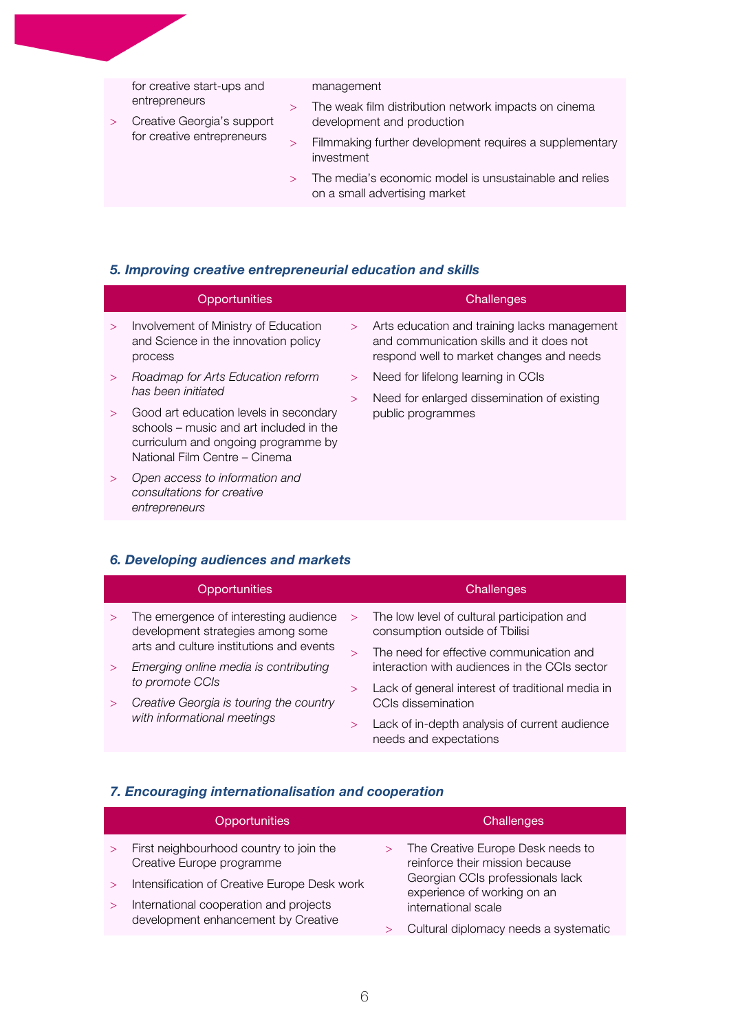| for creative start-ups and<br>entrepreneurs<br>$\geq$<br>Creative Georgia's support<br>for creative entrepreneurs<br>$\geq$<br>$\mathbf{I}$ | management                                                                              |
|---------------------------------------------------------------------------------------------------------------------------------------------|-----------------------------------------------------------------------------------------|
|                                                                                                                                             | The weak film distribution network impacts on cinema                                    |
|                                                                                                                                             | development and production                                                              |
|                                                                                                                                             | Filmmaking further development requires a supplementary<br>investment                   |
|                                                                                                                                             | The media's economic model is unsustainable and relies<br>on a small advertising market |
|                                                                                                                                             |                                                                                         |

# *5. Improving creative entrepreneurial education and skills*

|        | Opportunities                                                                                                                                             |        | Challenges                                                                                                                           |
|--------|-----------------------------------------------------------------------------------------------------------------------------------------------------------|--------|--------------------------------------------------------------------------------------------------------------------------------------|
| $\geq$ | Involvement of Ministry of Education<br>and Science in the innovation policy<br>process                                                                   | $\geq$ | Arts education and training lacks management<br>and communication skills and it does not<br>respond well to market changes and needs |
| $\geq$ | Roadmap for Arts Education reform                                                                                                                         | $\geq$ | Need for lifelong learning in CCIs                                                                                                   |
|        | has been initiated                                                                                                                                        | $\geq$ | Need for enlarged dissemination of existing                                                                                          |
| $\geq$ | Good art education levels in secondary<br>schools – music and art included in the<br>curriculum and ongoing programme by<br>National Film Centre - Cinema |        | public programmes                                                                                                                    |
|        | Open access to information and<br>consultations for creative<br>entrepreneurs                                                                             |        |                                                                                                                                      |

# *6. Developing audiences and markets*

|        | Opportunities                                                                     |        | Challenges                                                                                |
|--------|-----------------------------------------------------------------------------------|--------|-------------------------------------------------------------------------------------------|
|        | The emergence of interesting audience<br>development strategies among some        | $\geq$ | The low level of cultural participation and<br>consumption outside of Tbilisi             |
| $\geq$ | arts and culture institutions and events<br>Emerging online media is contributing |        | The need for effective communication and<br>interaction with audiences in the CCIs sector |
|        | to promote CCIs<br>Creative Georgia is touring the country                        |        | Lack of general interest of traditional media in<br>CCIs dissemination                    |
|        | with informational meetings                                                       |        | Lack of in-depth analysis of current audience<br>needs and expectations                   |

# *7. Encouraging internationalisation and cooperation*

|        | <b>Opportunities</b>                                                                   |        | Challenges                                                                             |
|--------|----------------------------------------------------------------------------------------|--------|----------------------------------------------------------------------------------------|
|        | First neighbourhood country to join the<br>Creative Europe programme                   | $\geq$ | The Creative Europe Desk needs to<br>reinforce their mission because                   |
| $\geq$ | Intensification of Creative Europe Desk work<br>International cooperation and projects |        | Georgian CCIs professionals lack<br>experience of working on an<br>international scale |
|        | development enhancement by Creative                                                    |        | Cultural diplomacy needs a systematic                                                  |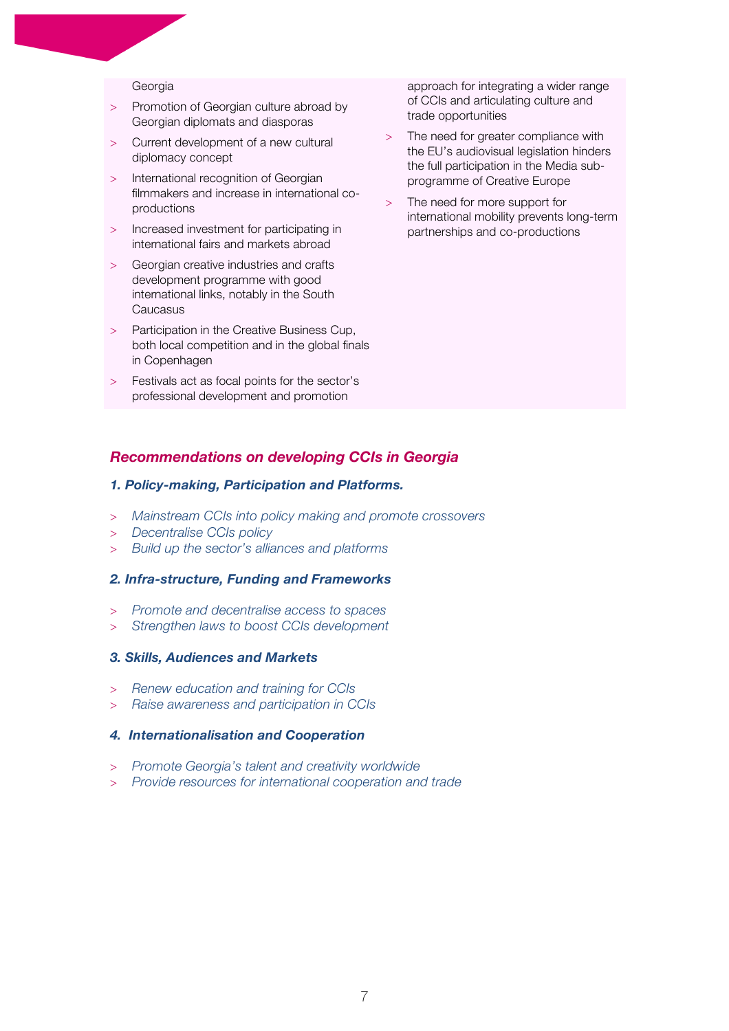#### Georgia

- Promotion of Georgian culture abroad by Georgian diplomats and diasporas
- > Current development of a new cultural diplomacy concept
- > International recognition of Georgian filmmakers and increase in international coproductions
- > Increased investment for participating in international fairs and markets abroad
- Georgian creative industries and crafts development programme with good international links, notably in the South Caucasus
- > Participation in the Creative Business Cup, both local competition and in the global finals in Copenhagen
- Festivals act as focal points for the sector's professional development and promotion

approach for integrating a wider range of CCIs and articulating culture and trade opportunities

- The need for greater compliance with the EU's audiovisual legislation hinders the full participation in the Media subprogramme of Creative Europe
- The need for more support for international mobility prevents long-term partnerships and co-productions

#### *Recommendations on developing CCIs in Georgia*

#### *1. Policy-making, Participation and Platforms.*

- > *Mainstream CCIs into policy making and promote crossovers*
- > *Decentralise CCIs policy*
- > *Build up the sector's alliances and platforms*

#### *2. Infra-structure, Funding and Frameworks*

- > *Promote and decentralise access to spaces*
- > *Strengthen laws to boost CCIs development*

#### *3. Skills, Audiences and Markets*

- > *Renew education and training for CCIs*
- > *Raise awareness and participation in CCIs*

#### *4. Internationalisation and Cooperation*

- > *Promote Georgia's talent and creativity worldwide*
- > *Provide resources for international cooperation and trade*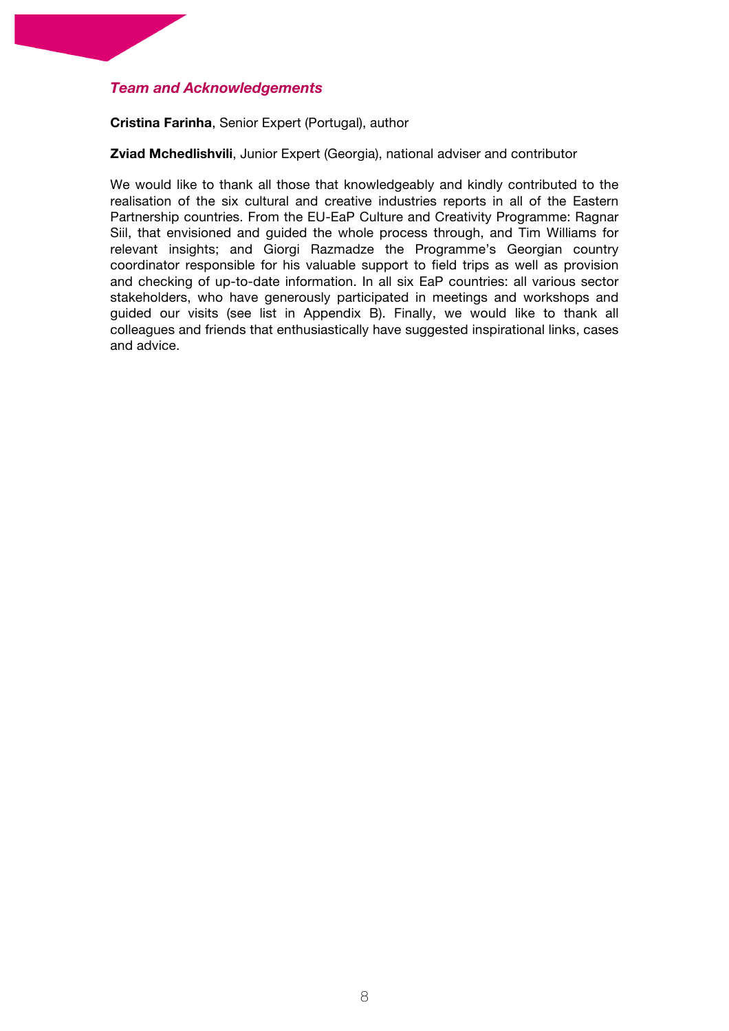# *Team and Acknowledgements*

#### **Cristina Farinha**, Senior Expert (Portugal), author

**Zviad Mchedlishvili**, Junior Expert (Georgia), national adviser and contributor

We would like to thank all those that knowledgeably and kindly contributed to the realisation of the six cultural and creative industries reports in all of the Eastern Partnership countries. From the EU-EaP Culture and Creativity Programme: Ragnar Siil, that envisioned and guided the whole process through, and Tim Williams for relevant insights; and Giorgi Razmadze the Programme's Georgian country coordinator responsible for his valuable support to field trips as well as provision and checking of up-to-date information. In all six EaP countries: all various sector stakeholders, who have generously participated in meetings and workshops and guided our visits (see list in Appendix B). Finally, we would like to thank all colleagues and friends that enthusiastically have suggested inspirational links, cases and advice.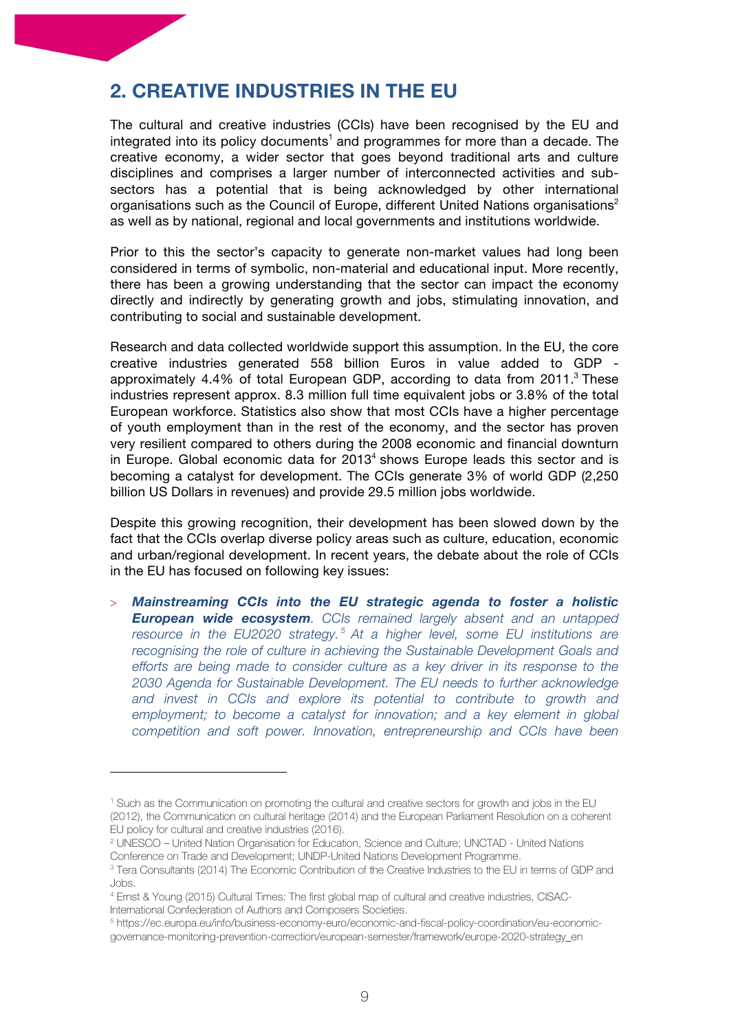# **2. CREATIVE INDUSTRIES IN THE EU**

The cultural and creative industries (CCIs) have been recognised by the EU and integrated into its policy documents<sup>1</sup> and programmes for more than a decade. The creative economy, a wider sector that goes beyond traditional arts and culture disciplines and comprises a larger number of interconnected activities and subsectors has a potential that is being acknowledged by other international organisations such as the Council of Europe, different United Nations organisations<sup>2</sup> as well as by national, regional and local governments and institutions worldwide.

Prior to this the sector's capacity to generate non-market values had long been considered in terms of symbolic, non-material and educational input. More recently, there has been a growing understanding that the sector can impact the economy directly and indirectly by generating growth and jobs, stimulating innovation, and contributing to social and sustainable development.

Research and data collected worldwide support this assumption. In the EU, the core creative industries generated 558 billion Euros in value added to GDP approximately 4.4% of total European GDP, according to data from 2011. $3$  These industries represent approx. 8.3 million full time equivalent jobs or 3.8% of the total European workforce. Statistics also show that most CCIs have a higher percentage of youth employment than in the rest of the economy, and the sector has proven very resilient compared to others during the 2008 economic and financial downturn in Europe. Global economic data for  $2013<sup>4</sup>$  shows Europe leads this sector and is becoming a catalyst for development. The CCIs generate 3% of world GDP (2,250 billion US Dollars in revenues) and provide 29.5 million jobs worldwide.

Despite this growing recognition, their development has been slowed down by the fact that the CCIs overlap diverse policy areas such as culture, education, economic and urban/regional development. In recent years, the debate about the role of CCIs in the EU has focused on following key issues:

> *Mainstreaming CCIs into the EU strategic agenda to foster a holistic European wide ecosystem. CCIs remained largely absent and an untapped resource in the EU2020 strategy. <sup>5</sup> At a higher level, some EU institutions are recognising the role of culture in achieving the Sustainable Development Goals and efforts are being made to consider culture as a key driver in its response to the 2030 Agenda for Sustainable Development. The EU needs to further acknowledge and invest in CCIs and explore its potential to contribute to growth and employment; to become a catalyst for innovation; and a key element in global competition and soft power. Innovation, entrepreneurship and CCIs have been* 

<sup>1</sup> Such as the Communication on promoting the cultural and creative sectors for growth and jobs in the EU (2012), the Communication on cultural heritage (2014) and the European Parliament Resolution on a coherent EU policy for cultural and creative industries (2016).

<sup>2</sup> UNESCO – United Nation Organisation for Education, Science and Culture; UNCTAD - United Nations Conference on Trade and Development; UNDP-United Nations Development Programme.

<sup>3</sup> Tera Consultants (2014) The Economic Contribution of the Creative Industries to the EU in terms of GDP and Jobs.

<sup>4</sup> Ernst & Young (2015) Cultural Times: The first global map of cultural and creative industries, CISAC-International Confederation of Authors and Composers Societies.

<sup>5</sup> https://ec.europa.eu/info/business-economy-euro/economic-and-fiscal-policy-coordination/eu-economicgovernance-monitoring-prevention-correction/european-semester/framework/europe-2020-strategy\_en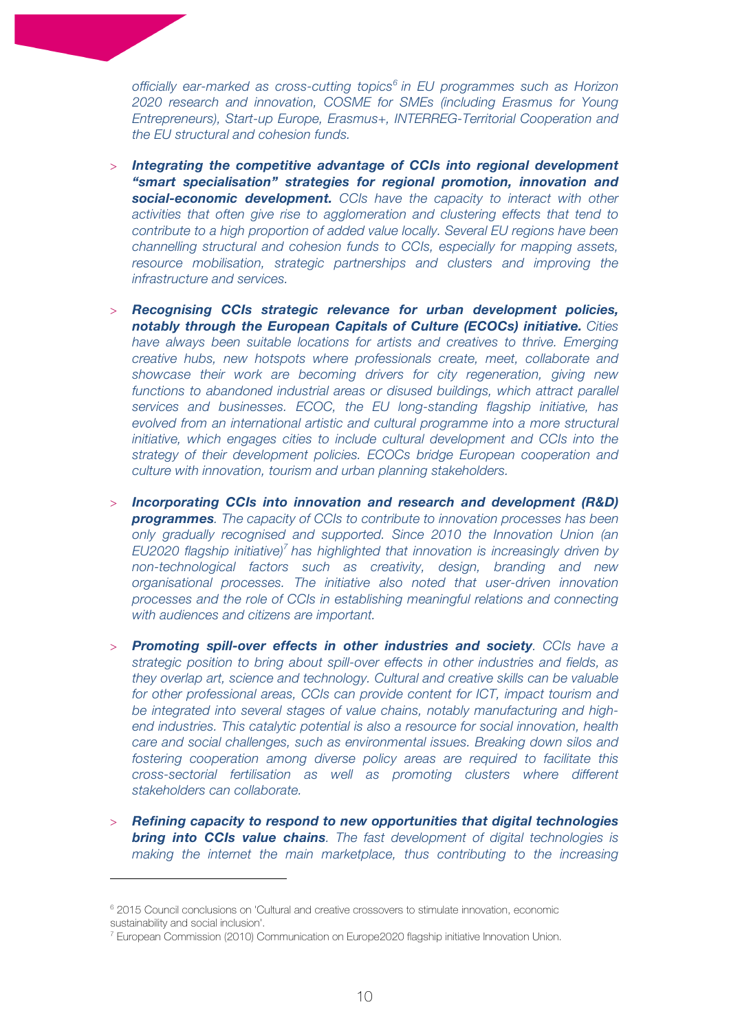*officially ear-marked as cross-cutting topics6 in EU programmes such as Horizon 2020 research and innovation, COSME for SMEs (including Erasmus for Young Entrepreneurs), Start-up Europe, Erasmus+, INTERREG-Territorial Cooperation and the EU structural and cohesion funds.*

- > *Integrating the competitive advantage of CCIs into regional development "smart specialisation" strategies for regional promotion, innovation and social-economic development. CCIs have the capacity to interact with other activities that often give rise to agglomeration and clustering effects that tend to contribute to a high proportion of added value locally. Several EU regions have been channelling structural and cohesion funds to CCIs, especially for mapping assets, resource mobilisation, strategic partnerships and clusters and improving the infrastructure and services.*
- > *Recognising CCIs strategic relevance for urban development policies, notably through the European Capitals of Culture (ECOCs) initiative. Cities have always been suitable locations for artists and creatives to thrive. Emerging creative hubs, new hotspots where professionals create, meet, collaborate and showcase their work are becoming drivers for city regeneration, giving new*  functions to abandoned industrial areas or disused buildings, which attract parallel *services and businesses. ECOC, the EU long-standing flagship initiative, has evolved from an international artistic and cultural programme into a more structural initiative, which engages cities to include cultural development and CCIs into the strategy of their development policies. ECOCs bridge European cooperation and culture with innovation, tourism and urban planning stakeholders.*
- > *Incorporating CCIs into innovation and research and development (R&D) programmes. The capacity of CCIs to contribute to innovation processes has been only gradually recognised and supported. Since 2010 the Innovation Union (an EU2020 flagship initiative)<sup>7</sup> has highlighted that innovation is increasingly driven by non-technological factors such as creativity, design, branding and new organisational processes. The initiative also noted that user-driven innovation processes and the role of CCIs in establishing meaningful relations and connecting with audiences and citizens are important.*
- > *Promoting spill-over effects in other industries and society. CCIs have a strategic position to bring about spill-over effects in other industries and fields, as they overlap art, science and technology. Cultural and creative skills can be valuable for other professional areas, CCIs can provide content for ICT, impact tourism and be integrated into several stages of value chains, notably manufacturing and highend industries. This catalytic potential is also a resource for social innovation, health care and social challenges, such as environmental issues. Breaking down silos and fostering cooperation among diverse policy areas are required to facilitate this cross-sectorial fertilisation as well as promoting clusters where different stakeholders can collaborate.*
- > *Refining capacity to respond to new opportunities that digital technologies bring into CCIs value chains. The fast development of digital technologies is making the internet the main marketplace, thus contributing to the increasing*

<sup>6</sup> 2015 Council conclusions on 'Cultural and creative crossovers to stimulate innovation, economic sustainability and social inclusion'.

<sup>7</sup> European Commission (2010) Communication on Europe2020 flagship initiative Innovation Union.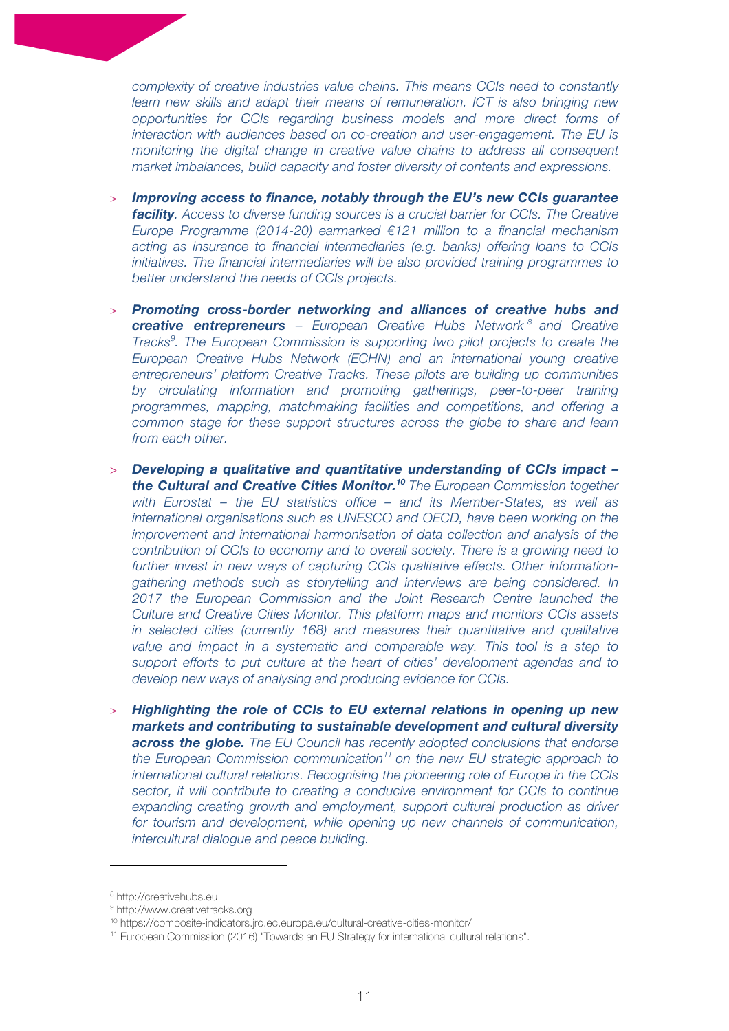*complexity of creative industries value chains. This means CCIs need to constantly learn new skills and adapt their means of remuneration. ICT is also bringing new opportunities for CCIs regarding business models and more direct forms of interaction with audiences based on co-creation and user-engagement. The EU is monitoring the digital change in creative value chains to address all consequent market imbalances, build capacity and foster diversity of contents and expressions.*

- > *Improving access to finance, notably through the EU's new CCIs guarantee facility. Access to diverse funding sources is a crucial barrier for CCIs. The Creative Europe Programme (2014-20) earmarked €121 million to a financial mechanism acting as insurance to financial intermediaries (e.g. banks) offering loans to CCIs initiatives. The financial intermediaries will be also provided training programmes to better understand the needs of CCIs projects.*
- > *Promoting cross-border networking and alliances of creative hubs and creative entrepreneurs – European Creative Hubs Network <sup>8</sup> and Creative Tracks<sup>9</sup>. The European Commission is supporting two pilot projects to create the European Creative Hubs Network (ECHN) and an international young creative entrepreneurs' platform Creative Tracks. These pilots are building up communities by circulating information and promoting gatherings, peer-to-peer training programmes, mapping, matchmaking facilities and competitions, and offering a common stage for these support structures across the globe to share and learn from each other.*
- > *Developing a qualitative and quantitative understanding of CCIs impact – the Cultural and Creative Cities Monitor. <sup>10</sup> The European Commission together with Eurostat – the EU statistics office – and its Member-States, as well as international organisations such as UNESCO and OECD, have been working on the improvement and international harmonisation of data collection and analysis of the contribution of CCIs to economy and to overall society. There is a growing need to further invest in new ways of capturing CCIs qualitative effects. Other informationgathering methods such as storytelling and interviews are being considered. In 2017 the European Commission and the Joint Research Centre launched the Culture and Creative Cities Monitor. This platform maps and monitors CCIs assets in selected cities (currently 168) and measures their quantitative and qualitative value and impact in a systematic and comparable way. This tool is a step to support efforts to put culture at the heart of cities' development agendas and to develop new ways of analysing and producing evidence for CCIs.*
- > *Highlighting the role of CCIs to EU external relations in opening up new markets and contributing to sustainable development and cultural diversity across the globe. The EU Council has recently adopted conclusions that endorse the European Commission communication11 on the new EU strategic approach to international cultural relations. Recognising the pioneering role of Europe in the CCIs sector, it will contribute to creating a conducive environment for CCIs to continue expanding creating growth and employment, support cultural production as driver for tourism and development, while opening up new channels of communication, intercultural dialogue and peace building.*

<sup>8</sup> http://creativehubs.eu

<sup>9</sup> http://www.creativetracks.org

<sup>10</sup> https://composite-indicators.jrc.ec.europa.eu/cultural-creative-cities-monitor/

<sup>11</sup> European Commission (2016) "Towards an EU Strategy for international cultural relations".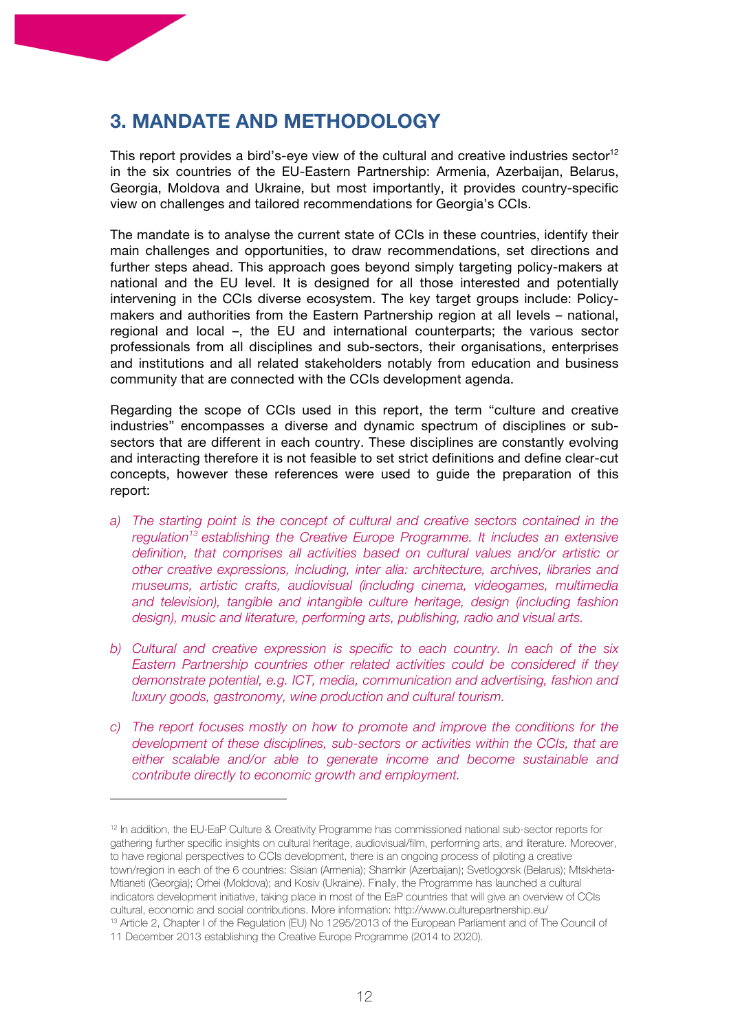# **3. MANDATE AND METHODOLOGY**

This report provides a bird's-eye view of the cultural and creative industries sector $12$ in the six countries of the EU-Eastern Partnership: Armenia, Azerbaijan, Belarus, Georgia, Moldova and Ukraine, but most importantly, it provides country-specific view on challenges and tailored recommendations for Georgia's CCIs.

The mandate is to analyse the current state of CCIs in these countries, identify their main challenges and opportunities, to draw recommendations, set directions and further steps ahead. This approach goes beyond simply targeting policy-makers at national and the EU level. It is designed for all those interested and potentially intervening in the CCIs diverse ecosystem. The key target groups include: Policymakers and authorities from the Eastern Partnership region at all levels – national, regional and local –, the EU and international counterparts; the various sector professionals from all disciplines and sub-sectors, their organisations, enterprises and institutions and all related stakeholders notably from education and business community that are connected with the CCIs development agenda.

Regarding the scope of CCIs used in this report, the term "culture and creative industries" encompasses a diverse and dynamic spectrum of disciplines or subsectors that are different in each country. These disciplines are constantly evolving and interacting therefore it is not feasible to set strict definitions and define clear-cut concepts, however these references were used to guide the preparation of this report:

- *a) The starting point is the concept of cultural and creative sectors contained in the regulation13 establishing the Creative Europe Programme. It includes an extensive definition, that comprises all activities based on cultural values and/or artistic or other creative expressions, including, inter alia: architecture, archives, libraries and museums, artistic crafts, audiovisual (including cinema, videogames, multimedia and television), tangible and intangible culture heritage, design (including fashion design), music and literature, performing arts, publishing, radio and visual arts.*
- *b) Cultural and creative expression is specific to each country. In each of the six Eastern Partnership countries other related activities could be considered if they demonstrate potential, e.g. ICT, media, communication and advertising, fashion and luxury goods, gastronomy, wine production and cultural tourism.*
- *c) The report focuses mostly on how to promote and improve the conditions for the development of these disciplines, sub-sectors or activities within the CCIs, that are either scalable and/or able to generate income and become sustainable and contribute directly to economic growth and employment.*

<sup>12</sup> In addition, the EU-EaP Culture & Creativity Programme has commissioned national sub-sector reports for gathering further specific insights on cultural heritage, audiovisual/film, performing arts, and literature. Moreover, to have regional perspectives to CCIs development, there is an ongoing process of piloting a creative town/region in each of the 6 countries: Sisian (Armenia); Shamkir (Azerbaijan); Svetlogorsk (Belarus); Mtskheta-Mtianeti (Georgia); Orhei (Moldova); and Kosiv (Ukraine). Finally, the Programme has launched a cultural indicators development initiative, taking place in most of the EaP countries that will give an overview of CCIs cultural, economic and social contributions. More information: http://www.culturepartnership.eu/ <sup>13</sup> Article 2, Chapter I of the Regulation (EU) No 1295/2013 of the European Parliament and of The Council of

<sup>11</sup> December 2013 establishing the Creative Europe Programme (2014 to 2020).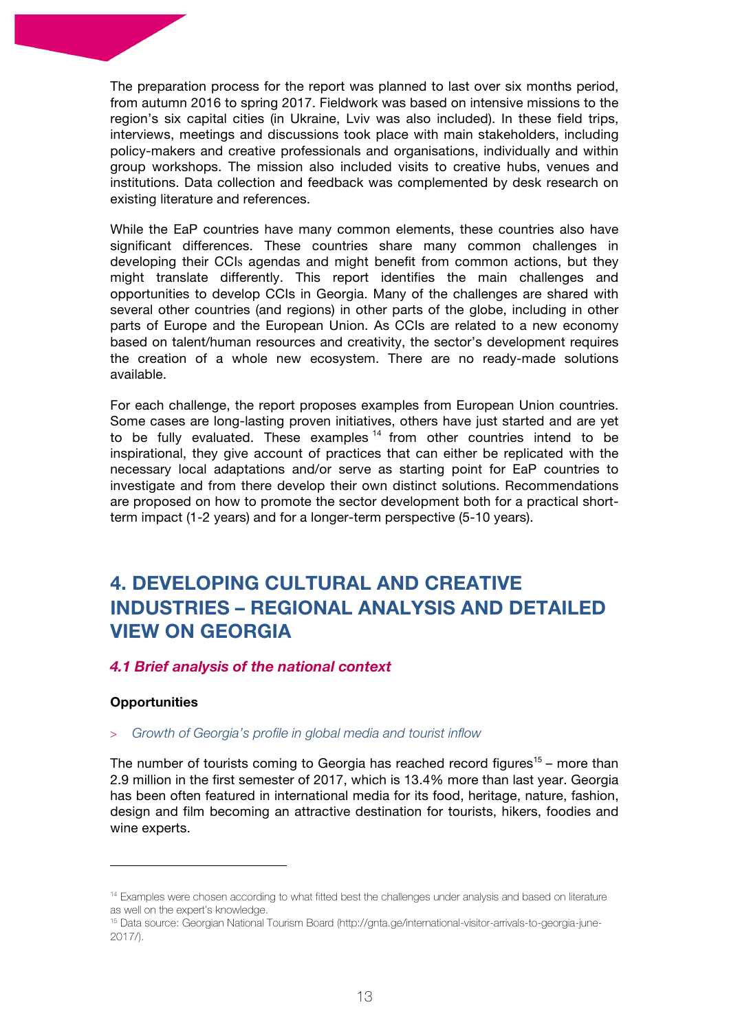The preparation process for the report was planned to last over six months period, from autumn 2016 to spring 2017. Fieldwork was based on intensive missions to the region's six capital cities (in Ukraine, Lviv was also included). In these field trips, interviews, meetings and discussions took place with main stakeholders, including policy-makers and creative professionals and organisations, individually and within group workshops. The mission also included visits to creative hubs, venues and institutions. Data collection and feedback was complemented by desk research on existing literature and references.

While the EaP countries have many common elements, these countries also have significant differences. These countries share many common challenges in developing their CCIs agendas and might benefit from common actions, but they might translate differently. This report identifies the main challenges and opportunities to develop CCIs in Georgia. Many of the challenges are shared with several other countries (and regions) in other parts of the globe, including in other parts of Europe and the European Union. As CCIs are related to a new economy based on talent/human resources and creativity, the sector's development requires the creation of a whole new ecosystem. There are no ready-made solutions available.

For each challenge, the report proposes examples from European Union countries. Some cases are long-lasting proven initiatives, others have just started and are yet to be fully evaluated. These examples  $14$  from other countries intend to be inspirational, they give account of practices that can either be replicated with the necessary local adaptations and/or serve as starting point for EaP countries to investigate and from there develop their own distinct solutions. Recommendations are proposed on how to promote the sector development both for a practical shortterm impact (1-2 years) and for a longer-term perspective (5-10 years).

# **4. DEVELOPING CULTURAL AND CREATIVE INDUSTRIES – REGIONAL ANALYSIS AND DETAILED VIEW ON GEORGIA**

# *4.1 Brief analysis of the national context*

#### **Opportunities**

 

#### > *Growth of Georgia's profile in global media and tourist inflow*

The number of tourists coming to Georgia has reached record figures<sup>15</sup> – more than 2.9 million in the first semester of 2017, which is 13.4% more than last year. Georgia has been often featured in international media for its food, heritage, nature, fashion, design and film becoming an attractive destination for tourists, hikers, foodies and wine experts.

<sup>&</sup>lt;sup>14</sup> Examples were chosen according to what fitted best the challenges under analysis and based on literature as well on the expert's knowledge.

<sup>15</sup> Data source: Georgian National Tourism Board (http://gnta.ge/international-visitor-arrivals-to-georgia-june-2017/).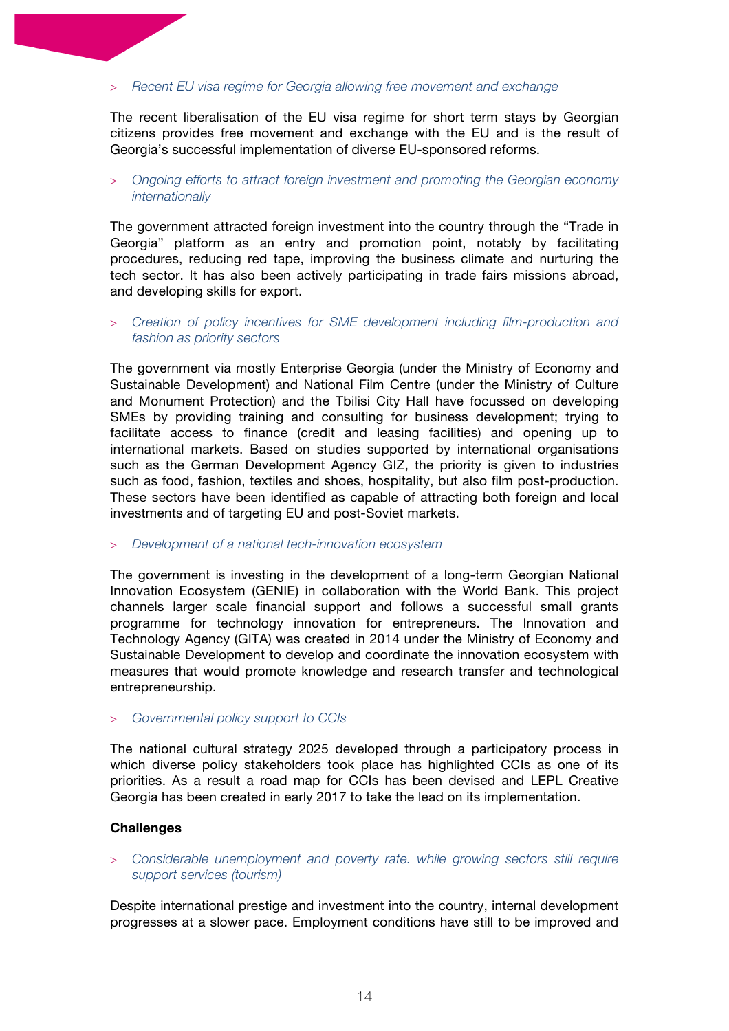#### > *Recent EU visa regime for Georgia allowing free movement and exchange*

The recent liberalisation of the EU visa regime for short term stays by Georgian citizens provides free movement and exchange with the EU and is the result of Georgia's successful implementation of diverse EU-sponsored reforms.

#### > *Ongoing efforts to attract foreign investment and promoting the Georgian economy internationally*

The government attracted foreign investment into the country through the "Trade in Georgia" platform as an entry and promotion point, notably by facilitating procedures, reducing red tape, improving the business climate and nurturing the tech sector. It has also been actively participating in trade fairs missions abroad, and developing skills for export.

> *Creation of policy incentives for SME development including film-production and fashion as priority sectors*

The government via mostly Enterprise Georgia (under the Ministry of Economy and Sustainable Development) and National Film Centre (under the Ministry of Culture and Monument Protection) and the Tbilisi City Hall have focussed on developing SMEs by providing training and consulting for business development; trying to facilitate access to finance (credit and leasing facilities) and opening up to international markets. Based on studies supported by international organisations such as the German Development Agency GIZ, the priority is given to industries such as food, fashion, textiles and shoes, hospitality, but also film post-production. These sectors have been identified as capable of attracting both foreign and local investments and of targeting EU and post-Soviet markets.

#### > *Development of a national tech-innovation ecosystem*

The government is investing in the development of a long-term Georgian National Innovation Ecosystem (GENIE) in collaboration with the World Bank. This project channels larger scale financial support and follows a successful small grants programme for technology innovation for entrepreneurs. The Innovation and Technology Agency (GITA) was created in 2014 under the Ministry of Economy and Sustainable Development to develop and coordinate the innovation ecosystem with measures that would promote knowledge and research transfer and technological entrepreneurship.

> *Governmental policy support to CCIs*

The national cultural strategy 2025 developed through a participatory process in which diverse policy stakeholders took place has highlighted CCIs as one of its priorities. As a result a road map for CCIs has been devised and LEPL Creative Georgia has been created in early 2017 to take the lead on its implementation.

#### **Challenges**

> *Considerable unemployment and poverty rate. while growing sectors still require support services (tourism)*

Despite international prestige and investment into the country, internal development progresses at a slower pace. Employment conditions have still to be improved and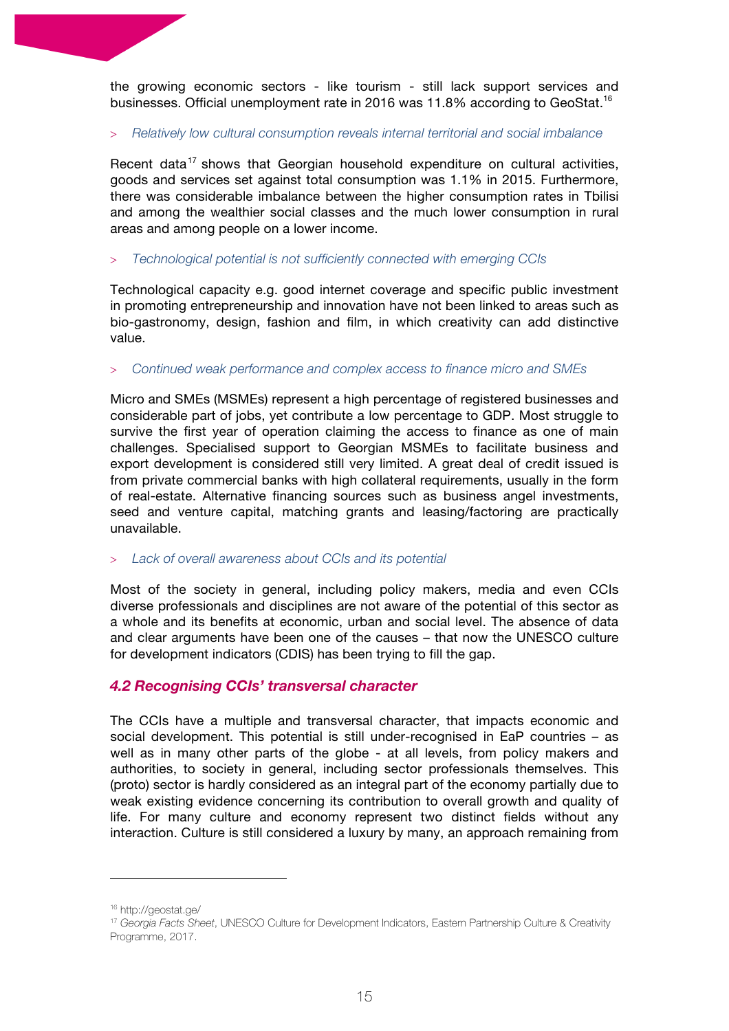the growing economic sectors - like tourism - still lack support services and businesses. Official unemployment rate in 2016 was 11.8% according to GeoStat.<sup>16</sup>

#### > *Relatively low cultural consumption reveals internal territorial and social imbalance*

Recent data<sup>17</sup> shows that Georgian household expenditure on cultural activities, goods and services set against total consumption was 1.1% in 2015. Furthermore, there was considerable imbalance between the higher consumption rates in Tbilisi and among the wealthier social classes and the much lower consumption in rural areas and among people on a lower income.

#### > *Technological potential is not sufficiently connected with emerging CCIs*

Technological capacity e.g. good internet coverage and specific public investment in promoting entrepreneurship and innovation have not been linked to areas such as bio-gastronomy, design, fashion and film, in which creativity can add distinctive value.

#### > *Continued weak performance and complex access to finance micro and SMEs*

Micro and SMEs (MSMEs) represent a high percentage of registered businesses and considerable part of jobs, yet contribute a low percentage to GDP. Most struggle to survive the first year of operation claiming the access to finance as one of main challenges. Specialised support to Georgian MSMEs to facilitate business and export development is considered still very limited. A great deal of credit issued is from private commercial banks with high collateral requirements, usually in the form of real-estate. Alternative financing sources such as business angel investments, seed and venture capital, matching grants and leasing/factoring are practically unavailable.

#### > *Lack of overall awareness about CCIs and its potential*

Most of the society in general, including policy makers, media and even CCIs diverse professionals and disciplines are not aware of the potential of this sector as a whole and its benefits at economic, urban and social level. The absence of data and clear arguments have been one of the causes – that now the UNESCO culture for development indicators (CDIS) has been trying to fill the gap.

# *4.2 Recognising CCIs' transversal character*

The CCIs have a multiple and transversal character, that impacts economic and social development. This potential is still under-recognised in EaP countries – as well as in many other parts of the globe - at all levels, from policy makers and authorities, to society in general, including sector professionals themselves. This (proto) sector is hardly considered as an integral part of the economy partially due to weak existing evidence concerning its contribution to overall growth and quality of life. For many culture and economy represent two distinct fields without any interaction. Culture is still considered a luxury by many, an approach remaining from

<sup>16</sup> http://geostat.ge/

<sup>17</sup> *Georgia Facts Sheet*, UNESCO Culture for Development Indicators, Eastern Partnership Culture & Creativity Programme, 2017.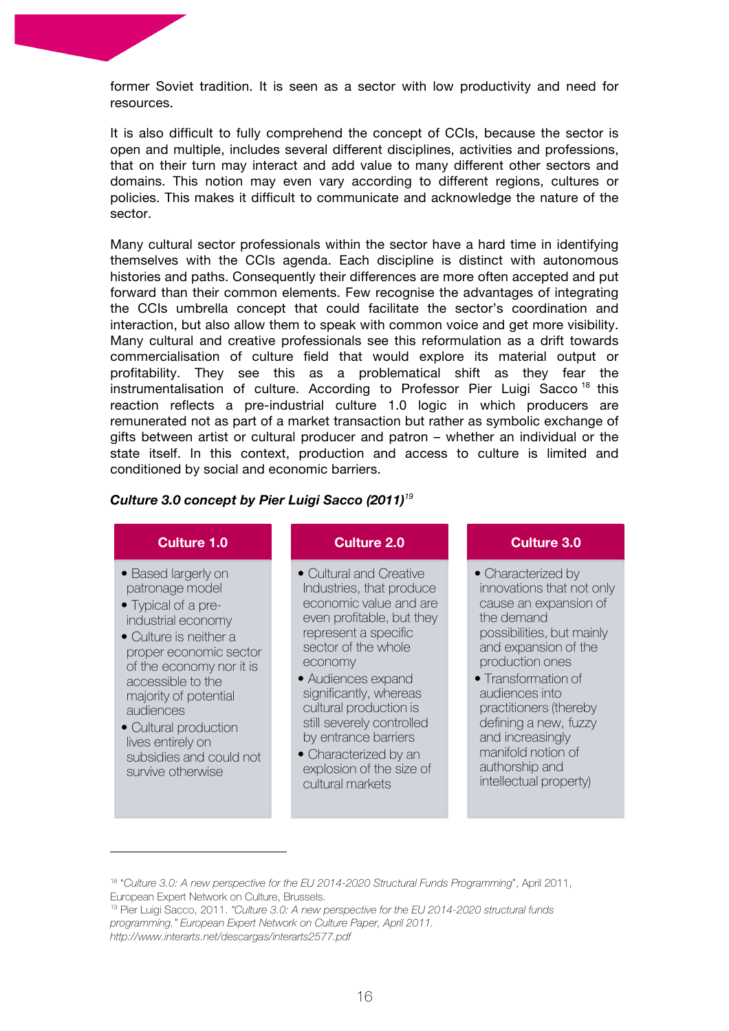former Soviet tradition. It is seen as a sector with low productivity and need for resources.

It is also difficult to fully comprehend the concept of CCIs, because the sector is open and multiple, includes several different disciplines, activities and professions, that on their turn may interact and add value to many different other sectors and domains. This notion may even vary according to different regions, cultures or policies. This makes it difficult to communicate and acknowledge the nature of the sector.

Many cultural sector professionals within the sector have a hard time in identifying themselves with the CCIs agenda. Each discipline is distinct with autonomous histories and paths. Consequently their differences are more often accepted and put forward than their common elements. Few recognise the advantages of integrating the CCIs umbrella concept that could facilitate the sector's coordination and interaction, but also allow them to speak with common voice and get more visibility. Many cultural and creative professionals see this reformulation as a drift towards commercialisation of culture field that would explore its material output or profitability. They see this as a problematical shift as they fear the instrumentalisation of culture. According to Professor Pier Luigi Sacco<sup>18</sup> this reaction reflects a pre-industrial culture 1.0 logic in which producers are remunerated not as part of a market transaction but rather as symbolic exchange of gifts between artist or cultural producer and patron – whether an individual or the state itself. In this context, production and access to culture is limited and conditioned by social and economic barriers.

#### *Culture 3.0 concept by Pier Luigi Sacco (2011)<sup>19</sup>*

# **Culture 1.0**

- Based largerly on patronage model
- Typical of a preindustrial economy
- Culture is neither a proper economic sector of the economy nor it is accessible to the majority of potential audiences
- Cultural production lives entirely on subsidies and could not survive otherwise

 

# **Culture 2.0**

- Cultural and Creative Industries, that produce economic value and are even profitable, but they represent a specific sector of the whole economy
- Audiences expand significantly, whereas cultural production is still severely controlled by entrance barriers
- Characterized by an explosion of the size of cultural markets

#### **Culture 3.0**

- Characterized by innovations that not only cause an expansion of the demand possibilities, but mainly and expansion of the production ones
- Transformation of audiences into practitioners (thereby defining a new, fuzzy and increasingly manifold notion of authorship and intellectual property)

<sup>18</sup> "*Culture 3.0: A new perspective for the EU 2014-2020 Structural Funds Programming*", April 2011, European Expert Network on Culture, Brussels.

<sup>19</sup> Pier Luigi Sacco, 2011. *"Culture 3.0: A new perspective for the EU 2014-2020 structural funds programming." European Expert Network on Culture Paper, April 2011. http://www.interarts.net/descargas/interarts2577.pdf*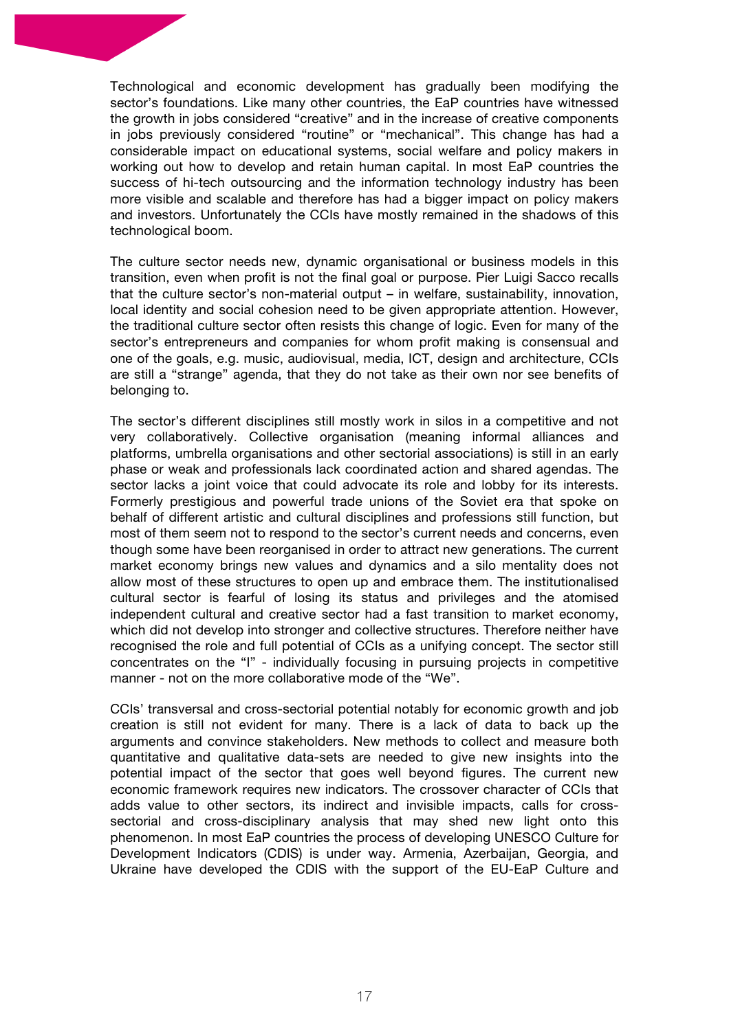Technological and economic development has gradually been modifying the sector's foundations. Like many other countries, the EaP countries have witnessed the growth in jobs considered "creative" and in the increase of creative components in jobs previously considered "routine" or "mechanical". This change has had a considerable impact on educational systems, social welfare and policy makers in working out how to develop and retain human capital. In most EaP countries the success of hi-tech outsourcing and the information technology industry has been more visible and scalable and therefore has had a bigger impact on policy makers and investors. Unfortunately the CCIs have mostly remained in the shadows of this technological boom.

The culture sector needs new, dynamic organisational or business models in this transition, even when profit is not the final goal or purpose. Pier Luigi Sacco recalls that the culture sector's non-material output – in welfare, sustainability, innovation, local identity and social cohesion need to be given appropriate attention. However, the traditional culture sector often resists this change of logic. Even for many of the sector's entrepreneurs and companies for whom profit making is consensual and one of the goals, e.g. music, audiovisual, media, ICT, design and architecture, CCIs are still a "strange" agenda, that they do not take as their own nor see benefits of belonging to.

The sector's different disciplines still mostly work in silos in a competitive and not very collaboratively. Collective organisation (meaning informal alliances and platforms, umbrella organisations and other sectorial associations) is still in an early phase or weak and professionals lack coordinated action and shared agendas. The sector lacks a joint voice that could advocate its role and lobby for its interests. Formerly prestigious and powerful trade unions of the Soviet era that spoke on behalf of different artistic and cultural disciplines and professions still function, but most of them seem not to respond to the sector's current needs and concerns, even though some have been reorganised in order to attract new generations. The current market economy brings new values and dynamics and a silo mentality does not allow most of these structures to open up and embrace them. The institutionalised cultural sector is fearful of losing its status and privileges and the atomised independent cultural and creative sector had a fast transition to market economy, which did not develop into stronger and collective structures. Therefore neither have recognised the role and full potential of CCIs as a unifying concept. The sector still concentrates on the "I" - individually focusing in pursuing projects in competitive manner - not on the more collaborative mode of the "We".

CCIs' transversal and cross-sectorial potential notably for economic growth and job creation is still not evident for many. There is a lack of data to back up the arguments and convince stakeholders. New methods to collect and measure both quantitative and qualitative data-sets are needed to give new insights into the potential impact of the sector that goes well beyond figures. The current new economic framework requires new indicators. The crossover character of CCIs that adds value to other sectors, its indirect and invisible impacts, calls for crosssectorial and cross-disciplinary analysis that may shed new light onto this phenomenon. In most EaP countries the process of developing UNESCO Culture for Development Indicators (CDIS) is under way. Armenia, Azerbaijan, Georgia, and Ukraine have developed the CDIS with the support of the EU-EaP Culture and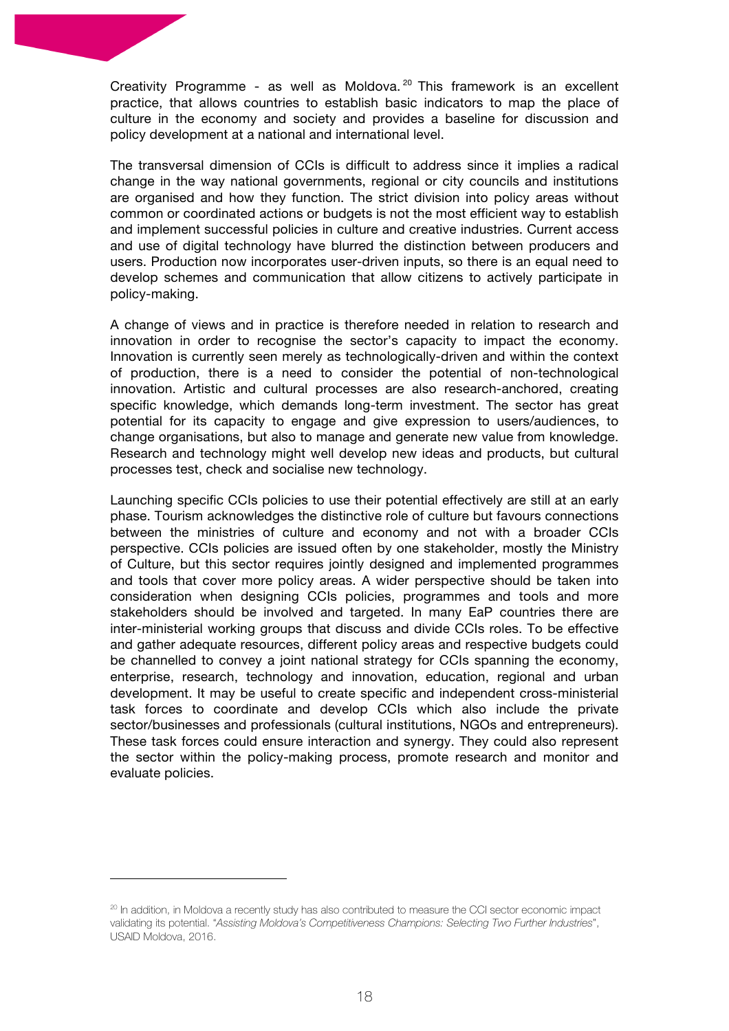Creativity Programme - as well as Moldova.<sup>20</sup> This framework is an excellent practice, that allows countries to establish basic indicators to map the place of culture in the economy and society and provides a baseline for discussion and policy development at a national and international level.

The transversal dimension of CCIs is difficult to address since it implies a radical change in the way national governments, regional or city councils and institutions are organised and how they function. The strict division into policy areas without common or coordinated actions or budgets is not the most efficient way to establish and implement successful policies in culture and creative industries. Current access and use of digital technology have blurred the distinction between producers and users. Production now incorporates user-driven inputs, so there is an equal need to develop schemes and communication that allow citizens to actively participate in policy-making.

A change of views and in practice is therefore needed in relation to research and innovation in order to recognise the sector's capacity to impact the economy. Innovation is currently seen merely as technologically-driven and within the context of production, there is a need to consider the potential of non-technological innovation. Artistic and cultural processes are also research-anchored, creating specific knowledge, which demands long-term investment. The sector has great potential for its capacity to engage and give expression to users/audiences, to change organisations, but also to manage and generate new value from knowledge. Research and technology might well develop new ideas and products, but cultural processes test, check and socialise new technology.

Launching specific CCIs policies to use their potential effectively are still at an early phase. Tourism acknowledges the distinctive role of culture but favours connections between the ministries of culture and economy and not with a broader CCIs perspective. CCIs policies are issued often by one stakeholder, mostly the Ministry of Culture, but this sector requires jointly designed and implemented programmes and tools that cover more policy areas. A wider perspective should be taken into consideration when designing CCIs policies, programmes and tools and more stakeholders should be involved and targeted. In many EaP countries there are inter-ministerial working groups that discuss and divide CCIs roles. To be effective and gather adequate resources, different policy areas and respective budgets could be channelled to convey a joint national strategy for CCIs spanning the economy, enterprise, research, technology and innovation, education, regional and urban development. It may be useful to create specific and independent cross-ministerial task forces to coordinate and develop CCIs which also include the private sector/businesses and professionals (cultural institutions, NGOs and entrepreneurs). These task forces could ensure interaction and synergy. They could also represent the sector within the policy-making process, promote research and monitor and evaluate policies.

<sup>&</sup>lt;sup>20</sup> In addition, in Moldova a recently study has also contributed to measure the CCI sector economic impact validating its potential. "*Assisting Moldova's Competitiveness Champions: Selecting Two Further Industries*", USAID Moldova, 2016.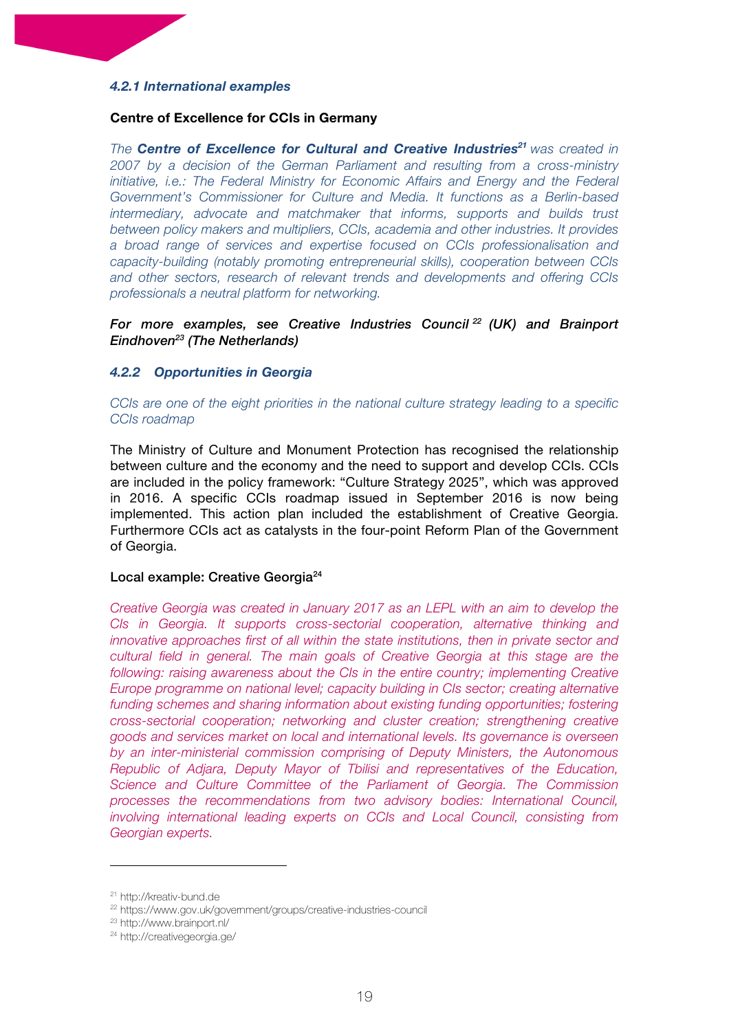# *4.2.1 International examples*

#### **Centre of Excellence for CCIs in Germany**

*The Centre of Excellence for Cultural and Creative Industries<sup>21</sup> was created in 2007 by a decision of the German Parliament and resulting from a cross-ministry initiative, i.e.: The Federal Ministry for Economic Affairs and Energy and the Federal Government's Commissioner for Culture and Media. It functions as a Berlin-based intermediary, advocate and matchmaker that informs, supports and builds trust between policy makers and multipliers, CCIs, academia and other industries. It provides a broad range of services and expertise focused on CCIs professionalisation and capacity-building (notably promoting entrepreneurial skills), cooperation between CCIs and other sectors, research of relevant trends and developments and offering CCIs professionals a neutral platform for networking.* 

*For more examples, see Creative Industries Council <sup>22</sup> (UK) and Brainport Eindhoven23 (The Netherlands)*

#### *4.2.2 Opportunities in Georgia*

*CCIs are one of the eight priorities in the national culture strategy leading to a specific CCIs roadmap*

The Ministry of Culture and Monument Protection has recognised the relationship between culture and the economy and the need to support and develop CCIs. CCIs are included in the policy framework: "Culture Strategy 2025", which was approved in 2016. A specific CCIs roadmap issued in September 2016 is now being implemented. This action plan included the establishment of Creative Georgia. Furthermore CCIs act as catalysts in the four-point Reform Plan of the Government of Georgia.

#### Local example: Creative Georgia<sup>24</sup>

*Creative Georgia was created in January 2017 as an LEPL with an aim to develop the CIs in Georgia. It supports cross-sectorial cooperation, alternative thinking and innovative approaches first of all within the state institutions, then in private sector and cultural field in general. The main goals of Creative Georgia at this stage are the following: raising awareness about the CIs in the entire country; implementing Creative Europe programme on national level; capacity building in CIs sector; creating alternative funding schemes and sharing information about existing funding opportunities; fostering cross-sectorial cooperation; networking and cluster creation; strengthening creative goods and services market on local and international levels. Its governance is overseen by an inter-ministerial commission comprising of Deputy Ministers, the Autonomous Republic of Adjara, Deputy Mayor of Tbilisi and representatives of the Education, Science and Culture Committee of the Parliament of Georgia. The Commission processes the recommendations from two advisory bodies: International Council, involving international leading experts on CCIs and Local Council, consisting from Georgian experts.*

<sup>21</sup> http://kreativ-bund.de

<sup>22</sup> https://www.gov.uk/government/groups/creative-industries-council

<sup>23</sup> http://www.brainport.nl/

<sup>24</sup> http://creativegeorgia.ge/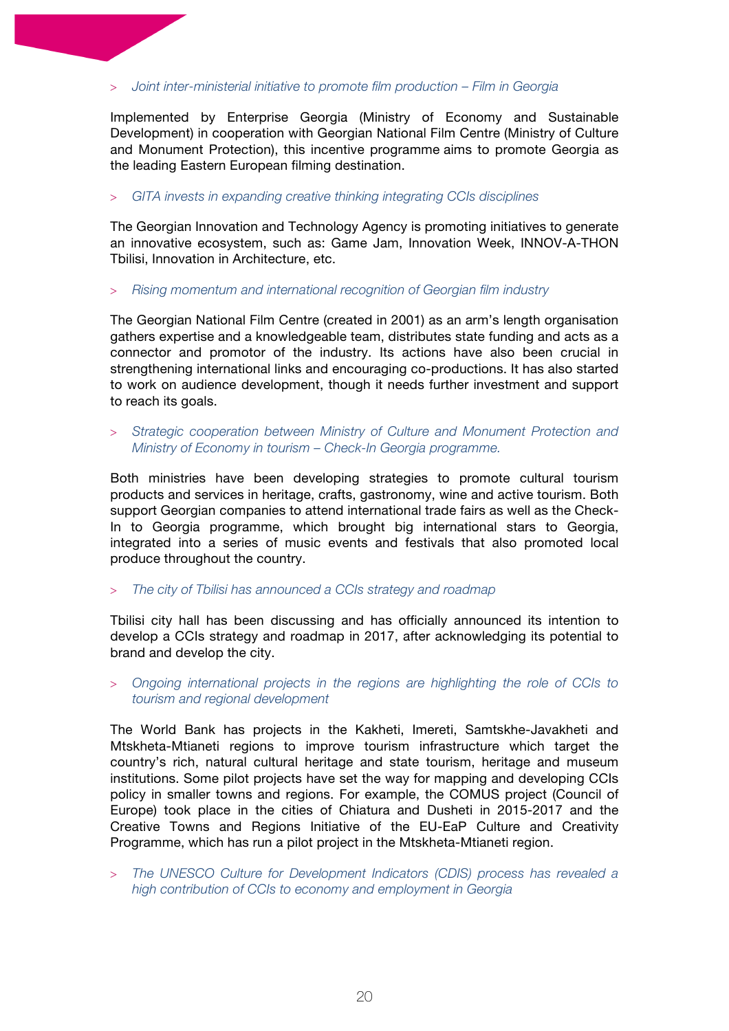> *Joint inter-ministerial initiative to promote film production – Film in Georgia*

Implemented by Enterprise Georgia (Ministry of Economy and Sustainable Development) in cooperation with Georgian National Film Centre (Ministry of Culture and Monument Protection), this incentive programme aims to promote Georgia as the leading Eastern European filming destination.

> *GITA invests in expanding creative thinking integrating CCIs disciplines*

The Georgian Innovation and Technology Agency is promoting initiatives to generate an innovative ecosystem, such as: Game Jam, Innovation Week, INNOV-A-THON Tbilisi, Innovation in Architecture, etc.

> *Rising momentum and international recognition of Georgian film industry* 

The Georgian National Film Centre (created in 2001) as an arm's length organisation gathers expertise and a knowledgeable team, distributes state funding and acts as a connector and promotor of the industry. Its actions have also been crucial in strengthening international links and encouraging co-productions. It has also started to work on audience development, though it needs further investment and support to reach its goals.

> *Strategic cooperation between Ministry of Culture and Monument Protection and Ministry of Economy in tourism – Check-In Georgia programme.*

Both ministries have been developing strategies to promote cultural tourism products and services in heritage, crafts, gastronomy, wine and active tourism. Both support Georgian companies to attend international trade fairs as well as the Check-In to Georgia programme, which brought big international stars to Georgia, integrated into a series of music events and festivals that also promoted local produce throughout the country.

> *The city of Tbilisi has announced a CCIs strategy and roadmap*

Tbilisi city hall has been discussing and has officially announced its intention to develop a CCIs strategy and roadmap in 2017, after acknowledging its potential to brand and develop the city.

> *Ongoing international projects in the regions are highlighting the role of CCIs to tourism and regional development*

The World Bank has projects in the Kakheti, Imereti, Samtskhe-Javakheti and Mtskheta-Mtianeti regions to improve tourism infrastructure which target the country's rich, natural cultural heritage and state tourism, heritage and museum institutions. Some pilot projects have set the way for mapping and developing CCIs policy in smaller towns and regions. For example, the COMUS project (Council of Europe) took place in the cities of Chiatura and Dusheti in 2015-2017 and the Creative Towns and Regions Initiative of the EU-EaP Culture and Creativity Programme, which has run a pilot project in the Mtskheta-Mtianeti region.

> *The UNESCO Culture for Development Indicators (CDIS) process has revealed a high contribution of CCIs to economy and employment in Georgia*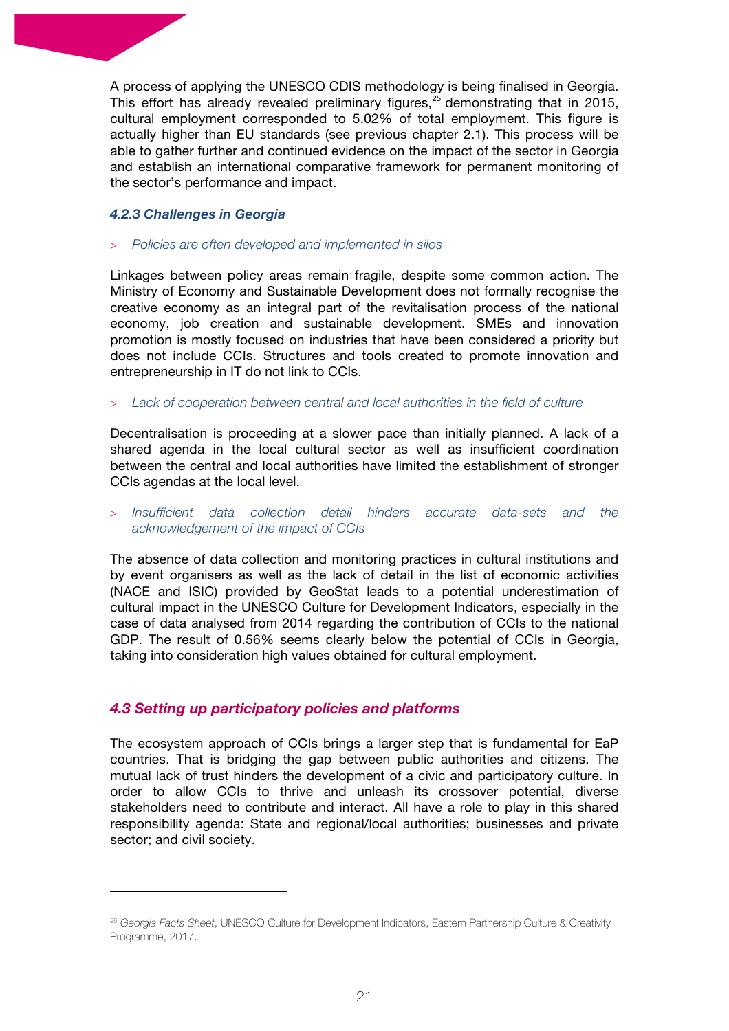A process of applying the UNESCO CDIS methodology is being finalised in Georgia. This effort has already revealed preliminary figures,<sup>25</sup> demonstrating that in 2015, cultural employment corresponded to 5.02% of total employment. This figure is actually higher than EU standards (see previous chapter 2.1). This process will be able to gather further and continued evidence on the impact of the sector in Georgia and establish an international comparative framework for permanent monitoring of the sector's performance and impact.

#### *4.2.3 Challenges in Georgia*

#### > *Policies are often developed and implemented in silos*

Linkages between policy areas remain fragile, despite some common action. The Ministry of Economy and Sustainable Development does not formally recognise the creative economy as an integral part of the revitalisation process of the national economy, job creation and sustainable development. SMEs and innovation promotion is mostly focused on industries that have been considered a priority but does not include CCIs. Structures and tools created to promote innovation and entrepreneurship in IT do not link to CCIs.

#### > *Lack of cooperation between central and local authorities in the field of culture*

Decentralisation is proceeding at a slower pace than initially planned. A lack of a shared agenda in the local cultural sector as well as insufficient coordination between the central and local authorities have limited the establishment of stronger CCIs agendas at the local level.

> *Insufficient data collection detail hinders accurate data-sets and the acknowledgement of the impact of CCIs*

The absence of data collection and monitoring practices in cultural institutions and by event organisers as well as the lack of detail in the list of economic activities (NACE and ISIC) provided by GeoStat leads to a potential underestimation of cultural impact in the UNESCO Culture for Development Indicators, especially in the case of data analysed from 2014 regarding the contribution of CCIs to the national GDP. The result of 0.56% seems clearly below the potential of CCIs in Georgia, taking into consideration high values obtained for cultural employment.

# *4.3 Setting up participatory policies and platforms*

 

The ecosystem approach of CCIs brings a larger step that is fundamental for EaP countries. That is bridging the gap between public authorities and citizens. The mutual lack of trust hinders the development of a civic and participatory culture. In order to allow CCIs to thrive and unleash its crossover potential, diverse stakeholders need to contribute and interact. All have a role to play in this shared responsibility agenda: State and regional/local authorities; businesses and private sector; and civil society.

<sup>25</sup> *Georgia Facts Sheet*, UNESCO Culture for Development Indicators, Eastern Partnership Culture & Creativity Programme, 2017.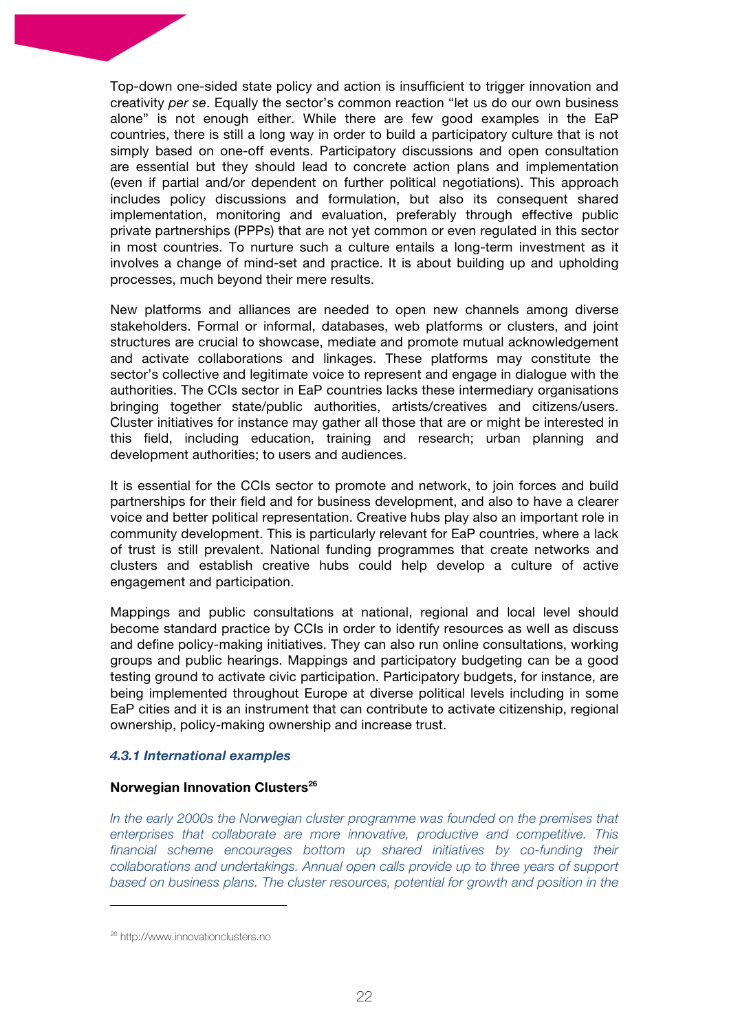Top-down one-sided state policy and action is insufficient to trigger innovation and creativity *per se*. Equally the sector's common reaction "let us do our own business alone" is not enough either. While there are few good examples in the EaP countries, there is still a long way in order to build a participatory culture that is not simply based on one-off events. Participatory discussions and open consultation are essential but they should lead to concrete action plans and implementation (even if partial and/or dependent on further political negotiations). This approach includes policy discussions and formulation, but also its consequent shared implementation, monitoring and evaluation, preferably through effective public private partnerships (PPPs) that are not yet common or even regulated in this sector in most countries. To nurture such a culture entails a long-term investment as it involves a change of mind-set and practice. It is about building up and upholding processes, much beyond their mere results.

New platforms and alliances are needed to open new channels among diverse stakeholders. Formal or informal, databases, web platforms or clusters, and joint structures are crucial to showcase, mediate and promote mutual acknowledgement and activate collaborations and linkages. These platforms may constitute the sector's collective and legitimate voice to represent and engage in dialogue with the authorities. The CCIs sector in EaP countries lacks these intermediary organisations bringing together state/public authorities, artists/creatives and citizens/users. Cluster initiatives for instance may gather all those that are or might be interested in this field, including education, training and research; urban planning and development authorities; to users and audiences.

It is essential for the CCIs sector to promote and network, to join forces and build partnerships for their field and for business development, and also to have a clearer voice and better political representation. Creative hubs play also an important role in community development. This is particularly relevant for EaP countries, where a lack of trust is still prevalent. National funding programmes that create networks and clusters and establish creative hubs could help develop a culture of active engagement and participation.

Mappings and public consultations at national, regional and local level should become standard practice by CCIs in order to identify resources as well as discuss and define policy-making initiatives. They can also run online consultations, working groups and public hearings. Mappings and participatory budgeting can be a good testing ground to activate civic participation. Participatory budgets, for instance, are being implemented throughout Europe at diverse political levels including in some EaP cities and it is an instrument that can contribute to activate citizenship, regional ownership, policy-making ownership and increase trust.

#### *4.3.1 International examples*

#### **Norwegian Innovation Clusters<sup>26</sup>**

In the early 2000s the Norwegian cluster programme was founded on the premises that *enterprises that collaborate are more innovative, productive and competitive. This*  financial scheme encourages bottom up shared initiatives by co-funding their *collaborations and undertakings. Annual open calls provide up to three years of support based on business plans. The cluster resources, potential for growth and position in the* 

<sup>26</sup> http://www.innovationclusters.no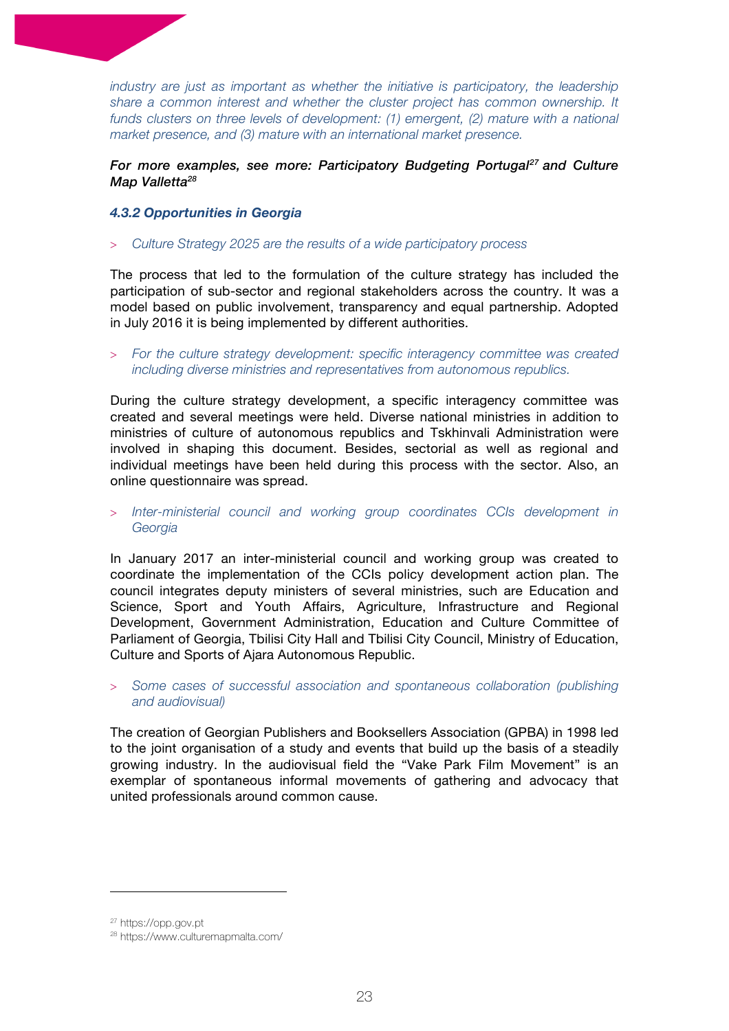*industry are just as important as whether the initiative is participatory, the leadership share a common interest and whether the cluster project has common ownership. It funds clusters on three levels of development: (1) emergent, (2) mature with a national market presence, and (3) mature with an international market presence.*

# *For more examples, see more: Participatory Budgeting Portugal27 and Culture Map Valletta28*

#### *4.3.2 Opportunities in Georgia*

#### > *Culture Strategy 2025 are the results of a wide participatory process*

The process that led to the formulation of the culture strategy has included the participation of sub-sector and regional stakeholders across the country. It was a model based on public involvement, transparency and equal partnership. Adopted in July 2016 it is being implemented by different authorities.

> *For the culture strategy development: specific interagency committee was created including diverse ministries and representatives from autonomous republics.*

During the culture strategy development, a specific interagency committee was created and several meetings were held. Diverse national ministries in addition to ministries of culture of autonomous republics and Tskhinvali Administration were involved in shaping this document. Besides, sectorial as well as regional and individual meetings have been held during this process with the sector. Also, an online questionnaire was spread.

> *Inter-ministerial council and working group coordinates CCIs development in Georgia*

In January 2017 an inter-ministerial council and working group was created to coordinate the implementation of the CCIs policy development action plan. The council integrates deputy ministers of several ministries, such are Education and Science, Sport and Youth Affairs, Agriculture, Infrastructure and Regional Development, Government Administration, Education and Culture Committee of Parliament of Georgia, Tbilisi City Hall and Tbilisi City Council, Ministry of Education, Culture and Sports of Ajara Autonomous Republic.

> *Some cases of successful association and spontaneous collaboration (publishing and audiovisual)*

The creation of Georgian Publishers and Booksellers Association (GPBA) in 1998 led to the joint organisation of a study and events that build up the basis of a steadily growing industry. In the audiovisual field the "Vake Park Film Movement" is an exemplar of spontaneous informal movements of gathering and advocacy that united professionals around common cause.

<sup>27</sup> https://opp.gov.pt

<sup>28</sup> https://www.culturemapmalta.com/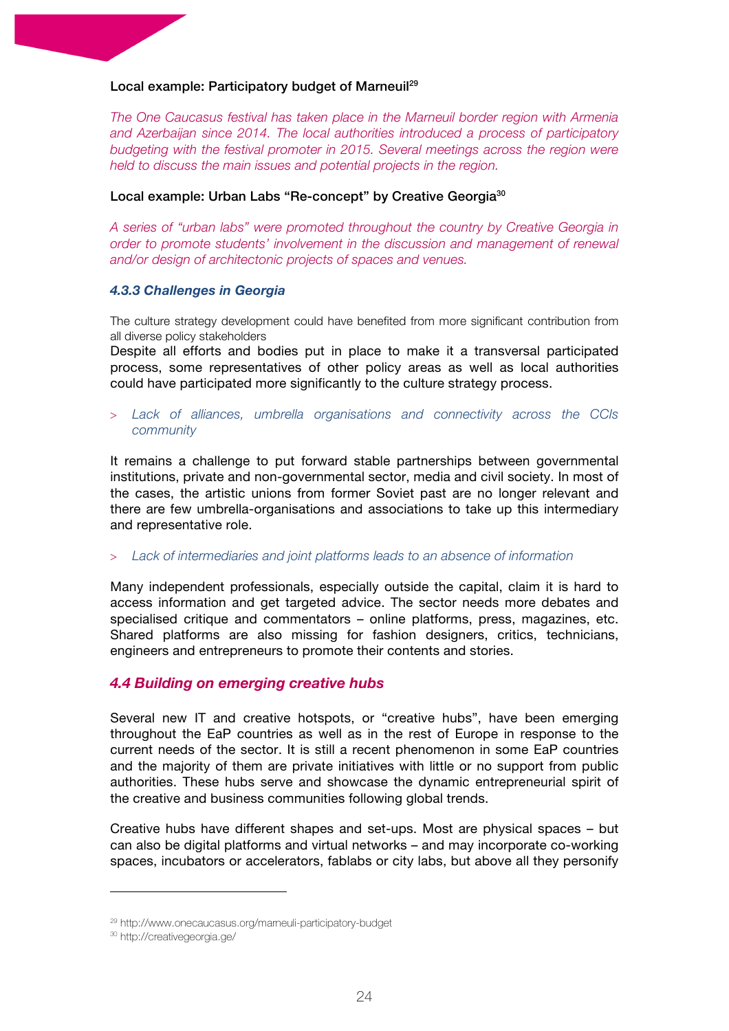#### Local example: Participatory budget of Marneuil<sup>29</sup>

*The One Caucasus festival has taken place in the Marneuil border region with Armenia and Azerbaijan since 2014. The local authorities introduced a process of participatory budgeting with the festival promoter in 2015. Several meetings across the region were held to discuss the main issues and potential projects in the region.*

#### Local example: Urban Labs "Re-concept" by Creative Georgia<sup>30</sup>

*A series of "urban labs" were promoted throughout the country by Creative Georgia in order to promote students' involvement in the discussion and management of renewal and/or design of architectonic projects of spaces and venues.* 

#### *4.3.3 Challenges in Georgia*

The culture strategy development could have benefited from more significant contribution from all diverse policy stakeholders

Despite all efforts and bodies put in place to make it a transversal participated process, some representatives of other policy areas as well as local authorities could have participated more significantly to the culture strategy process.

> *Lack of alliances, umbrella organisations and connectivity across the CCIs community*

It remains a challenge to put forward stable partnerships between governmental institutions, private and non-governmental sector, media and civil society. In most of the cases, the artistic unions from former Soviet past are no longer relevant and there are few umbrella-organisations and associations to take up this intermediary and representative role.

#### > *Lack of intermediaries and joint platforms leads to an absence of information*

Many independent professionals, especially outside the capital, claim it is hard to access information and get targeted advice. The sector needs more debates and specialised critique and commentators – online platforms, press, magazines, etc. Shared platforms are also missing for fashion designers, critics, technicians, engineers and entrepreneurs to promote their contents and stories.

#### *4.4 Building on emerging creative hubs*

Several new IT and creative hotspots, or "creative hubs", have been emerging throughout the EaP countries as well as in the rest of Europe in response to the current needs of the sector. It is still a recent phenomenon in some EaP countries and the majority of them are private initiatives with little or no support from public authorities. These hubs serve and showcase the dynamic entrepreneurial spirit of the creative and business communities following global trends.

Creative hubs have different shapes and set-ups. Most are physical spaces – but can also be digital platforms and virtual networks – and may incorporate co-working spaces, incubators or accelerators, fablabs or city labs, but above all they personify

<sup>29</sup> http://www.onecaucasus.org/marneuli-participatory-budget

<sup>30</sup> http://creativegeorgia.ge/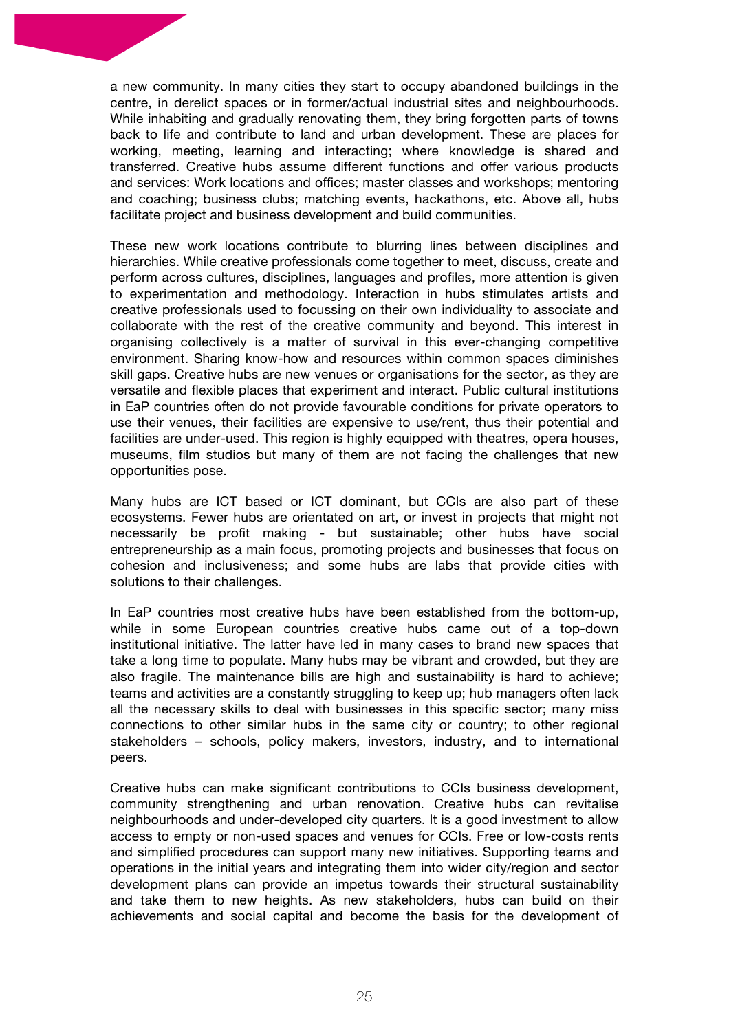a new community. In many cities they start to occupy abandoned buildings in the centre, in derelict spaces or in former/actual industrial sites and neighbourhoods. While inhabiting and gradually renovating them, they bring forgotten parts of towns back to life and contribute to land and urban development. These are places for working, meeting, learning and interacting; where knowledge is shared and transferred. Creative hubs assume different functions and offer various products and services: Work locations and offices; master classes and workshops; mentoring and coaching; business clubs; matching events, hackathons, etc. Above all, hubs facilitate project and business development and build communities.

These new work locations contribute to blurring lines between disciplines and hierarchies. While creative professionals come together to meet, discuss, create and perform across cultures, disciplines, languages and profiles, more attention is given to experimentation and methodology. Interaction in hubs stimulates artists and creative professionals used to focussing on their own individuality to associate and collaborate with the rest of the creative community and beyond. This interest in organising collectively is a matter of survival in this ever-changing competitive environment. Sharing know-how and resources within common spaces diminishes skill gaps. Creative hubs are new venues or organisations for the sector, as they are versatile and flexible places that experiment and interact. Public cultural institutions in EaP countries often do not provide favourable conditions for private operators to use their venues, their facilities are expensive to use/rent, thus their potential and facilities are under-used. This region is highly equipped with theatres, opera houses, museums, film studios but many of them are not facing the challenges that new opportunities pose.

Many hubs are ICT based or ICT dominant, but CCIs are also part of these ecosystems. Fewer hubs are orientated on art, or invest in projects that might not necessarily be profit making - but sustainable; other hubs have social entrepreneurship as a main focus, promoting projects and businesses that focus on cohesion and inclusiveness; and some hubs are labs that provide cities with solutions to their challenges.

In EaP countries most creative hubs have been established from the bottom-up, while in some European countries creative hubs came out of a top-down institutional initiative. The latter have led in many cases to brand new spaces that take a long time to populate. Many hubs may be vibrant and crowded, but they are also fragile. The maintenance bills are high and sustainability is hard to achieve; teams and activities are a constantly struggling to keep up; hub managers often lack all the necessary skills to deal with businesses in this specific sector; many miss connections to other similar hubs in the same city or country; to other regional stakeholders – schools, policy makers, investors, industry, and to international peers.

Creative hubs can make significant contributions to CCIs business development, community strengthening and urban renovation. Creative hubs can revitalise neighbourhoods and under-developed city quarters. It is a good investment to allow access to empty or non-used spaces and venues for CCIs. Free or low-costs rents and simplified procedures can support many new initiatives. Supporting teams and operations in the initial years and integrating them into wider city/region and sector development plans can provide an impetus towards their structural sustainability and take them to new heights. As new stakeholders, hubs can build on their achievements and social capital and become the basis for the development of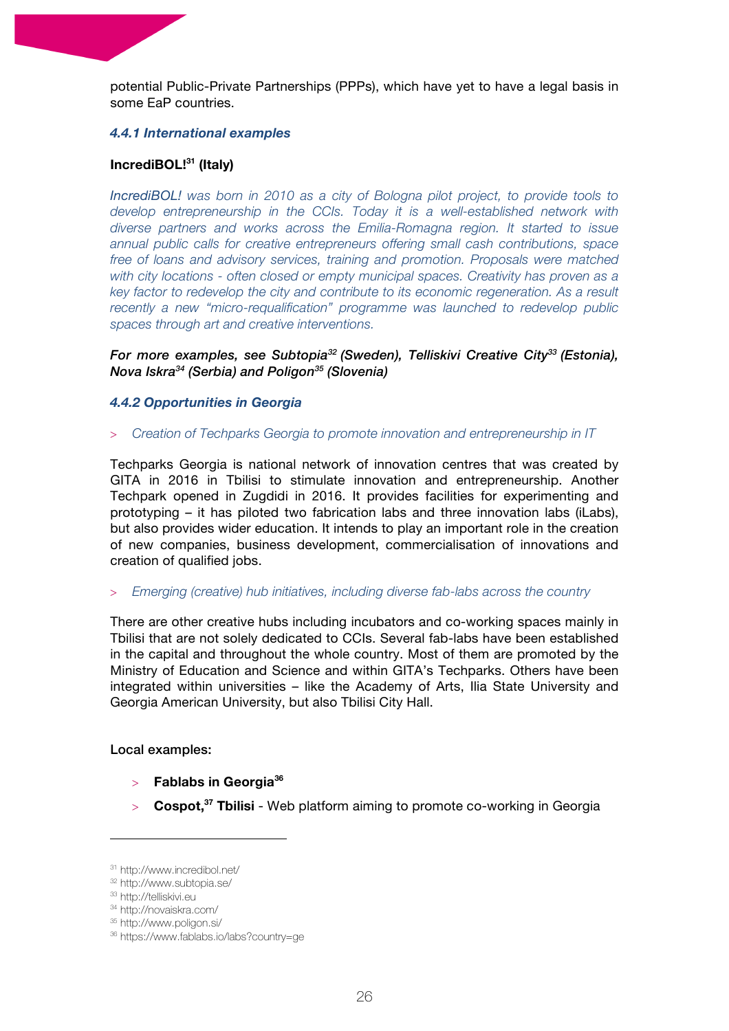potential Public-Private Partnerships (PPPs), which have yet to have a legal basis in some EaP countries.

#### *4.4.1 International examples*

#### **IncrediBOL!31 (Italy)**

*IncrediBOL! was born in 2010 as a city of Bologna pilot project, to provide tools to develop entrepreneurship in the CCIs. Today it is a well-established network with diverse partners and works across the Emilia-Romagna region. It started to issue annual public calls for creative entrepreneurs offering small cash contributions, space free of loans and advisory services, training and promotion. Proposals were matched with city locations - often closed or empty municipal spaces. Creativity has proven as a key factor to redevelop the city and contribute to its economic regeneration. As a result recently a new "micro-requalification" programme was launched to redevelop public spaces through art and creative interventions.*

*For more examples, see Subtopia32 (Sweden), Telliskivi Creative City33 (Estonia), Nova Iskra34 (Serbia) and Poligon35 (Slovenia)*

#### *4.4.2 Opportunities in Georgia*

#### > *Creation of Techparks Georgia to promote innovation and entrepreneurship in IT*

Techparks Georgia is national network of innovation centres that was created by GITA in 2016 in Tbilisi to stimulate innovation and entrepreneurship. Another Techpark opened in Zugdidi in 2016. It provides facilities for experimenting and prototyping – it has piloted two fabrication labs and three innovation labs (iLabs), but also provides wider education. It intends to play an important role in the creation of new companies, business development, commercialisation of innovations and creation of qualified jobs.

#### > *Emerging (creative) hub initiatives, including diverse fab-labs across the country*

There are other creative hubs including incubators and co-working spaces mainly in Tbilisi that are not solely dedicated to CCIs. Several fab-labs have been established in the capital and throughout the whole country. Most of them are promoted by the Ministry of Education and Science and within GITA's Techparks. Others have been integrated within universities – like the Academy of Arts, Ilia State University and Georgia American University, but also Tbilisi City Hall.

Local examples:

> **Fablabs in Georgia36**

 

> **Cospot, <sup>37</sup> Tbilisi** - Web platform aiming to promote co-working in Georgia

<sup>31</sup> http://www.incredibol.net/

<sup>32</sup> http://www.subtopia.se/

<sup>33</sup> http://telliskivi.eu

<sup>34</sup> http://novaiskra.com/

<sup>35</sup> http://www.poligon.si/

<sup>36</sup> https://www.fablabs.io/labs?country=ge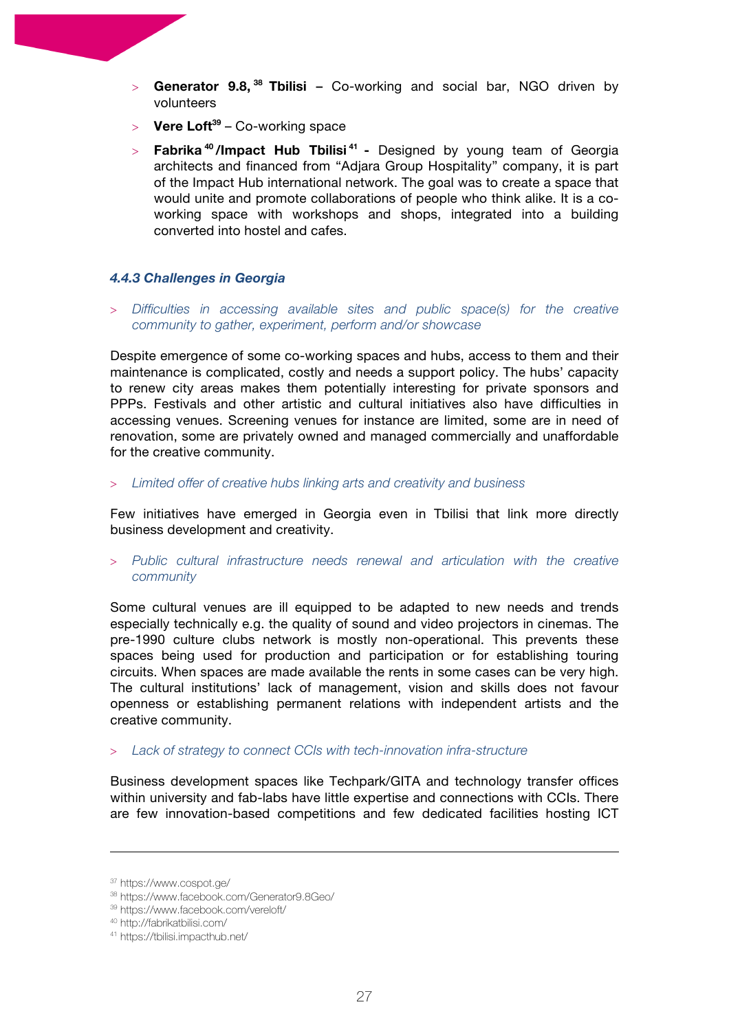- > **Generator 9.8, <sup>38</sup> Tbilisi –** Co-working and social bar, NGO driven by volunteers
- $>$  **Vere Loft**<sup>39</sup> Co-working space
- > **Fabrika <sup>40</sup> /Impact Hub Tbilisi <sup>41</sup> -** Designed by young team of Georgia architects and financed from "Adjara Group Hospitality" company, it is part of the Impact Hub international network. The goal was to create a space that would unite and promote collaborations of people who think alike. It is a coworking space with workshops and shops, integrated into a building converted into hostel and cafes.

#### *4.4.3 Challenges in Georgia*

> *Difficulties in accessing available sites and public space(s) for the creative community to gather, experiment, perform and/or showcase*

Despite emergence of some co-working spaces and hubs, access to them and their maintenance is complicated, costly and needs a support policy. The hubs' capacity to renew city areas makes them potentially interesting for private sponsors and PPPs. Festivals and other artistic and cultural initiatives also have difficulties in accessing venues. Screening venues for instance are limited, some are in need of renovation, some are privately owned and managed commercially and unaffordable for the creative community.

> *Limited offer of creative hubs linking arts and creativity and business*

Few initiatives have emerged in Georgia even in Tbilisi that link more directly business development and creativity.

> *Public cultural infrastructure needs renewal and articulation with the creative community*

Some cultural venues are ill equipped to be adapted to new needs and trends especially technically e.g. the quality of sound and video projectors in cinemas. The pre-1990 culture clubs network is mostly non-operational. This prevents these spaces being used for production and participation or for establishing touring circuits. When spaces are made available the rents in some cases can be very high. The cultural institutions' lack of management, vision and skills does not favour openness or establishing permanent relations with independent artists and the creative community.

#### > *Lack of strategy to connect CCIs with tech-innovation infra-structure*

Business development spaces like Techpark/GITA and technology transfer offices within university and fab-labs have little expertise and connections with CCIs. There are few innovation-based competitions and few dedicated facilities hosting ICT

<u> 1989 - Andrea San Andrew Maria (h. 1989).</u><br>1900 - Andrew Maria (h. 1980).

<sup>37</sup> https://www.cospot.ge/

<sup>38</sup> https://www.facebook.com/Generator9.8Geo/

<sup>39</sup> https://www.facebook.com/vereloft/

<sup>40</sup> http://fabrikatbilisi.com/

<sup>41</sup> https://tbilisi.impacthub.net/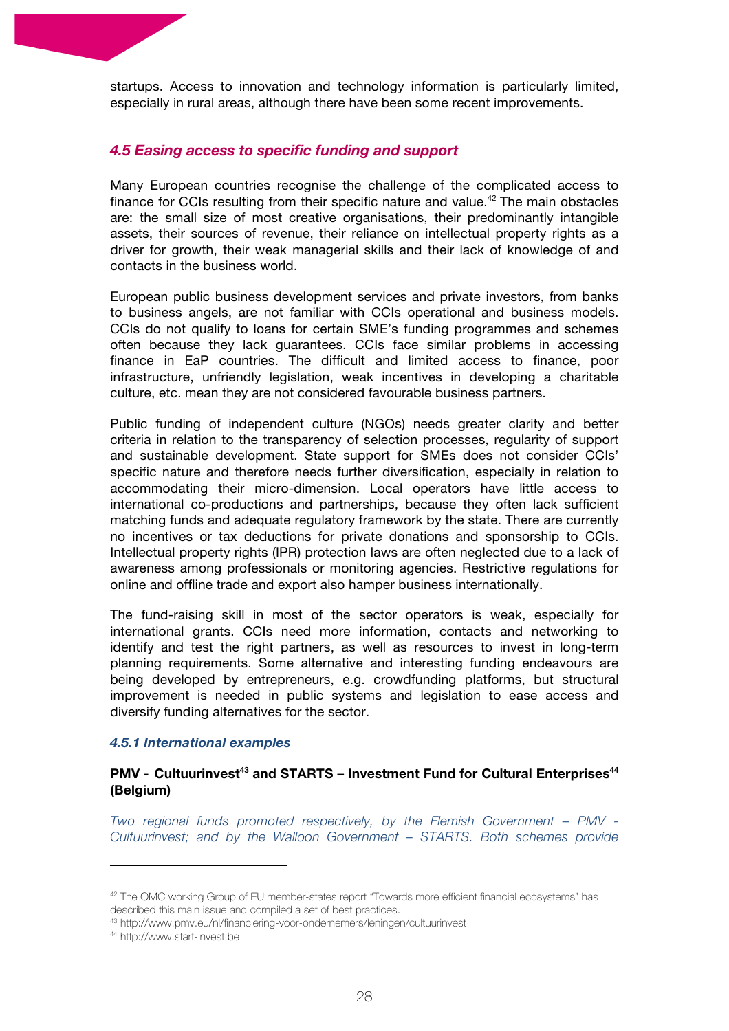startups. Access to innovation and technology information is particularly limited, especially in rural areas, although there have been some recent improvements.

# *4.5 Easing access to specific funding and support*

Many European countries recognise the challenge of the complicated access to finance for CCIs resulting from their specific nature and value.<sup>42</sup> The main obstacles are: the small size of most creative organisations, their predominantly intangible assets, their sources of revenue, their reliance on intellectual property rights as a driver for growth, their weak managerial skills and their lack of knowledge of and contacts in the business world.

European public business development services and private investors, from banks to business angels, are not familiar with CCIs operational and business models. CCIs do not qualify to loans for certain SME's funding programmes and schemes often because they lack guarantees. CCIs face similar problems in accessing finance in EaP countries. The difficult and limited access to finance, poor infrastructure, unfriendly legislation, weak incentives in developing a charitable culture, etc. mean they are not considered favourable business partners.

Public funding of independent culture (NGOs) needs greater clarity and better criteria in relation to the transparency of selection processes, regularity of support and sustainable development. State support for SMEs does not consider CCIs' specific nature and therefore needs further diversification, especially in relation to accommodating their micro-dimension. Local operators have little access to international co-productions and partnerships, because they often lack sufficient matching funds and adequate regulatory framework by the state. There are currently no incentives or tax deductions for private donations and sponsorship to CCIs. Intellectual property rights (IPR) protection laws are often neglected due to a lack of awareness among professionals or monitoring agencies. Restrictive regulations for online and offline trade and export also hamper business internationally.

The fund-raising skill in most of the sector operators is weak, especially for international grants. CCIs need more information, contacts and networking to identify and test the right partners, as well as resources to invest in long-term planning requirements. Some alternative and interesting funding endeavours are being developed by entrepreneurs, e.g. crowdfunding platforms, but structural improvement is needed in public systems and legislation to ease access and diversify funding alternatives for the sector.

#### *4.5.1 International examples*

 

# **PMV - Cultuurinvest<sup>43</sup> and STARTS – Investment Fund for Cultural Enterprises<sup>44</sup> (Belgium)**

*Two regional funds promoted respectively, by the Flemish Government – PMV - Cultuurinvest; and by the Walloon Government – STARTS. Both schemes provide* 

<sup>42</sup> The OMC working Group of EU member-states report "Towards more efficient financial ecosystems" has described this main issue and compiled a set of best practices.

<sup>43</sup> http://www.pmv.eu/nl/financiering-voor-ondernemers/leningen/cultuurinvest

<sup>44</sup> http://www.start-invest.be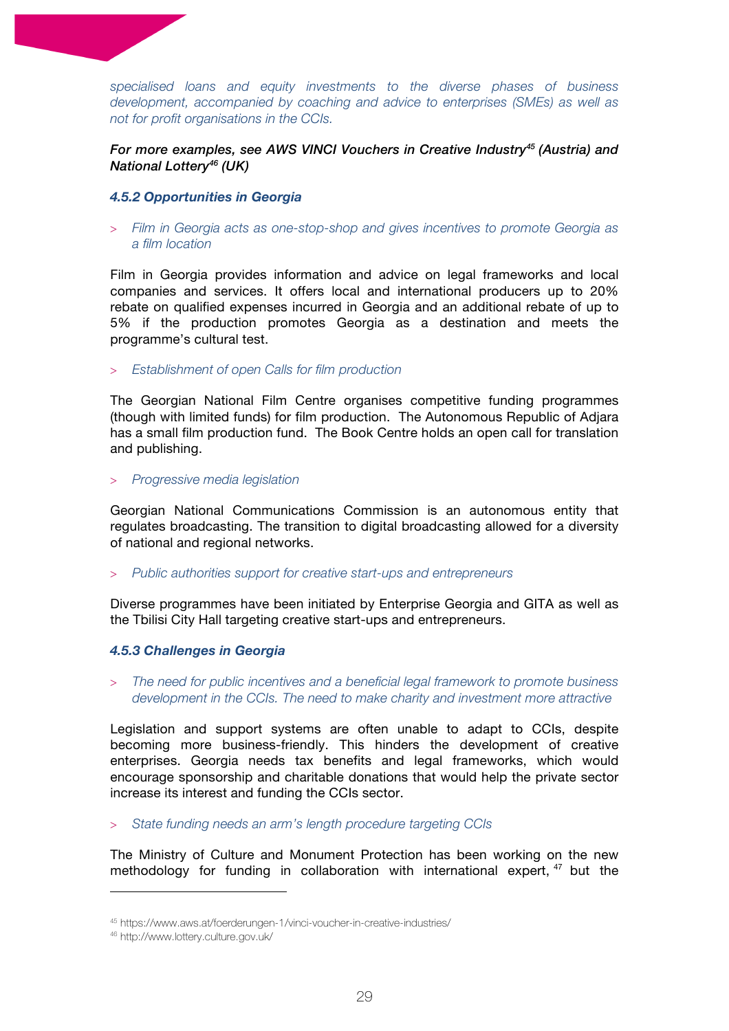*specialised loans and equity investments to the diverse phases of business development, accompanied by coaching and advice to enterprises (SMEs) as well as not for profit organisations in the CCIs.*

#### *For more examples, see AWS VINCI Vouchers in Creative Industry45 (Austria) and National Lottery46 (UK)*

#### *4.5.2 Opportunities in Georgia*

> *Film in Georgia acts as one-stop-shop and gives incentives to promote Georgia as a film location*

Film in Georgia provides information and advice on legal frameworks and local companies and services. It offers local and international producers up to 20% rebate on qualified expenses incurred in Georgia and an additional rebate of up to 5% if the production promotes Georgia as a destination and meets the programme's cultural test.

> *Establishment of open Calls for film production*

The Georgian National Film Centre organises competitive funding programmes (though with limited funds) for film production. The Autonomous Republic of Adjara has a small film production fund. The Book Centre holds an open call for translation and publishing.

#### > *Progressive media legislation*

Georgian National Communications Commission is an autonomous entity that regulates broadcasting. The transition to digital broadcasting allowed for a diversity of national and regional networks.

> *Public authorities support for creative start-ups and entrepreneurs*

Diverse programmes have been initiated by Enterprise Georgia and GITA as well as the Tbilisi City Hall targeting creative start-ups and entrepreneurs.

#### *4.5.3 Challenges in Georgia*

> *The need for public incentives and a beneficial legal framework to promote business development in the CCIs. The need to make charity and investment more attractive*

Legislation and support systems are often unable to adapt to CCIs, despite becoming more business-friendly. This hinders the development of creative enterprises. Georgia needs tax benefits and legal frameworks, which would encourage sponsorship and charitable donations that would help the private sector increase its interest and funding the CCIs sector.

> *State funding needs an arm's length procedure targeting CCIs*

The Ministry of Culture and Monument Protection has been working on the new methodology for funding in collaboration with international expert,  $47$  but the

<sup>45</sup> https://www.aws.at/foerderungen-1/vinci-voucher-in-creative-industries/

<sup>46</sup> http://www.lottery.culture.gov.uk/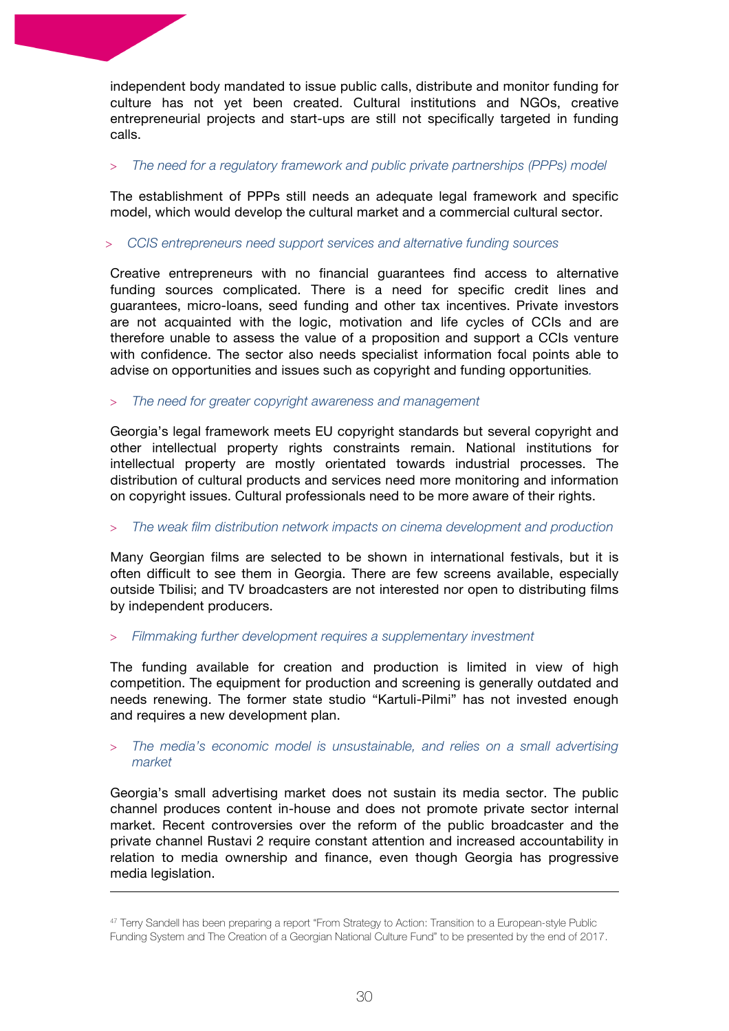independent body mandated to issue public calls, distribute and monitor funding for culture has not yet been created. Cultural institutions and NGOs, creative entrepreneurial projects and start-ups are still not specifically targeted in funding calls.

#### > *The need for a regulatory framework and public private partnerships (PPPs) model*

The establishment of PPPs still needs an adequate legal framework and specific model, which would develop the cultural market and a commercial cultural sector.

#### > *CCIS entrepreneurs need support services and alternative funding sources*

Creative entrepreneurs with no financial guarantees find access to alternative funding sources complicated. There is a need for specific credit lines and guarantees, micro-loans, seed funding and other tax incentives. Private investors are not acquainted with the logic, motivation and life cycles of CCIs and are therefore unable to assess the value of a proposition and support a CCIs venture with confidence. The sector also needs specialist information focal points able to advise on opportunities and issues such as copyright and funding opportunities*.*

#### > *The need for greater copyright awareness and management*

Georgia's legal framework meets EU copyright standards but several copyright and other intellectual property rights constraints remain. National institutions for intellectual property are mostly orientated towards industrial processes. The distribution of cultural products and services need more monitoring and information on copyright issues. Cultural professionals need to be more aware of their rights.

#### > *The weak film distribution network impacts on cinema development and production*

Many Georgian films are selected to be shown in international festivals, but it is often difficult to see them in Georgia. There are few screens available, especially outside Tbilisi; and TV broadcasters are not interested nor open to distributing films by independent producers.

# > *Filmmaking further development requires a supplementary investment*

The funding available for creation and production is limited in view of high competition. The equipment for production and screening is generally outdated and needs renewing. The former state studio "Kartuli-Pilmi" has not invested enough and requires a new development plan.

#### > *The media's economic model is unsustainable, and relies on a small advertising market*

Georgia's small advertising market does not sustain its media sector. The public channel produces content in-house and does not promote private sector internal market. Recent controversies over the reform of the public broadcaster and the private channel Rustavi 2 require constant attention and increased accountability in relation to media ownership and finance, even though Georgia has progressive media legislation.

<u> 1989 - Andrea San Andrew Maria (h. 1989).</u><br>1900 - Andrew Maria (h. 1980).

<sup>47</sup> Terry Sandell has been preparing a report "From Strategy to Action: Transition to a European-style Public Funding System and The Creation of a Georgian National Culture Fund" to be presented by the end of 2017.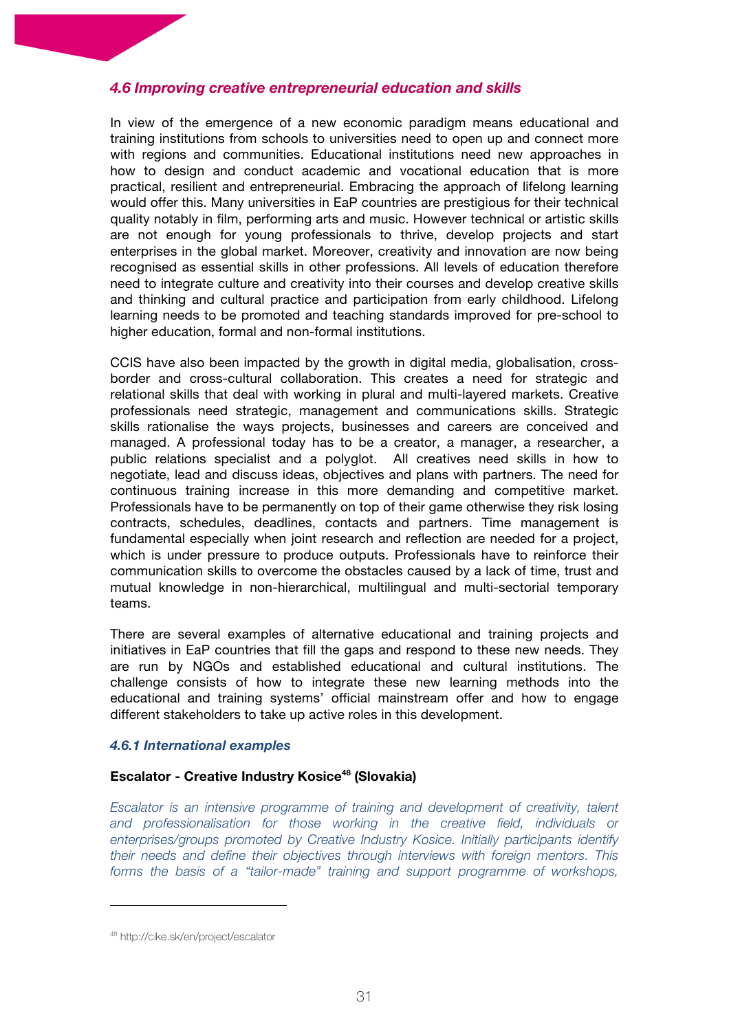#### *4.6 Improving creative entrepreneurial education and skills*

In view of the emergence of a new economic paradigm means educational and training institutions from schools to universities need to open up and connect more with regions and communities. Educational institutions need new approaches in how to design and conduct academic and vocational education that is more practical, resilient and entrepreneurial. Embracing the approach of lifelong learning would offer this. Many universities in EaP countries are prestigious for their technical quality notably in film, performing arts and music. However technical or artistic skills are not enough for young professionals to thrive, develop projects and start enterprises in the global market. Moreover, creativity and innovation are now being recognised as essential skills in other professions. All levels of education therefore need to integrate culture and creativity into their courses and develop creative skills and thinking and cultural practice and participation from early childhood. Lifelong learning needs to be promoted and teaching standards improved for pre-school to higher education, formal and non-formal institutions.

CCIS have also been impacted by the growth in digital media, globalisation, crossborder and cross-cultural collaboration. This creates a need for strategic and relational skills that deal with working in plural and multi-layered markets. Creative professionals need strategic, management and communications skills. Strategic skills rationalise the ways projects, businesses and careers are conceived and managed. A professional today has to be a creator, a manager, a researcher, a public relations specialist and a polyglot. All creatives need skills in how to negotiate, lead and discuss ideas, objectives and plans with partners. The need for continuous training increase in this more demanding and competitive market. Professionals have to be permanently on top of their game otherwise they risk losing contracts, schedules, deadlines, contacts and partners. Time management is fundamental especially when joint research and reflection are needed for a project, which is under pressure to produce outputs. Professionals have to reinforce their communication skills to overcome the obstacles caused by a lack of time, trust and mutual knowledge in non-hierarchical, multilingual and multi-sectorial temporary teams.

There are several examples of alternative educational and training projects and initiatives in EaP countries that fill the gaps and respond to these new needs. They are run by NGOs and established educational and cultural institutions. The challenge consists of how to integrate these new learning methods into the educational and training systems' official mainstream offer and how to engage different stakeholders to take up active roles in this development.

#### *4.6.1 International examples*

#### **Escalator - Creative Industry Kosice48 (Slovakia)**

*Escalator is an intensive programme of training and development of creativity, talent and professionalisation for those working in the creative field, individuals or enterprises/groups promoted by Creative Industry Kosice. Initially participants identify their needs and define their objectives through interviews with foreign mentors. This forms the basis of a "tailor-made" training and support programme of workshops,* 

<sup>48</sup> http://cike.sk/en/project/escalator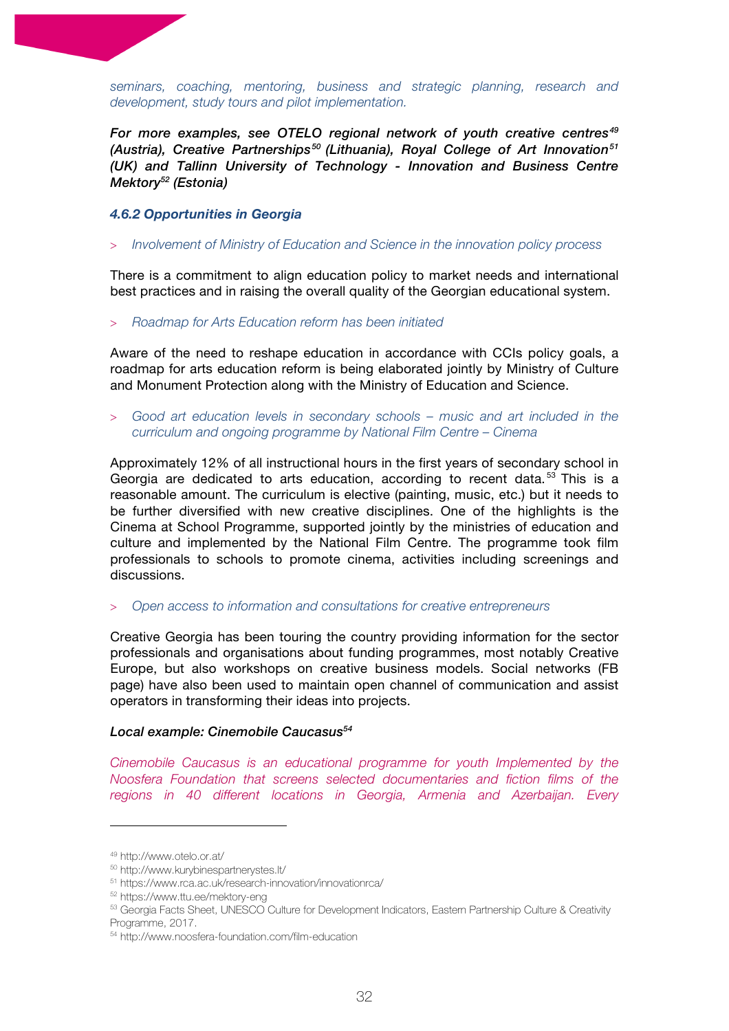*seminars, coaching, mentoring, business and strategic planning, research and development, study tours and pilot implementation.*

*For more examples, see OTELO regional network of youth creative centres49 (Austria), Creative Partnerships50 (Lithuania), Royal College of Art Innovation51 (UK) and Tallinn University of Technology - Innovation and Business Centre Mektory52 (Estonia)*

#### *4.6.2 Opportunities in Georgia*

> *Involvement of Ministry of Education and Science in the innovation policy process* 

There is a commitment to align education policy to market needs and international best practices and in raising the overall quality of the Georgian educational system.

#### > *Roadmap for Arts Education reform has been initiated*

Aware of the need to reshape education in accordance with CCIs policy goals, a roadmap for arts education reform is being elaborated jointly by Ministry of Culture and Monument Protection along with the Ministry of Education and Science.

> *Good art education levels in secondary schools – music and art included in the curriculum and ongoing programme by National Film Centre – Cinema*

Approximately 12% of all instructional hours in the first years of secondary school in Georgia are dedicated to arts education, according to recent data.<sup>53</sup> This is a reasonable amount. The curriculum is elective (painting, music, etc.) but it needs to be further diversified with new creative disciplines. One of the highlights is the Cinema at School Programme, supported jointly by the ministries of education and culture and implemented by the National Film Centre. The programme took film professionals to schools to promote cinema, activities including screenings and discussions.

> *Open access to information and consultations for creative entrepreneurs*

Creative Georgia has been touring the country providing information for the sector professionals and organisations about funding programmes, most notably Creative Europe, but also workshops on creative business models. Social networks (FB page) have also been used to maintain open channel of communication and assist operators in transforming their ideas into projects.

#### *Local example: Cinemobile Caucasus54*

*Cinemobile Caucasus is an educational programme for youth Implemented by the Noosfera Foundation that screens selected documentaries and fiction films of the regions in 40 different locations in Georgia, Armenia and Azerbaijan. Every* 

<sup>49</sup> http://www.otelo.or.at/

<sup>50</sup> http://www.kurybinespartnerystes.lt/

<sup>51</sup> https://www.rca.ac.uk/research-innovation/innovationrca/

<sup>52</sup> https://www.ttu.ee/mektory-eng

<sup>53</sup> Georgia Facts Sheet, UNESCO Culture for Development Indicators, Eastern Partnership Culture & Creativity Programme, 2017.

<sup>54</sup> http://www.noosfera-foundation.com/film-education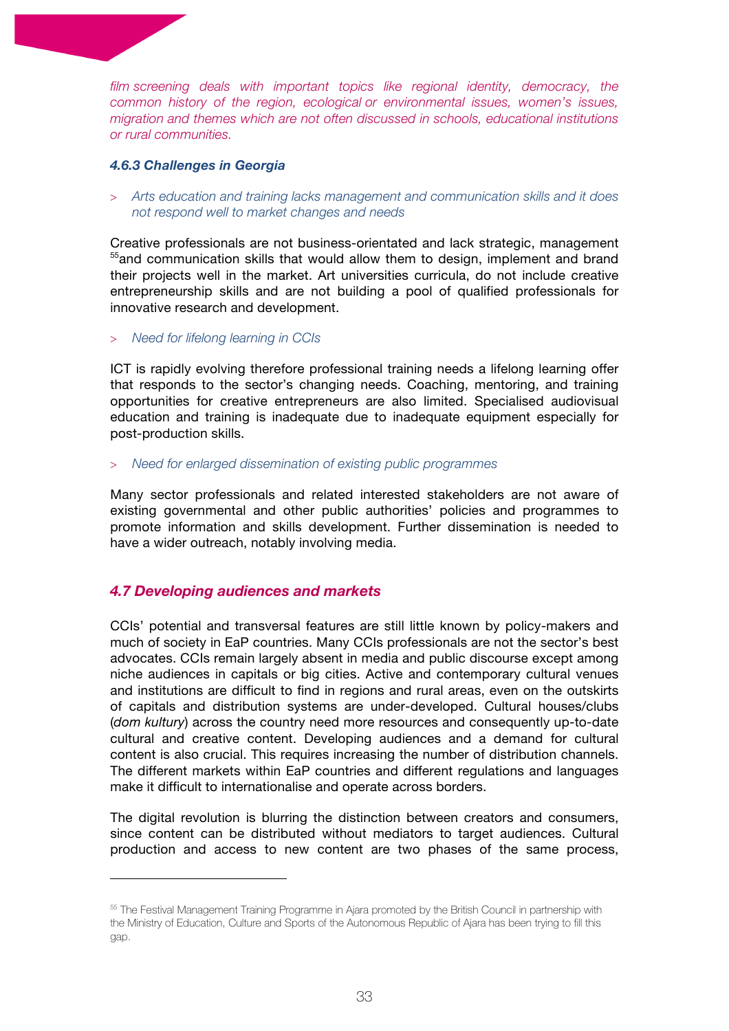*film screening deals with important topics like regional identity, democracy, the common history of the region, ecological or environmental issues, women's issues, migration and themes which are not often discussed in schools, educational institutions or rural communities.*

#### *4.6.3 Challenges in Georgia*

> *Arts education and training lacks management and communication skills and it does not respond well to market changes and needs*

Creative professionals are not business-orientated and lack strategic, management <sup>55</sup> and communication skills that would allow them to design, implement and brand their projects well in the market. Art universities curricula, do not include creative entrepreneurship skills and are not building a pool of qualified professionals for innovative research and development.

#### > *Need for lifelong learning in CCIs*

ICT is rapidly evolving therefore professional training needs a lifelong learning offer that responds to the sector's changing needs. Coaching, mentoring, and training opportunities for creative entrepreneurs are also limited. Specialised audiovisual education and training is inadequate due to inadequate equipment especially for post-production skills.

#### > *Need for enlarged dissemination of existing public programmes*

Many sector professionals and related interested stakeholders are not aware of existing governmental and other public authorities' policies and programmes to promote information and skills development. Further dissemination is needed to have a wider outreach, notably involving media.

# *4.7 Developing audiences and markets*

 

CCIs' potential and transversal features are still little known by policy-makers and much of society in EaP countries. Many CCIs professionals are not the sector's best advocates. CCIs remain largely absent in media and public discourse except among niche audiences in capitals or big cities. Active and contemporary cultural venues and institutions are difficult to find in regions and rural areas, even on the outskirts of capitals and distribution systems are under-developed. Cultural houses/clubs (*dom kultury*) across the country need more resources and consequently up-to-date cultural and creative content. Developing audiences and a demand for cultural content is also crucial. This requires increasing the number of distribution channels. The different markets within EaP countries and different regulations and languages make it difficult to internationalise and operate across borders.

The digital revolution is blurring the distinction between creators and consumers, since content can be distributed without mediators to target audiences. Cultural production and access to new content are two phases of the same process,

<sup>55</sup> The Festival Management Training Programme in Ajara promoted by the British Council in partnership with the Ministry of Education, Culture and Sports of the Autonomous Republic of Ajara has been trying to fill this gap.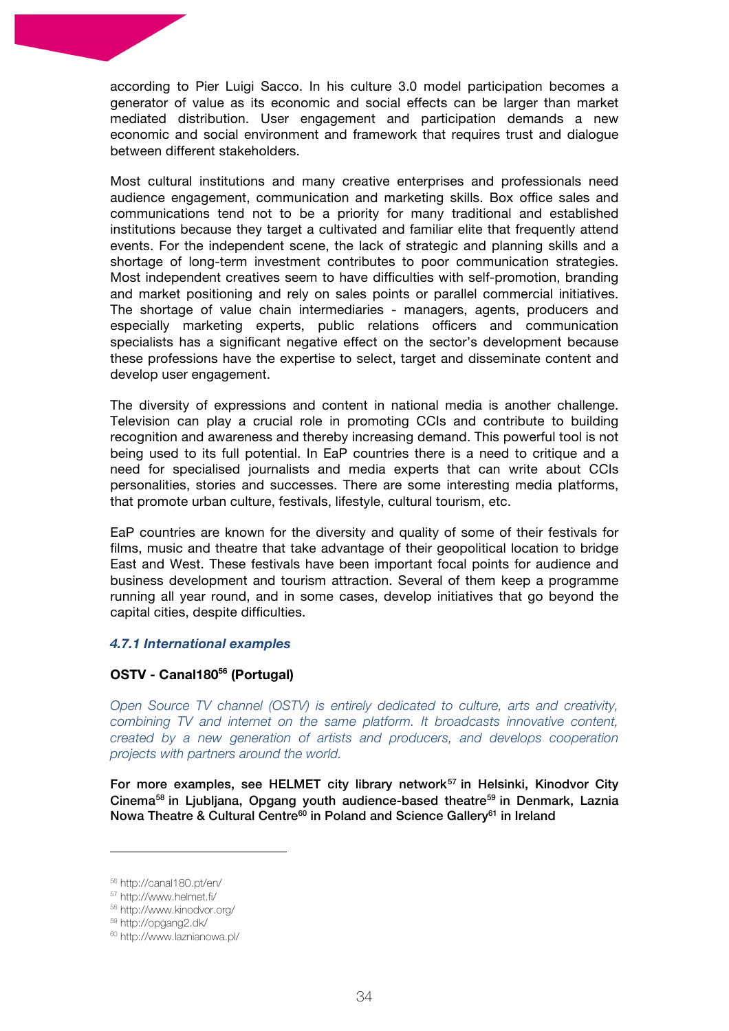according to Pier Luigi Sacco. In his culture 3.0 model participation becomes a generator of value as its economic and social effects can be larger than market mediated distribution. User engagement and participation demands a new economic and social environment and framework that requires trust and dialogue between different stakeholders.

Most cultural institutions and many creative enterprises and professionals need audience engagement, communication and marketing skills. Box office sales and communications tend not to be a priority for many traditional and established institutions because they target a cultivated and familiar elite that frequently attend events. For the independent scene, the lack of strategic and planning skills and a shortage of long-term investment contributes to poor communication strategies. Most independent creatives seem to have difficulties with self-promotion, branding and market positioning and rely on sales points or parallel commercial initiatives. The shortage of value chain intermediaries - managers, agents, producers and especially marketing experts, public relations officers and communication specialists has a significant negative effect on the sector's development because these professions have the expertise to select, target and disseminate content and develop user engagement.

The diversity of expressions and content in national media is another challenge. Television can play a crucial role in promoting CCIs and contribute to building recognition and awareness and thereby increasing demand. This powerful tool is not being used to its full potential. In EaP countries there is a need to critique and a need for specialised journalists and media experts that can write about CCIs personalities, stories and successes. There are some interesting media platforms, that promote urban culture, festivals, lifestyle, cultural tourism, etc.

EaP countries are known for the diversity and quality of some of their festivals for films, music and theatre that take advantage of their geopolitical location to bridge East and West. These festivals have been important focal points for audience and business development and tourism attraction. Several of them keep a programme running all year round, and in some cases, develop initiatives that go beyond the capital cities, despite difficulties.

#### *4.7.1 International examples*

# **OSTV - Canal18056 (Portugal)**

*Open Source TV channel (OSTV) is entirely dedicated to culture, arts and creativity, combining TV and internet on the same platform. It broadcasts innovative content, created by a new generation of artists and producers, and develops cooperation projects with partners around the world.*

For more examples, see HELMET city library network<sup>57</sup> in Helsinki, Kinodvor City Cinema58 in Ljubljana, Opgang youth audience-based theatre59 in Denmark, Laznia Nowa Theatre & Cultural Centre<sup>60</sup> in Poland and Science Gallery<sup>61</sup> in Ireland

<sup>56</sup> http://canal180.pt/en/

<sup>57</sup> http://www.helmet.fi/

<sup>58</sup> http://www.kinodvor.org/

<sup>59</sup> http://opgang2.dk/

<sup>60</sup> http://www.laznianowa.pl/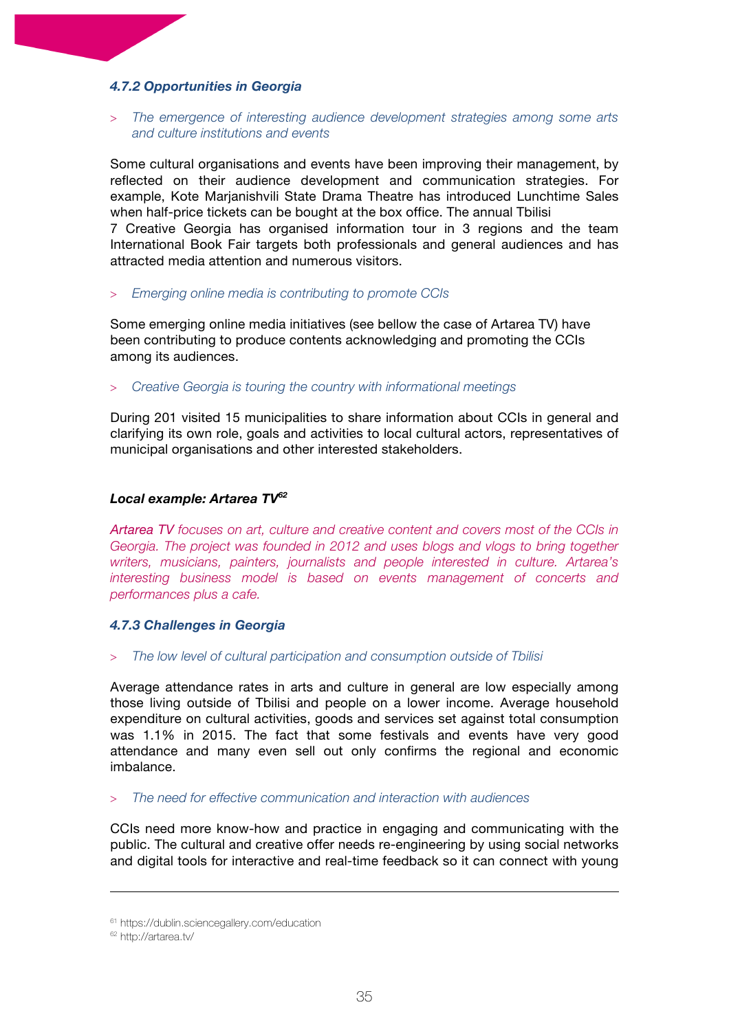### *4.7.2 Opportunities in Georgia*

#### > *The emergence of interesting audience development strategies among some arts and culture institutions and events*

Some cultural organisations and events have been improving their management, by reflected on their audience development and communication strategies. For example, Kote Marjanishvili State Drama Theatre has introduced Lunchtime Sales when half-price tickets can be bought at the box office. The annual Tbilisi

7 Creative Georgia has organised information tour in 3 regions and the team International Book Fair targets both professionals and general audiences and has attracted media attention and numerous visitors.

> *Emerging online media is contributing to promote CCIs*

Some emerging online media initiatives (see bellow the case of Artarea TV) have been contributing to produce contents acknowledging and promoting the CCIs among its audiences.

> *Creative Georgia is touring the country with informational meetings*

During 201 visited 15 municipalities to share information about CCIs in general and clarifying its own role, goals and activities to local cultural actors, representatives of municipal organisations and other interested stakeholders.

#### *Local example: Artarea TV62*

*Artarea TV focuses on art, culture and creative content and covers most of the CCIs in Georgia. The project was founded in 2012 and uses blogs and vlogs to bring together writers, musicians, painters, journalists and people interested in culture. Artarea's interesting business model is based on events management of concerts and performances plus a cafe.*

#### *4.7.3 Challenges in Georgia*

#### > *The low level of cultural participation and consumption outside of Tbilisi*

Average attendance rates in arts and culture in general are low especially among those living outside of Tbilisi and people on a lower income. Average household expenditure on cultural activities, goods and services set against total consumption was 1.1% in 2015. The fact that some festivals and events have very good attendance and many even sell out only confirms the regional and economic imbalance.

#### > *The need for effective communication and interaction with audiences*

CCIs need more know-how and practice in engaging and communicating with the public. The cultural and creative offer needs re-engineering by using social networks and digital tools for interactive and real-time feedback so it can connect with young

<u> 1989 - Andrea San Andrew Maria (h. 1989).</u><br>1900 - Andrew Maria (h. 1980).

<sup>61</sup> https://dublin.sciencegallery.com/education

<sup>62</sup> http://artarea.tv/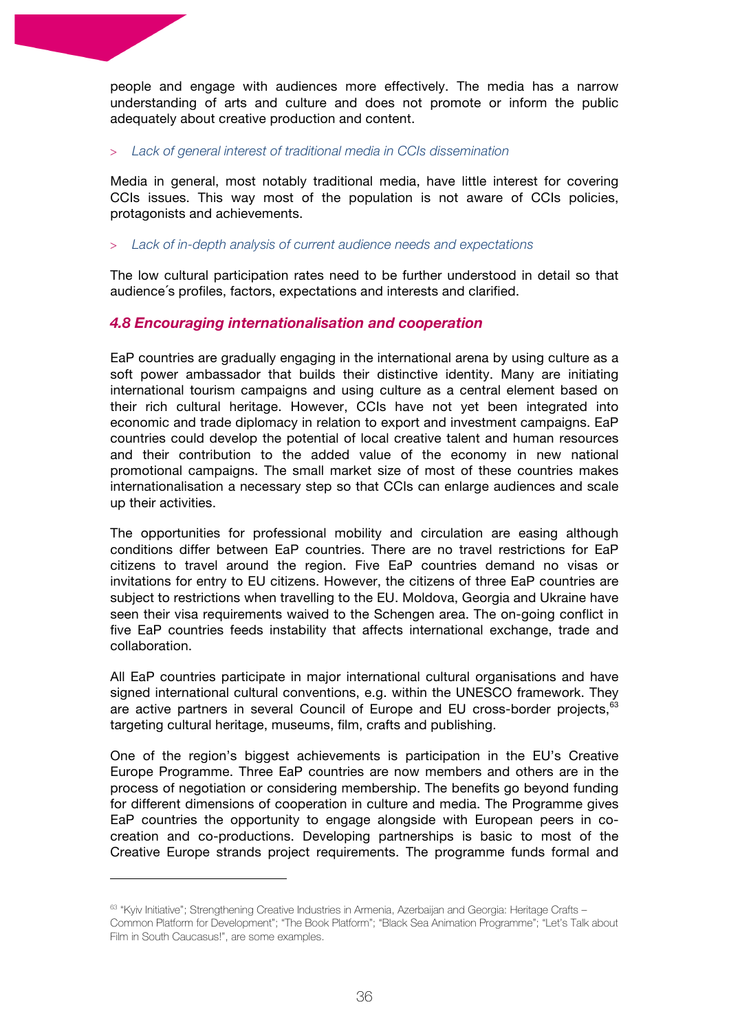people and engage with audiences more effectively. The media has a narrow understanding of arts and culture and does not promote or inform the public adequately about creative production and content.

#### > *Lack of general interest of traditional media in CCIs dissemination*

Media in general, most notably traditional media, have little interest for covering CCIs issues. This way most of the population is not aware of CCIs policies, protagonists and achievements.

#### > *Lack of in-depth analysis of current audience needs and expectations*

The low cultural participation rates need to be further understood in detail so that audience´s profiles, factors, expectations and interests and clarified.

# *4.8 Encouraging internationalisation and cooperation*

EaP countries are gradually engaging in the international arena by using culture as a soft power ambassador that builds their distinctive identity. Many are initiating international tourism campaigns and using culture as a central element based on their rich cultural heritage. However, CCIs have not yet been integrated into economic and trade diplomacy in relation to export and investment campaigns. EaP countries could develop the potential of local creative talent and human resources and their contribution to the added value of the economy in new national promotional campaigns. The small market size of most of these countries makes internationalisation a necessary step so that CCIs can enlarge audiences and scale up their activities.

The opportunities for professional mobility and circulation are easing although conditions differ between EaP countries. There are no travel restrictions for EaP citizens to travel around the region. Five EaP countries demand no visas or invitations for entry to EU citizens. However, the citizens of three EaP countries are subject to restrictions when travelling to the EU. Moldova, Georgia and Ukraine have seen their visa requirements waived to the Schengen area. The on-going conflict in five EaP countries feeds instability that affects international exchange, trade and collaboration.

All EaP countries participate in major international cultural organisations and have signed international cultural conventions, e.g. within the UNESCO framework. They are active partners in several Council of Europe and EU cross-border projects, <sup>63</sup> targeting cultural heritage, museums, film, crafts and publishing.

One of the region's biggest achievements is participation in the EU's Creative Europe Programme. Three EaP countries are now members and others are in the process of negotiation or considering membership. The benefits go beyond funding for different dimensions of cooperation in culture and media. The Programme gives EaP countries the opportunity to engage alongside with European peers in cocreation and co-productions. Developing partnerships is basic to most of the Creative Europe strands project requirements. The programme funds formal and

<sup>63 &</sup>quot;Kyiv Initiative"; Strengthening Creative Industries in Armenia, Azerbaijan and Georgia: Heritage Crafts -Common Platform for Development"; "The Book Platform"; "Black Sea Animation Programme"; "Let's Talk about Film in South Caucasus!", are some examples.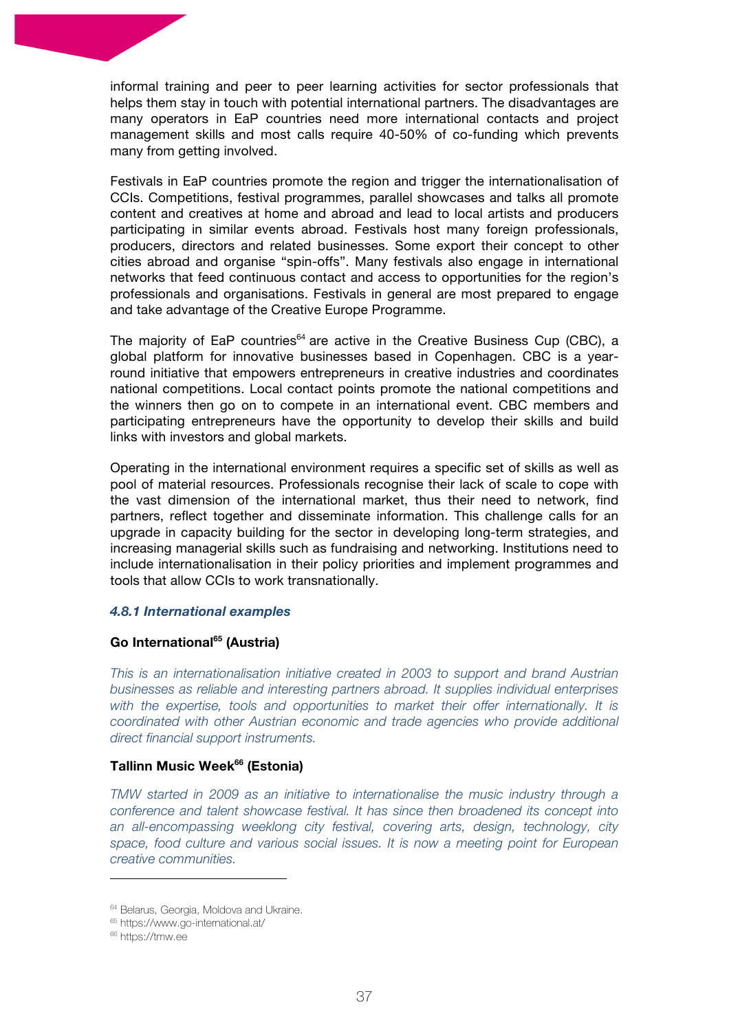informal training and peer to peer learning activities for sector professionals that helps them stay in touch with potential international partners. The disadvantages are many operators in EaP countries need more international contacts and project management skills and most calls require 40-50% of co-funding which prevents many from getting involved.

Festivals in EaP countries promote the region and trigger the internationalisation of CCIs. Competitions, festival programmes, parallel showcases and talks all promote content and creatives at home and abroad and lead to local artists and producers participating in similar events abroad. Festivals host many foreign professionals, producers, directors and related businesses. Some export their concept to other cities abroad and organise "spin-offs". Many festivals also engage in international networks that feed continuous contact and access to opportunities for the region's professionals and organisations. Festivals in general are most prepared to engage and take advantage of the Creative Europe Programme.

The majority of EaP countries<sup>64</sup> are active in the Creative Business Cup (CBC), a global platform for innovative businesses based in Copenhagen. CBC is a yearround initiative that empowers entrepreneurs in creative industries and coordinates national competitions. Local contact points promote the national competitions and the winners then go on to compete in an international event. CBC members and participating entrepreneurs have the opportunity to develop their skills and build links with investors and global markets.

Operating in the international environment requires a specific set of skills as well as pool of material resources. Professionals recognise their lack of scale to cope with the vast dimension of the international market, thus their need to network, find partners, reflect together and disseminate information. This challenge calls for an upgrade in capacity building for the sector in developing long-term strategies, and increasing managerial skills such as fundraising and networking. Institutions need to include internationalisation in their policy priorities and implement programmes and tools that allow CCIs to work transnationally.

#### *4.8.1 International examples*

# **Go International65 (Austria)**

*This is an internationalisation initiative created in 2003 to support and brand Austrian businesses as reliable and interesting partners abroad. It supplies individual enterprises with the expertise, tools and opportunities to market their offer internationally. It is coordinated with other Austrian economic and trade agencies who provide additional direct financial support instruments.* 

#### **Tallinn Music Week<sup>66</sup> (Estonia)**

*TMW started in 2009 as an initiative to internationalise the music industry through a conference and talent showcase festival. It has since then broadened its concept into an all-encompassing weeklong city festival, covering arts, design, technology, city space, food culture and various social issues. It is now a meeting point for European creative communities.*

<sup>&</sup>lt;sup>64</sup> Belarus, Georgia, Moldova and Ukraine.

<sup>65</sup> https://www.go-international.at/

<sup>&</sup>lt;sup>66</sup> https://tmw.ee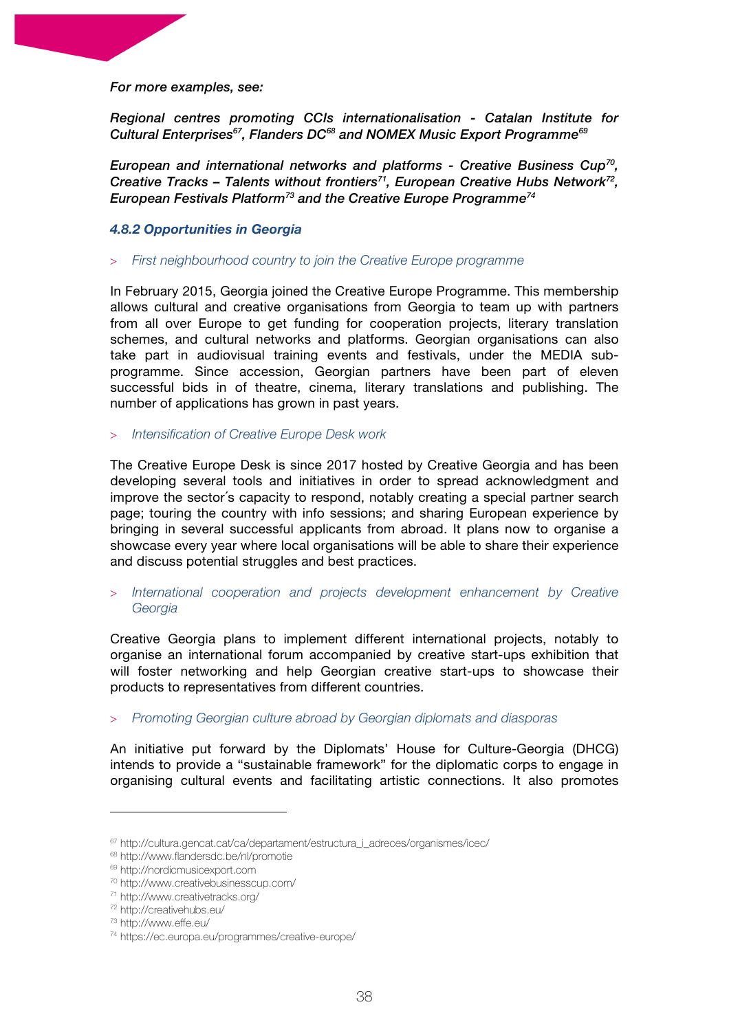#### *For more examples, see:*

*Regional centres promoting CCIs internationalisation - Catalan Institute for Cultural Enterprises67, Flanders DC68 and NOMEX Music Export Programme69*

*European and international networks and platforms - Creative Business Cup70, Creative Tracks – Talents without frontiers71, European Creative Hubs Network72, European Festivals Platform73 and the Creative Europe Programme74*

#### *4.8.2 Opportunities in Georgia*

> *First neighbourhood country to join the Creative Europe programme*

In February 2015, Georgia joined the Creative Europe Programme. This membership allows cultural and creative organisations from Georgia to team up with partners from all over Europe to get funding for cooperation projects, literary translation schemes, and cultural networks and platforms. Georgian organisations can also take part in audiovisual training events and festivals, under the MEDIA subprogramme. Since accession, Georgian partners have been part of eleven successful bids in of theatre, cinema, literary translations and publishing. The number of applications has grown in past years.

#### > *Intensification of Creative Europe Desk work*

The Creative Europe Desk is since 2017 hosted by Creative Georgia and has been developing several tools and initiatives in order to spread acknowledgment and improve the sector´s capacity to respond, notably creating a special partner search page; touring the country with info sessions; and sharing European experience by bringing in several successful applicants from abroad. It plans now to organise a showcase every year where local organisations will be able to share their experience and discuss potential struggles and best practices.

#### > *International cooperation and projects development enhancement by Creative Georgia*

Creative Georgia plans to implement different international projects, notably to organise an international forum accompanied by creative start-ups exhibition that will foster networking and help Georgian creative start-ups to showcase their products to representatives from different countries.

#### > *Promoting Georgian culture abroad by Georgian diplomats and diasporas*

An initiative put forward by the Diplomats' House for Culture-Georgia (DHCG) intends to provide a "sustainable framework" for the diplomatic corps to engage in organising cultural events and facilitating artistic connections. It also promotes

<sup>67</sup> http://cultura.gencat.cat/ca/departament/estructura\_i\_adreces/organismes/icec/

<sup>68</sup> http://www.flandersdc.be/nl/promotie

<sup>69</sup> http://nordicmusicexport.com

<sup>70</sup> http://www.creativebusinesscup.com/

<sup>71</sup> http://www.creativetracks.org/

<sup>72</sup> http://creativehubs.eu/

<sup>73</sup> http://www.effe.eu/

<sup>74</sup> https://ec.europa.eu/programmes/creative-europe/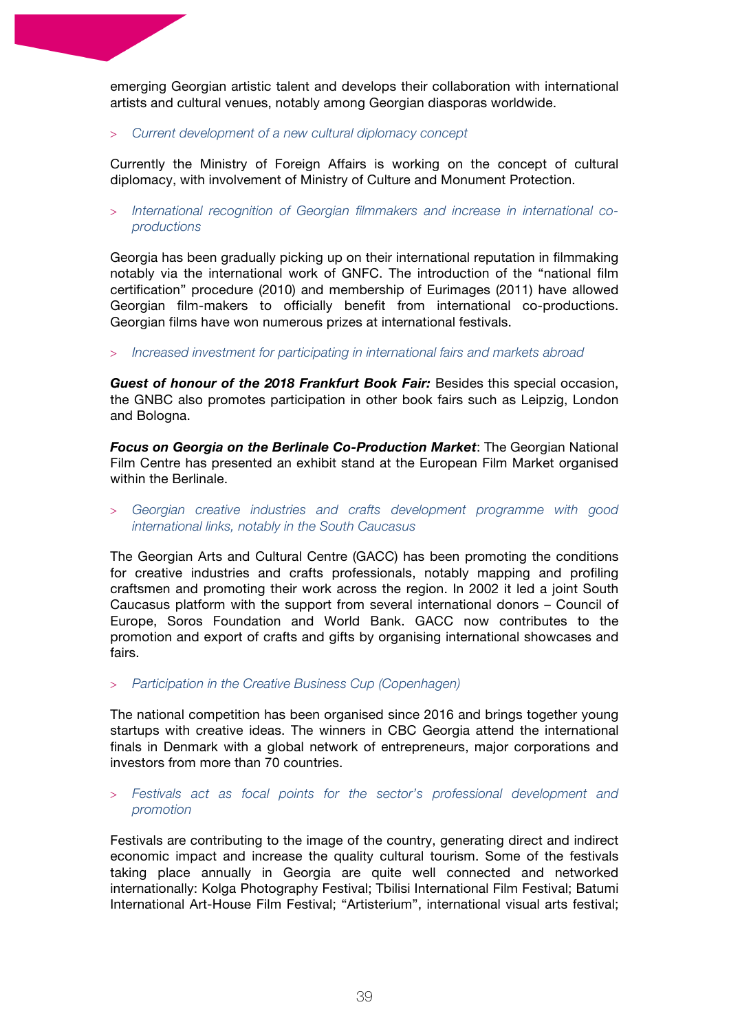emerging Georgian artistic talent and develops their collaboration with international artists and cultural venues, notably among Georgian diasporas worldwide.

> *Current development of a new cultural diplomacy concept* 

Currently the Ministry of Foreign Affairs is working on the concept of cultural diplomacy, with involvement of Ministry of Culture and Monument Protection.

> *International recognition of Georgian filmmakers and increase in international coproductions*

Georgia has been gradually picking up on their international reputation in filmmaking notably via the international work of GNFC. The introduction of the "national film certification" procedure (2010) and membership of Eurimages (2011) have allowed Georgian film-makers to officially benefit from international co-productions. Georgian films have won numerous prizes at international festivals.

> *Increased investment for participating in international fairs and markets abroad*

*Guest of honour of the 2018 Frankfurt Book Fair:* Besides this special occasion, the GNBC also promotes participation in other book fairs such as Leipzig, London and Bologna.

*Focus on Georgia on the Berlinale Co-Production Market*: The Georgian National Film Centre has presented an exhibit stand at the European Film Market organised within the Berlinale.

> *Georgian creative industries and crafts development programme with good international links, notably in the South Caucasus*

The Georgian Arts and Cultural Centre (GACC) has been promoting the conditions for creative industries and crafts professionals, notably mapping and profiling craftsmen and promoting their work across the region. In 2002 it led a joint South Caucasus platform with the support from several international donors – Council of Europe, Soros Foundation and World Bank. GACC now contributes to the promotion and export of crafts and gifts by organising international showcases and fairs.

> *Participation in the Creative Business Cup (Copenhagen)*

The national competition has been organised since 2016 and brings together young startups with creative ideas. The winners in CBC Georgia attend the international finals in Denmark with a global network of entrepreneurs, major corporations and investors from more than 70 countries.

#### > *Festivals act as focal points for the sector's professional development and promotion*

Festivals are contributing to the image of the country, generating direct and indirect economic impact and increase the quality cultural tourism. Some of the festivals taking place annually in Georgia are quite well connected and networked internationally: Kolga Photography Festival; Tbilisi International Film Festival; Batumi International Art-House Film Festival; "Artisterium", international visual arts festival;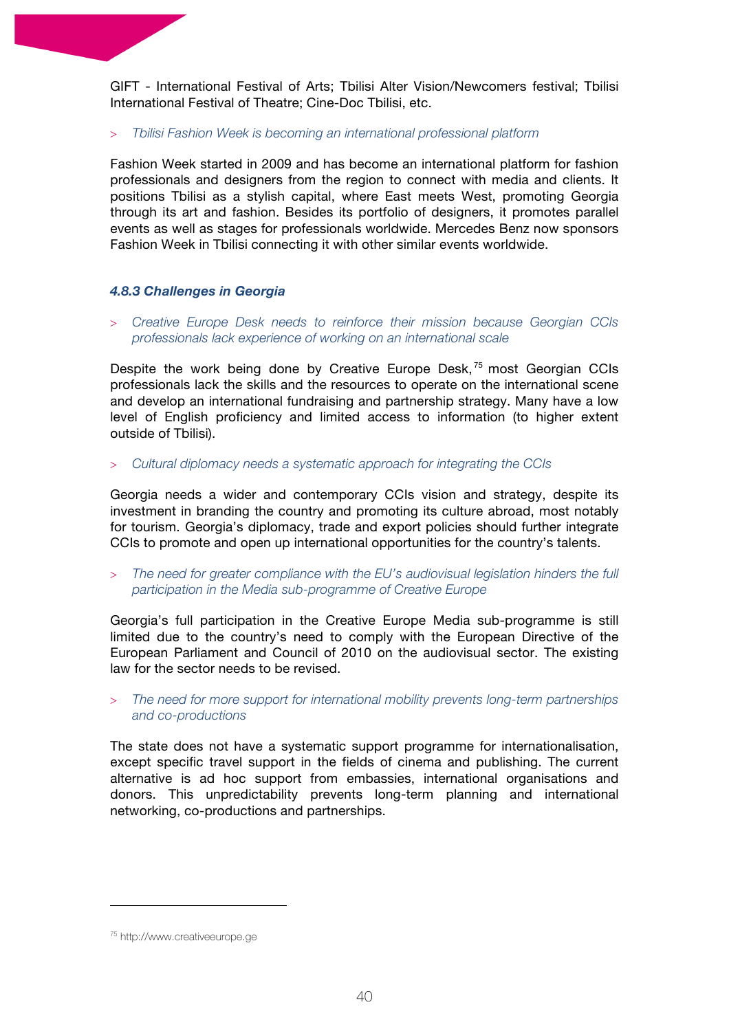GIFT - International Festival of Arts; Tbilisi Alter Vision/Newcomers festival; Tbilisi International Festival of Theatre; Cine-Doc Tbilisi, etc.

> *Tbilisi Fashion Week is becoming an international professional platform*

Fashion Week started in 2009 and has become an international platform for fashion professionals and designers from the region to connect with media and clients. It positions Tbilisi as a stylish capital, where East meets West, promoting Georgia through its art and fashion. Besides its portfolio of designers, it promotes parallel events as well as stages for professionals worldwide. Mercedes Benz now sponsors Fashion Week in Tbilisi connecting it with other similar events worldwide.

#### *4.8.3 Challenges in Georgia*

> *Creative Europe Desk needs to reinforce their mission because Georgian CCIs professionals lack experience of working on an international scale* 

Despite the work being done by Creative Europe Desk,<sup>75</sup> most Georgian CCIs professionals lack the skills and the resources to operate on the international scene and develop an international fundraising and partnership strategy. Many have a low level of English proficiency and limited access to information (to higher extent outside of Tbilisi).

> *Cultural diplomacy needs a systematic approach for integrating the CCIs*

Georgia needs a wider and contemporary CCIs vision and strategy, despite its investment in branding the country and promoting its culture abroad, most notably for tourism. Georgia's diplomacy, trade and export policies should further integrate CCIs to promote and open up international opportunities for the country's talents.

> *The need for greater compliance with the EU's audiovisual legislation hinders the full participation in the Media sub-programme of Creative Europe*

Georgia's full participation in the Creative Europe Media sub-programme is still limited due to the country's need to comply with the European Directive of the European Parliament and Council of 2010 on the audiovisual sector. The existing law for the sector needs to be revised.

#### > *The need for more support for international mobility prevents long-term partnerships and co-productions*

The state does not have a systematic support programme for internationalisation, except specific travel support in the fields of cinema and publishing. The current alternative is ad hoc support from embassies, international organisations and donors. This unpredictability prevents long-term planning and international networking, co-productions and partnerships.

<sup>75</sup> http://www.creativeeurope.ge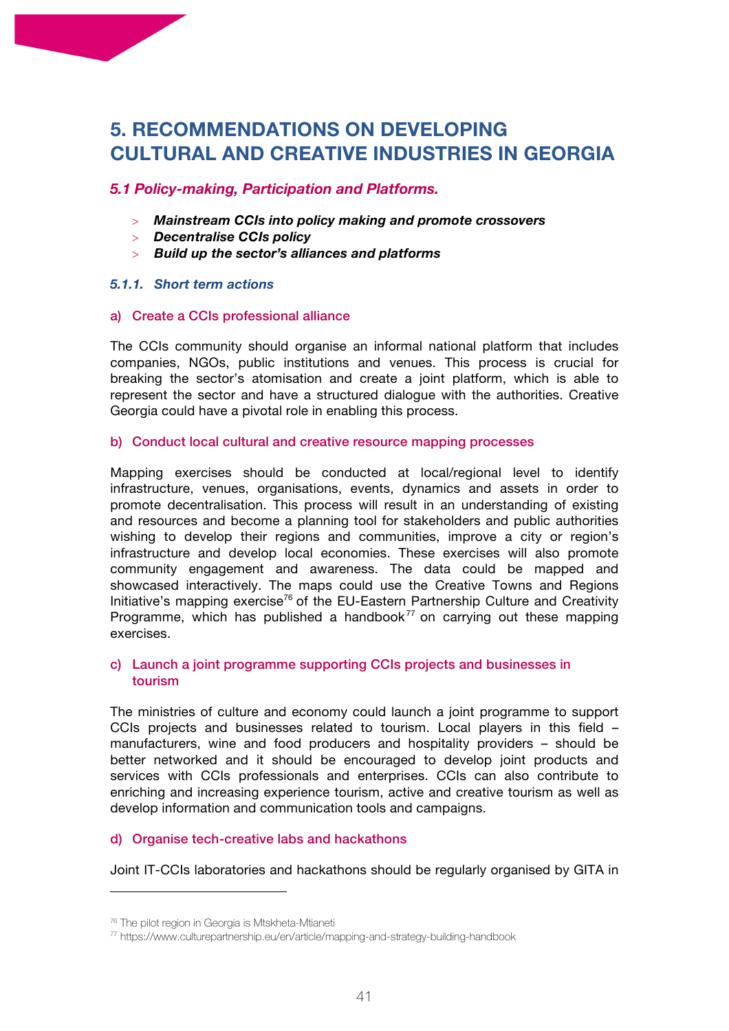# **5. RECOMMENDATIONS ON DEVELOPING CULTURAL AND CREATIVE INDUSTRIES IN GEORGIA**

# *5.1 Policy-making, Participation and Platforms.*

- > *Mainstream CCIs into policy making and promote crossovers*
- > *Decentralise CCIs policy*
- > *Build up the sector's alliances and platforms*

#### *5.1.1. Short term actions*

#### a) Create a CCIs professional alliance

The CCIs community should organise an informal national platform that includes companies, NGOs, public institutions and venues. This process is crucial for breaking the sector's atomisation and create a joint platform, which is able to represent the sector and have a structured dialogue with the authorities. Creative Georgia could have a pivotal role in enabling this process.

#### b) Conduct local cultural and creative resource mapping processes

Mapping exercises should be conducted at local/regional level to identify infrastructure, venues, organisations, events, dynamics and assets in order to promote decentralisation. This process will result in an understanding of existing and resources and become a planning tool for stakeholders and public authorities wishing to develop their regions and communities, improve a city or region's infrastructure and develop local economies. These exercises will also promote community engagement and awareness. The data could be mapped and showcased interactively. The maps could use the Creative Towns and Regions Initiative's mapping exercise<sup>76</sup> of the EU-Eastern Partnership Culture and Creativity Programme, which has published a handbook<sup>77</sup> on carrying out these mapping exercises.

#### c) Launch a joint programme supporting CCIs projects and businesses in tourism

The ministries of culture and economy could launch a joint programme to support CCIs projects and businesses related to tourism. Local players in this field – manufacturers, wine and food producers and hospitality providers – should be better networked and it should be encouraged to develop joint products and services with CCIs professionals and enterprises. CCIs can also contribute to enriching and increasing experience tourism, active and creative tourism as well as develop information and communication tools and campaigns.

# d) Organise tech-creative labs and hackathons

Joint IT-CCIs laboratories and hackathons should be regularly organised by GITA in

<sup>76</sup> The pilot region in Georgia is Mtskheta-Mtianeti

<sup>77</sup> https://www.culturepartnership.eu/en/article/mapping-and-strategy-building-handbook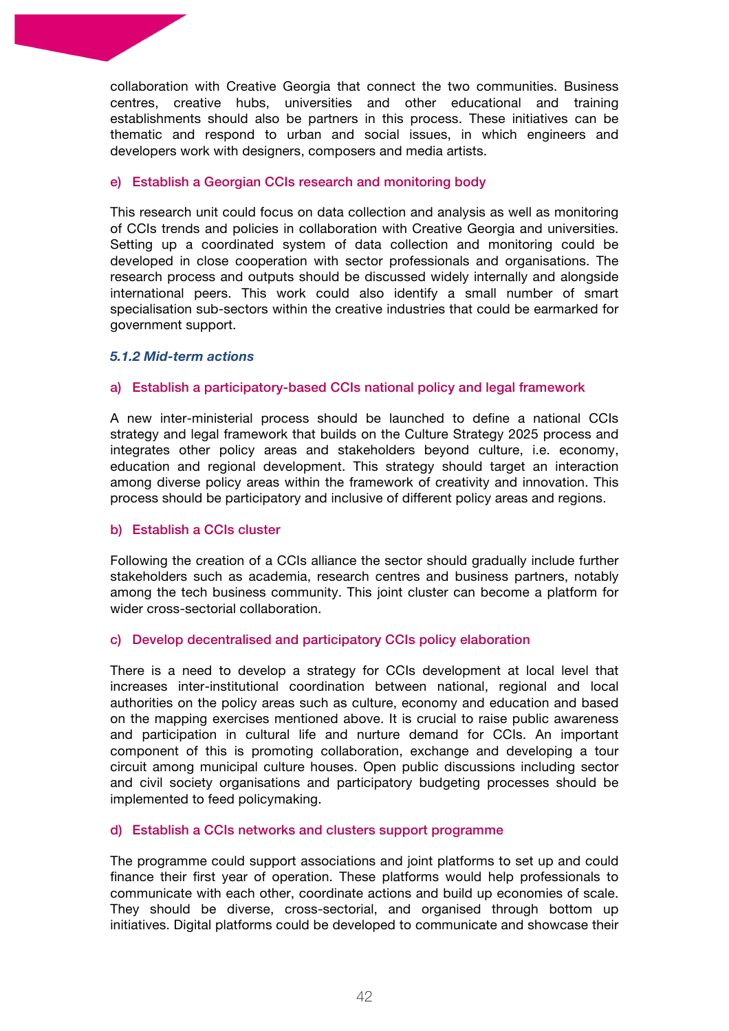collaboration with Creative Georgia that connect the two communities. Business centres, creative hubs, universities and other educational and training establishments should also be partners in this process. These initiatives can be thematic and respond to urban and social issues, in which engineers and developers work with designers, composers and media artists.

#### e) Establish a Georgian CCIs research and monitoring body

This research unit could focus on data collection and analysis as well as monitoring of CCIs trends and policies in collaboration with Creative Georgia and universities. Setting up a coordinated system of data collection and monitoring could be developed in close cooperation with sector professionals and organisations. The research process and outputs should be discussed widely internally and alongside international peers. This work could also identify a small number of smart specialisation sub-sectors within the creative industries that could be earmarked for government support.

#### *5.1.2 Mid-term actions*

#### a) Establish a participatory-based CCIs national policy and legal framework

A new inter-ministerial process should be launched to define a national CCIs strategy and legal framework that builds on the Culture Strategy 2025 process and integrates other policy areas and stakeholders beyond culture, i.e. economy, education and regional development. This strategy should target an interaction among diverse policy areas within the framework of creativity and innovation. This process should be participatory and inclusive of different policy areas and regions.

#### b) Establish a CCIs cluster

Following the creation of a CCIs alliance the sector should gradually include further stakeholders such as academia, research centres and business partners, notably among the tech business community. This joint cluster can become a platform for wider cross-sectorial collaboration.

#### c) Develop decentralised and participatory CCIs policy elaboration

There is a need to develop a strategy for CCIs development at local level that increases inter-institutional coordination between national, regional and local authorities on the policy areas such as culture, economy and education and based on the mapping exercises mentioned above. It is crucial to raise public awareness and participation in cultural life and nurture demand for CCIs. An important component of this is promoting collaboration, exchange and developing a tour circuit among municipal culture houses. Open public discussions including sector and civil society organisations and participatory budgeting processes should be implemented to feed policymaking.

#### d) Establish a CCIs networks and clusters support programme

The programme could support associations and joint platforms to set up and could finance their first year of operation. These platforms would help professionals to communicate with each other, coordinate actions and build up economies of scale. They should be diverse, cross-sectorial, and organised through bottom up initiatives. Digital platforms could be developed to communicate and showcase their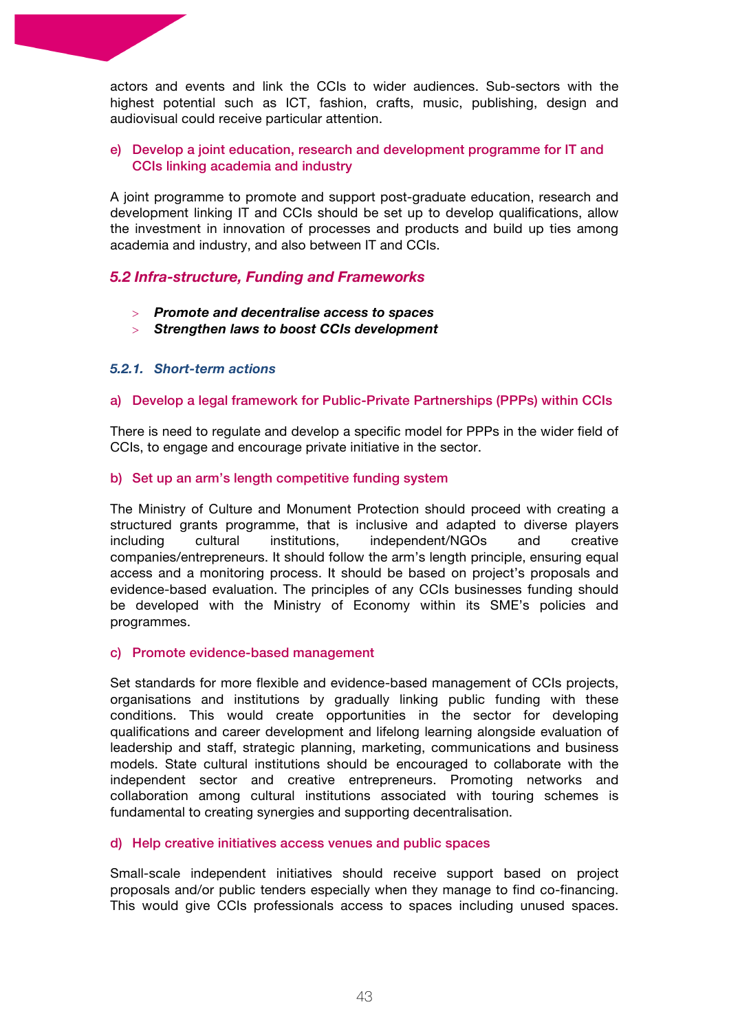actors and events and link the CCIs to wider audiences. Sub-sectors with the highest potential such as ICT, fashion, crafts, music, publishing, design and audiovisual could receive particular attention.

#### e) Develop a joint education, research and development programme for IT and CCIs linking academia and industry

A joint programme to promote and support post-graduate education, research and development linking IT and CCIs should be set up to develop qualifications, allow the investment in innovation of processes and products and build up ties among academia and industry, and also between IT and CCIs.

# *5.2 Infra-structure, Funding and Frameworks*

- > *Promote and decentralise access to spaces*
- > *Strengthen laws to boost CCIs development*

#### *5.2.1. Short-term actions*

#### a) Develop a legal framework for Public-Private Partnerships (PPPs) within CCIs

There is need to regulate and develop a specific model for PPPs in the wider field of CCIs, to engage and encourage private initiative in the sector.

#### b) Set up an arm's length competitive funding system

The Ministry of Culture and Monument Protection should proceed with creating a structured grants programme, that is inclusive and adapted to diverse players including cultural institutions, independent/NGOs and creative companies/entrepreneurs. It should follow the arm's length principle, ensuring equal access and a monitoring process. It should be based on project's proposals and evidence-based evaluation. The principles of any CCIs businesses funding should be developed with the Ministry of Economy within its SME's policies and programmes.

#### c) Promote evidence-based management

Set standards for more flexible and evidence-based management of CCIs projects, organisations and institutions by gradually linking public funding with these conditions. This would create opportunities in the sector for developing qualifications and career development and lifelong learning alongside evaluation of leadership and staff, strategic planning, marketing, communications and business models. State cultural institutions should be encouraged to collaborate with the independent sector and creative entrepreneurs. Promoting networks and collaboration among cultural institutions associated with touring schemes is fundamental to creating synergies and supporting decentralisation.

#### d) Help creative initiatives access venues and public spaces

Small-scale independent initiatives should receive support based on project proposals and/or public tenders especially when they manage to find co-financing. This would give CCIs professionals access to spaces including unused spaces.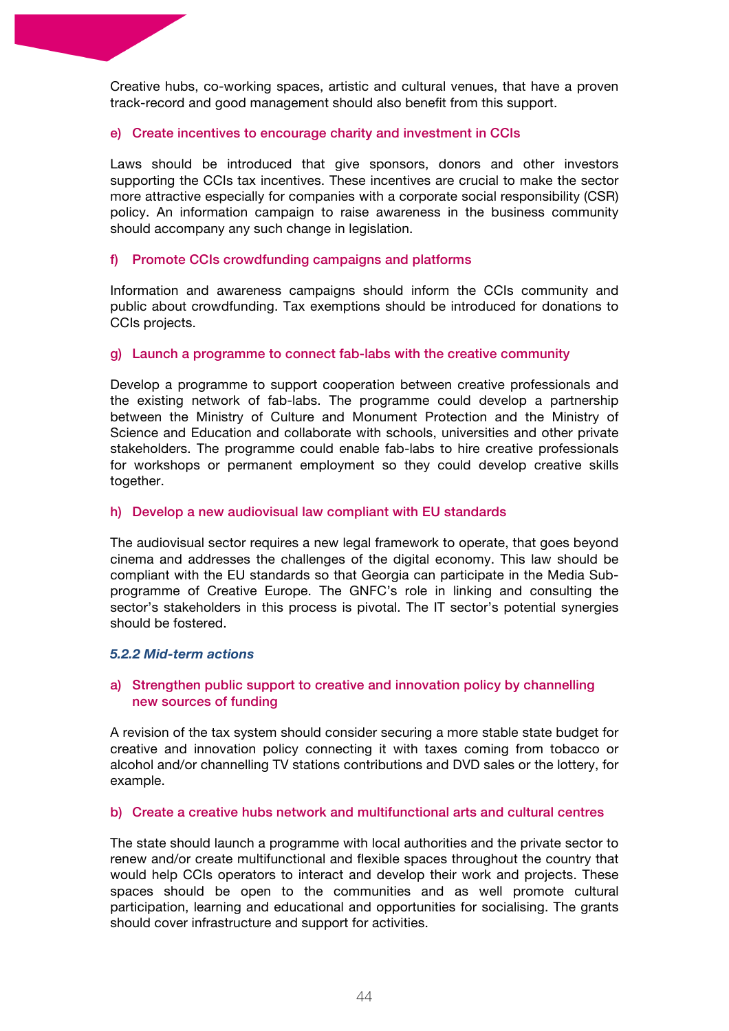Creative hubs, co-working spaces, artistic and cultural venues, that have a proven track-record and good management should also benefit from this support.

#### e) Create incentives to encourage charity and investment in CCIs

Laws should be introduced that give sponsors, donors and other investors supporting the CCIs tax incentives. These incentives are crucial to make the sector more attractive especially for companies with a corporate social responsibility (CSR) policy. An information campaign to raise awareness in the business community should accompany any such change in legislation.

#### f) Promote CCIs crowdfunding campaigns and platforms

Information and awareness campaigns should inform the CCIs community and public about crowdfunding. Tax exemptions should be introduced for donations to CCIs projects.

#### g) Launch a programme to connect fab-labs with the creative community

Develop a programme to support cooperation between creative professionals and the existing network of fab-labs. The programme could develop a partnership between the Ministry of Culture and Monument Protection and the Ministry of Science and Education and collaborate with schools, universities and other private stakeholders. The programme could enable fab-labs to hire creative professionals for workshops or permanent employment so they could develop creative skills together.

#### h) Develop a new audiovisual law compliant with EU standards

The audiovisual sector requires a new legal framework to operate, that goes beyond cinema and addresses the challenges of the digital economy. This law should be compliant with the EU standards so that Georgia can participate in the Media Subprogramme of Creative Europe. The GNFC's role in linking and consulting the sector's stakeholders in this process is pivotal. The IT sector's potential synergies should be fostered.

#### *5.2.2 Mid-term actions*

# a) Strengthen public support to creative and innovation policy by channelling new sources of funding

A revision of the tax system should consider securing a more stable state budget for creative and innovation policy connecting it with taxes coming from tobacco or alcohol and/or channelling TV stations contributions and DVD sales or the lottery, for example.

#### b) Create a creative hubs network and multifunctional arts and cultural centres

The state should launch a programme with local authorities and the private sector to renew and/or create multifunctional and flexible spaces throughout the country that would help CCIs operators to interact and develop their work and projects. These spaces should be open to the communities and as well promote cultural participation, learning and educational and opportunities for socialising. The grants should cover infrastructure and support for activities.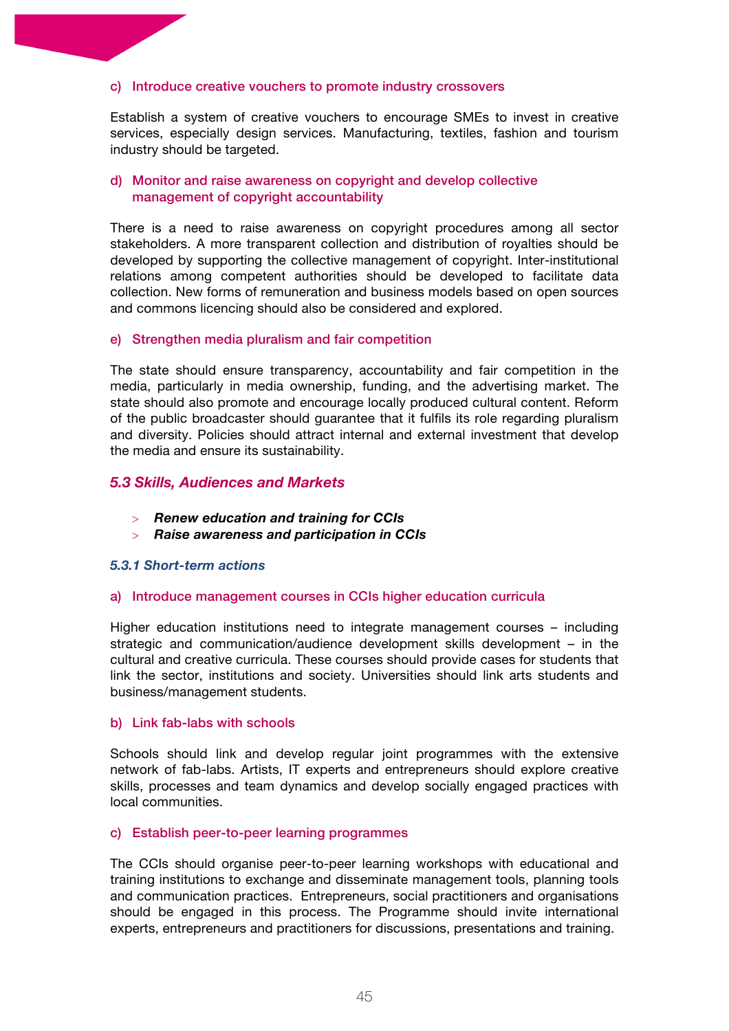#### c) Introduce creative vouchers to promote industry crossovers

Establish a system of creative vouchers to encourage SMEs to invest in creative services, especially design services. Manufacturing, textiles, fashion and tourism industry should be targeted.

#### d) Monitor and raise awareness on copyright and develop collective management of copyright accountability

There is a need to raise awareness on copyright procedures among all sector stakeholders. A more transparent collection and distribution of royalties should be developed by supporting the collective management of copyright. Inter-institutional relations among competent authorities should be developed to facilitate data collection. New forms of remuneration and business models based on open sources and commons licencing should also be considered and explored.

#### e) Strengthen media pluralism and fair competition

The state should ensure transparency, accountability and fair competition in the media, particularly in media ownership, funding, and the advertising market. The state should also promote and encourage locally produced cultural content. Reform of the public broadcaster should guarantee that it fulfils its role regarding pluralism and diversity. Policies should attract internal and external investment that develop the media and ensure its sustainability.

#### *5.3 Skills, Audiences and Markets*

- > *Renew education and training for CCIs*
- > *Raise awareness and participation in CCIs*

#### *5.3.1 Short-term actions*

#### a) Introduce management courses in CCIs higher education curricula

Higher education institutions need to integrate management courses – including strategic and communication/audience development skills development – in the cultural and creative curricula. These courses should provide cases for students that link the sector, institutions and society. Universities should link arts students and business/management students.

#### b) Link fab-labs with schools

Schools should link and develop regular joint programmes with the extensive network of fab-labs. Artists, IT experts and entrepreneurs should explore creative skills, processes and team dynamics and develop socially engaged practices with local communities.

#### c) Establish peer-to-peer learning programmes

The CCIs should organise peer-to-peer learning workshops with educational and training institutions to exchange and disseminate management tools, planning tools and communication practices. Entrepreneurs, social practitioners and organisations should be engaged in this process. The Programme should invite international experts, entrepreneurs and practitioners for discussions, presentations and training.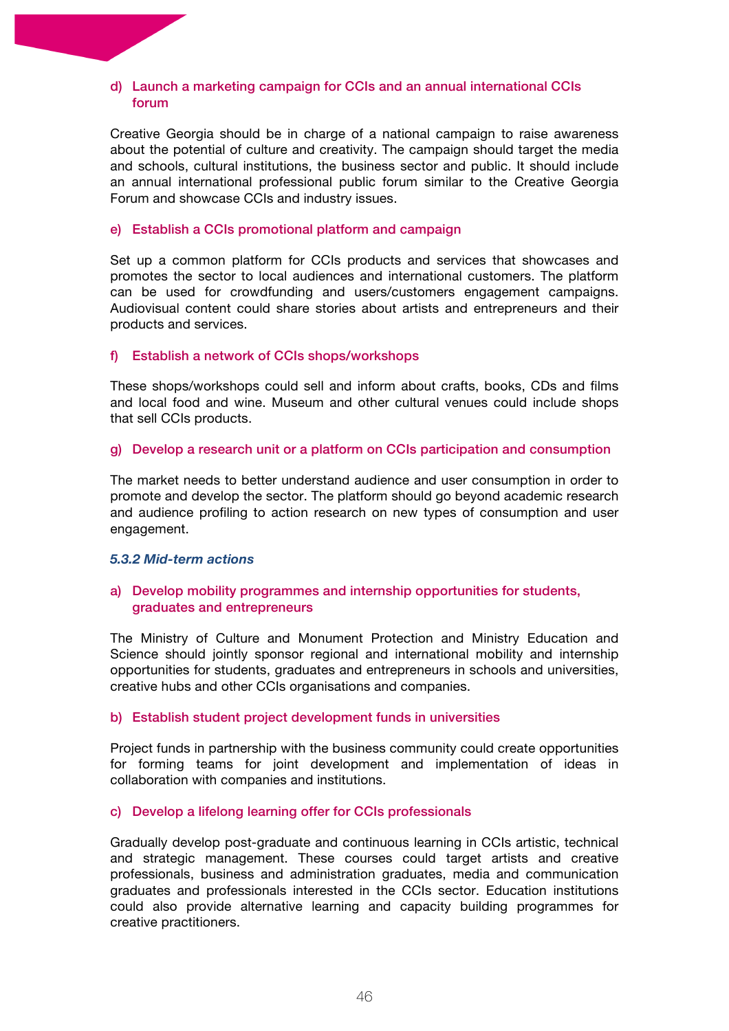#### d) Launch a marketing campaign for CCIs and an annual international CCIs forum

Creative Georgia should be in charge of a national campaign to raise awareness about the potential of culture and creativity. The campaign should target the media and schools, cultural institutions, the business sector and public. It should include an annual international professional public forum similar to the Creative Georgia Forum and showcase CCIs and industry issues.

#### e) Establish a CCIs promotional platform and campaign

Set up a common platform for CCIs products and services that showcases and promotes the sector to local audiences and international customers. The platform can be used for crowdfunding and users/customers engagement campaigns. Audiovisual content could share stories about artists and entrepreneurs and their products and services.

#### f) Establish a network of CCIs shops/workshops

These shops/workshops could sell and inform about crafts, books, CDs and films and local food and wine. Museum and other cultural venues could include shops that sell CCIs products.

#### g) Develop a research unit or a platform on CCIs participation and consumption

The market needs to better understand audience and user consumption in order to promote and develop the sector. The platform should go beyond academic research and audience profiling to action research on new types of consumption and user engagement.

#### *5.3.2 Mid-term actions*

#### a) Develop mobility programmes and internship opportunities for students, graduates and entrepreneurs

The Ministry of Culture and Monument Protection and Ministry Education and Science should jointly sponsor regional and international mobility and internship opportunities for students, graduates and entrepreneurs in schools and universities, creative hubs and other CCIs organisations and companies.

#### b) Establish student project development funds in universities

Project funds in partnership with the business community could create opportunities for forming teams for joint development and implementation of ideas in collaboration with companies and institutions.

#### c) Develop a lifelong learning offer for CCIs professionals

Gradually develop post-graduate and continuous learning in CCIs artistic, technical and strategic management. These courses could target artists and creative professionals, business and administration graduates, media and communication graduates and professionals interested in the CCIs sector. Education institutions could also provide alternative learning and capacity building programmes for creative practitioners.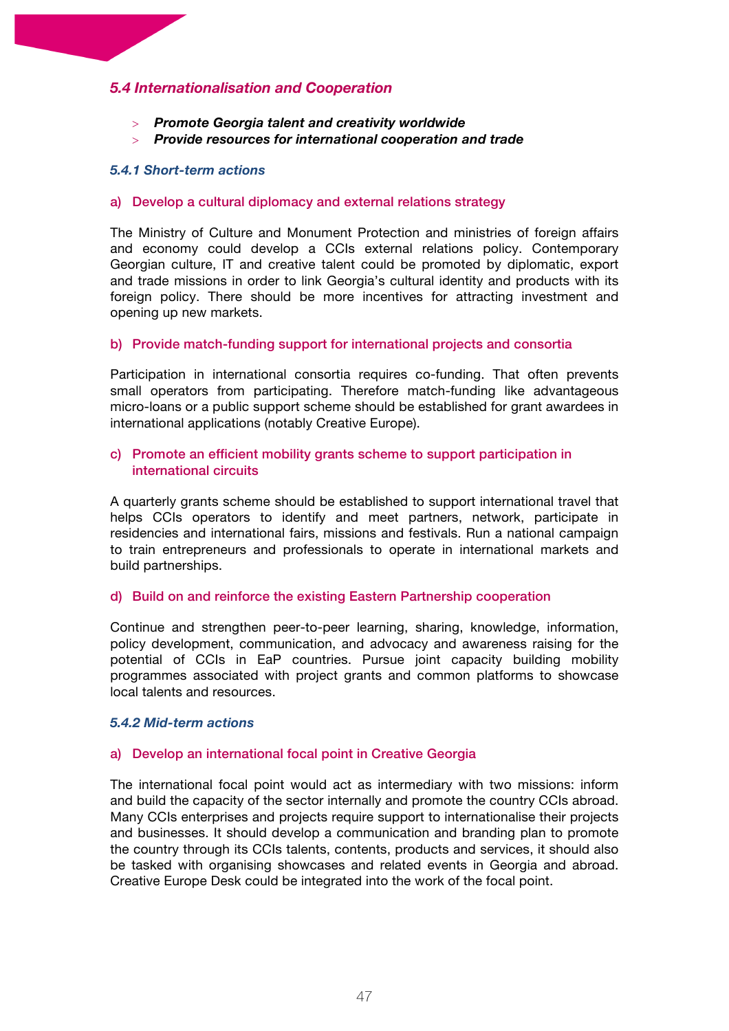# *5.4 Internationalisation and Cooperation*

- > *Promote Georgia talent and creativity worldwide*
- > *Provide resources for international cooperation and trade*

#### *5.4.1 Short-term actions*

#### a) Develop a cultural diplomacy and external relations strategy

The Ministry of Culture and Monument Protection and ministries of foreign affairs and economy could develop a CCIs external relations policy. Contemporary Georgian culture, IT and creative talent could be promoted by diplomatic, export and trade missions in order to link Georgia's cultural identity and products with its foreign policy. There should be more incentives for attracting investment and opening up new markets.

#### b) Provide match-funding support for international projects and consortia

Participation in international consortia requires co-funding. That often prevents small operators from participating. Therefore match-funding like advantageous micro-loans or a public support scheme should be established for grant awardees in international applications (notably Creative Europe).

#### c) Promote an efficient mobility grants scheme to support participation in international circuits

A quarterly grants scheme should be established to support international travel that helps CCIs operators to identify and meet partners, network, participate in residencies and international fairs, missions and festivals. Run a national campaign to train entrepreneurs and professionals to operate in international markets and build partnerships.

#### d) Build on and reinforce the existing Eastern Partnership cooperation

Continue and strengthen peer-to-peer learning, sharing, knowledge, information, policy development, communication, and advocacy and awareness raising for the potential of CCIs in EaP countries. Pursue joint capacity building mobility programmes associated with project grants and common platforms to showcase local talents and resources.

#### *5.4.2 Mid-term actions*

#### a) Develop an international focal point in Creative Georgia

The international focal point would act as intermediary with two missions: inform and build the capacity of the sector internally and promote the country CCIs abroad. Many CCIs enterprises and projects require support to internationalise their projects and businesses. It should develop a communication and branding plan to promote the country through its CCIs talents, contents, products and services, it should also be tasked with organising showcases and related events in Georgia and abroad. Creative Europe Desk could be integrated into the work of the focal point.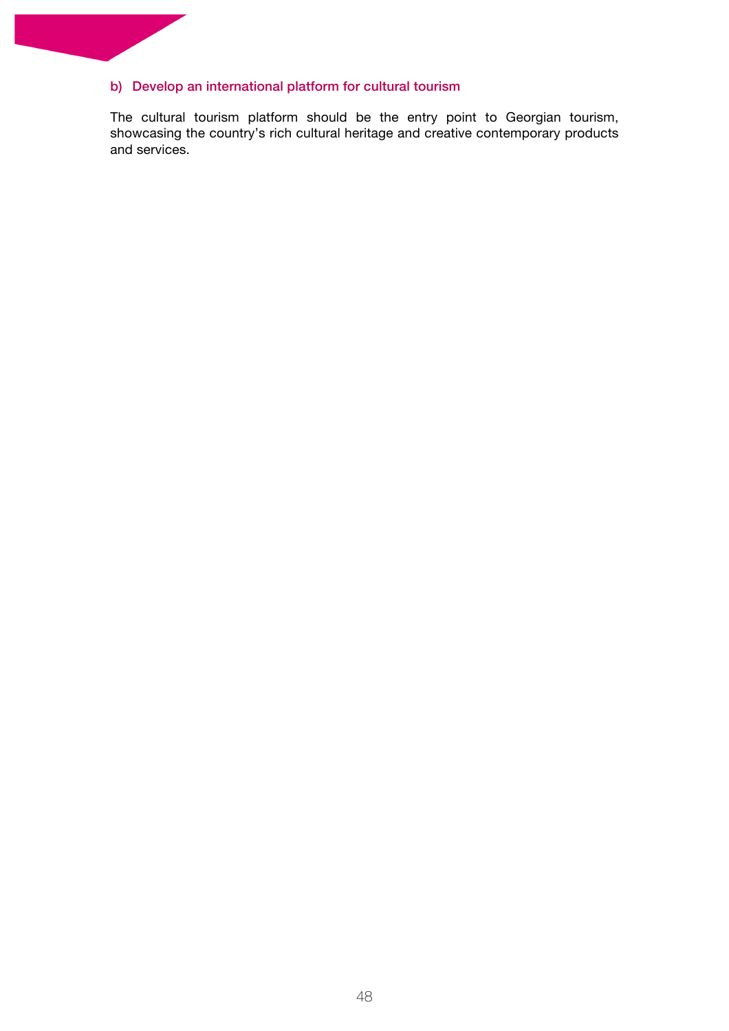# b) Develop an international platform for cultural tourism

The cultural tourism platform should be the entry point to Georgian tourism, showcasing the country's rich cultural heritage and creative contemporary products and services.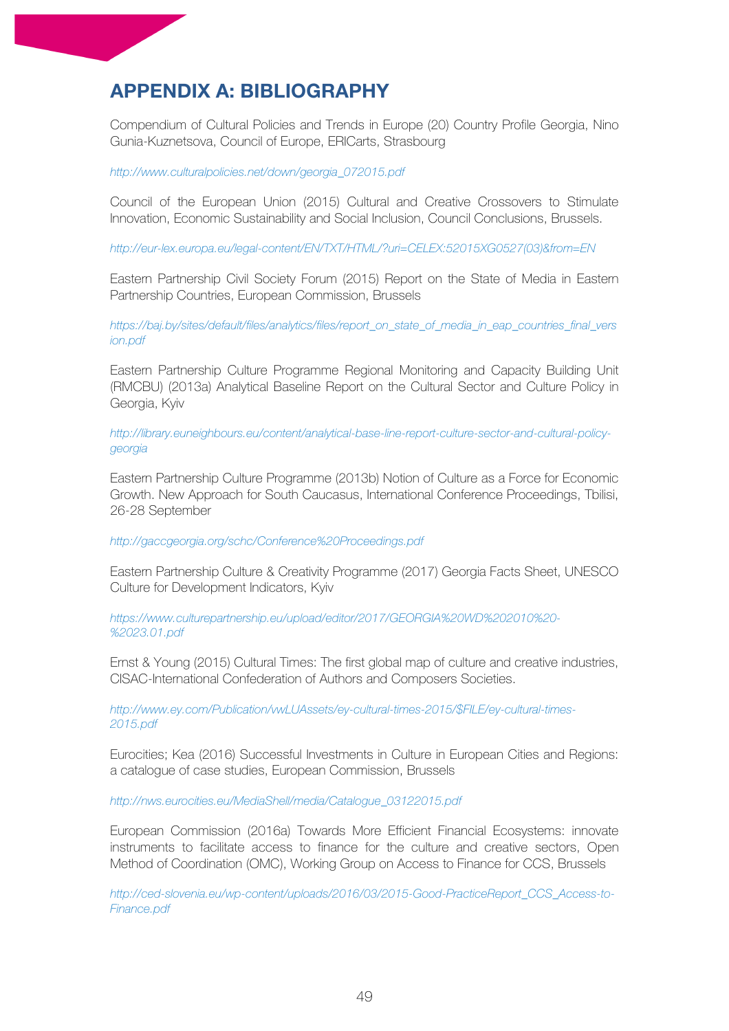# **APPENDIX A: BIBLIOGRAPHY**

Compendium of Cultural Policies and Trends in Europe (20) Country Profile Georgia, Nino Gunia-Kuznetsova, Council of Europe, ERICarts, Strasbourg

#### *http://www.culturalpolicies.net/down/georgia\_072015.pdf*

Council of the European Union (2015) Cultural and Creative Crossovers to Stimulate Innovation, Economic Sustainability and Social Inclusion, Council Conclusions, Brussels.

*http://eur-lex.europa.eu/legal-content/EN/TXT/HTML/?uri=CELEX:52015XG0527(03)&from=EN*

Eastern Partnership Civil Society Forum (2015) Report on the State of Media in Eastern Partnership Countries, European Commission, Brussels

*https://baj.by/sites/default/files/analytics/files/report\_on\_state\_of\_media\_in\_eap\_countries\_final\_vers ion.pdf*

Eastern Partnership Culture Programme Regional Monitoring and Capacity Building Unit (RMCBU) (2013a) Analytical Baseline Report on the Cultural Sector and Culture Policy in Georgia, Kyiv

*http://library.euneighbours.eu/content/analytical-base-line-report-culture-sector-and-cultural-policygeorgia*

Eastern Partnership Culture Programme (2013b) Notion of Culture as a Force for Economic Growth. New Approach for South Caucasus, International Conference Proceedings, Tbilisi, 26-28 September

*http://gaccgeorgia.org/schc/Conference%20Proceedings.pdf*

Eastern Partnership Culture & Creativity Programme (2017) Georgia Facts Sheet, UNESCO Culture for Development Indicators, Kyiv

*https://www.culturepartnership.eu/upload/editor/2017/GEORGIA%20WD%202010%20- %2023.01.pdf*

Ernst & Young (2015) Cultural Times: The first global map of culture and creative industries, CISAC-International Confederation of Authors and Composers Societies.

*http://www.ey.com/Publication/vwLUAssets/ey-cultural-times-2015/\$FILE/ey-cultural-times-2015.pdf*

Eurocities; Kea (2016) Successful Investments in Culture in European Cities and Regions: a catalogue of case studies, European Commission, Brussels

*http://nws.eurocities.eu/MediaShell/media/Catalogue\_03122015.pdf*

European Commission (2016a) Towards More Efficient Financial Ecosystems: innovate instruments to facilitate access to finance for the culture and creative sectors, Open Method of Coordination (OMC), Working Group on Access to Finance for CCS, Brussels

*http://ced-slovenia.eu/wp-content/uploads/2016/03/2015-Good-PracticeReport\_CCS\_Access-to-Finance.pdf*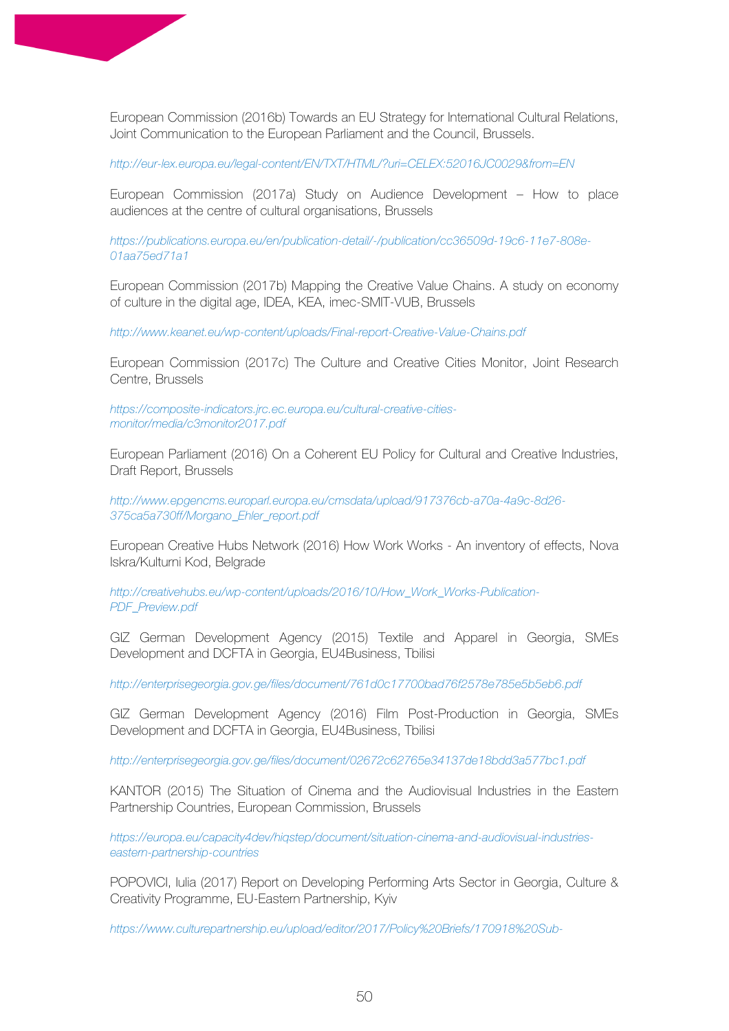European Commission (2016b) Towards an EU Strategy for International Cultural Relations, Joint Communication to the European Parliament and the Council, Brussels.

*http://eur-lex.europa.eu/legal-content/EN/TXT/HTML/?uri=CELEX:52016JC0029&from=EN*

European Commission (2017a) Study on Audience Development – How to place audiences at the centre of cultural organisations, Brussels

*https://publications.europa.eu/en/publication-detail/-/publication/cc36509d-19c6-11e7-808e-01aa75ed71a1*

European Commission (2017b) Mapping the Creative Value Chains. A study on economy of culture in the digital age, IDEA, KEA, imec-SMIT-VUB, Brussels

*http://www.keanet.eu/wp-content/uploads/Final-report-Creative-Value-Chains.pdf*

European Commission (2017c) The Culture and Creative Cities Monitor, Joint Research Centre, Brussels

*https://composite-indicators.jrc.ec.europa.eu/cultural-creative-citiesmonitor/media/c3monitor2017.pdf*

European Parliament (2016) On a Coherent EU Policy for Cultural and Creative Industries, Draft Report, Brussels

*http://www.epgencms.europarl.europa.eu/cmsdata/upload/917376cb-a70a-4a9c-8d26- 375ca5a730ff/Morgano\_Ehler\_report.pdf*

European Creative Hubs Network (2016) How Work Works - An inventory of effects, Nova Iskra/Kulturni Kod, Belgrade

*http://creativehubs.eu/wp-content/uploads/2016/10/How\_Work\_Works-Publication-PDF\_Preview.pdf*

GIZ German Development Agency (2015) Textile and Apparel in Georgia, SMEs Development and DCFTA in Georgia, EU4Business, Tbilisi

*http://enterprisegeorgia.gov.ge/files/document/761d0c17700bad76f2578e785e5b5eb6.pdf*

GIZ German Development Agency (2016) Film Post-Production in Georgia, SMEs Development and DCFTA in Georgia, EU4Business, Tbilisi

*http://enterprisegeorgia.gov.ge/files/document/02672c62765e34137de18bdd3a577bc1.pdf*

KANTOR (2015) The Situation of Cinema and the Audiovisual Industries in the Eastern Partnership Countries, European Commission, Brussels

*https://europa.eu/capacity4dev/hiqstep/document/situation-cinema-and-audiovisual-industrieseastern-partnership-countries*

POPOVICI, Iulia (2017) Report on Developing Performing Arts Sector in Georgia, Culture & Creativity Programme, EU-Eastern Partnership, Kyiv

*https://www.culturepartnership.eu/upload/editor/2017/Policy%20Briefs/170918%20Sub-*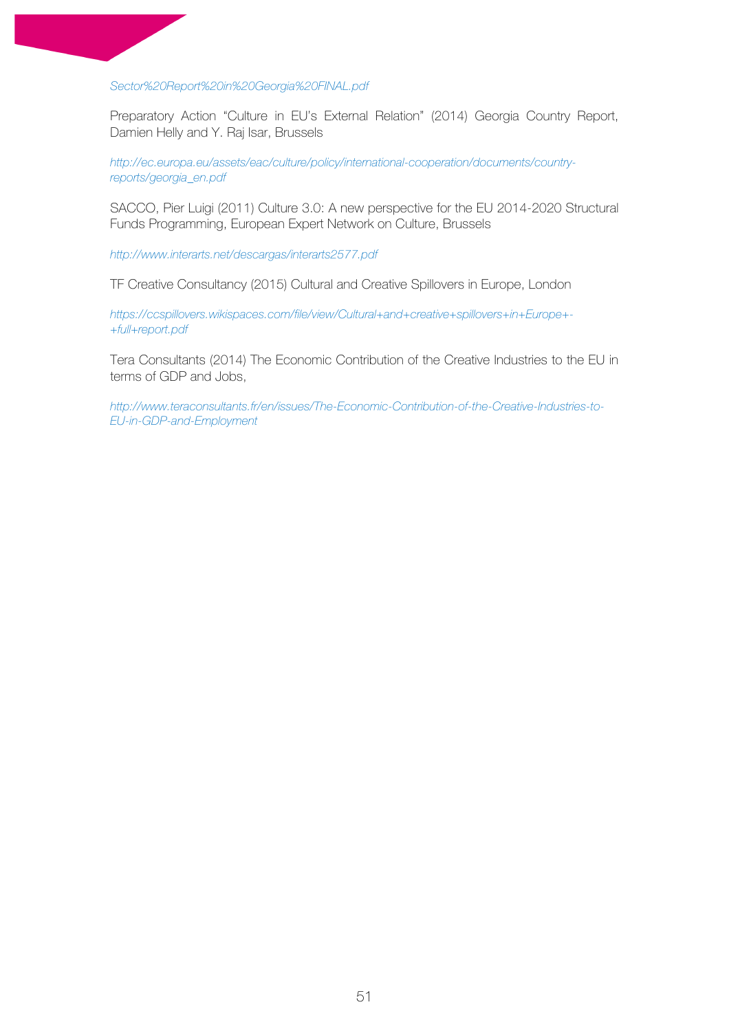*Sector%20Report%20in%20Georgia%20FINAL.pdf*

Preparatory Action "Culture in EU's External Relation" (2014) Georgia Country Report, Damien Helly and Y. Raj Isar, Brussels

*http://ec.europa.eu/assets/eac/culture/policy/international-cooperation/documents/countryreports/georgia\_en.pdf*

SACCO, Pier Luigi (2011) Culture 3.0: A new perspective for the EU 2014-2020 Structural Funds Programming, European Expert Network on Culture, Brussels

*http://www.interarts.net/descargas/interarts2577.pdf*

TF Creative Consultancy (2015) Cultural and Creative Spillovers in Europe, London

*https://ccspillovers.wikispaces.com/file/view/Cultural+and+creative+spillovers+in+Europe+- +full+report.pdf*

Tera Consultants (2014) The Economic Contribution of the Creative Industries to the EU in terms of GDP and Jobs,

*http://www.teraconsultants.fr/en/issues/The-Economic-Contribution-of-the-Creative-Industries-to-EU-in-GDP-and-Employment*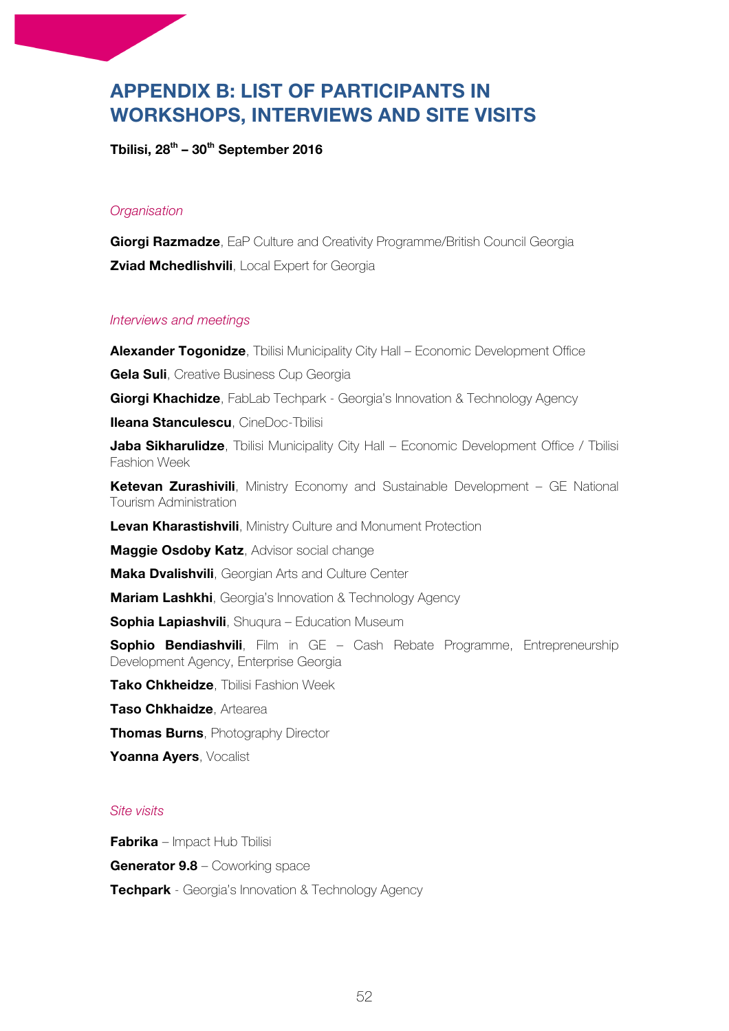# **APPENDIX B: LIST OF PARTICIPANTS IN WORKSHOPS, INTERVIEWS AND SITE VISITS**

**Tbilisi, 28th – 30th September 2016**

# *Organisation*

**Giorgi Razmadze**, EaP Culture and Creativity Programme/British Council Georgia **Zviad Mchedlishvili**, Local Expert for Georgia

#### *Interviews and meetings*

**Alexander Togonidze**, Tbilisi Municipality City Hall – Economic Development Office

**Gela Suli**, Creative Business Cup Georgia

**Giorgi Khachidze**, FabLab Techpark - Georgia's Innovation & Technology Agency

**Ileana Stanculescu**, CineDoc-Tbilisi

**Jaba Sikharulidze**, Tbilisi Municipality City Hall – Economic Development Office / Tbilisi Fashion Week

**Ketevan Zurashivili**, Ministry Economy and Sustainable Development – GE National Tourism Administration

**Levan Kharastishvili**, Ministry Culture and Monument Protection

**Maggie Osdoby Katz**, Advisor social change

**Maka Dvalishvili**, Georgian Arts and Culture Center

**Mariam Lashkhi**, Georgia's Innovation & Technology Agency

**Sophia Lapiashvili**, Shuqura – Education Museum

**Sophio Bendiashvili**, Film in GE - Cash Rebate Programme, Entrepreneurship Development Agency, Enterprise Georgia

**Tako Chkheidze**, Tbilisi Fashion Week

**Taso Chkhaidze**, Artearea

**Thomas Burns**, Photography Director

**Yoanna Ayers**, Vocalist

#### *Site visits*

**Fabrika** – Impact Hub Tbilisi

**Generator 9.8** – Coworking space

**Techpark** - Georgia's Innovation & Technology Agency